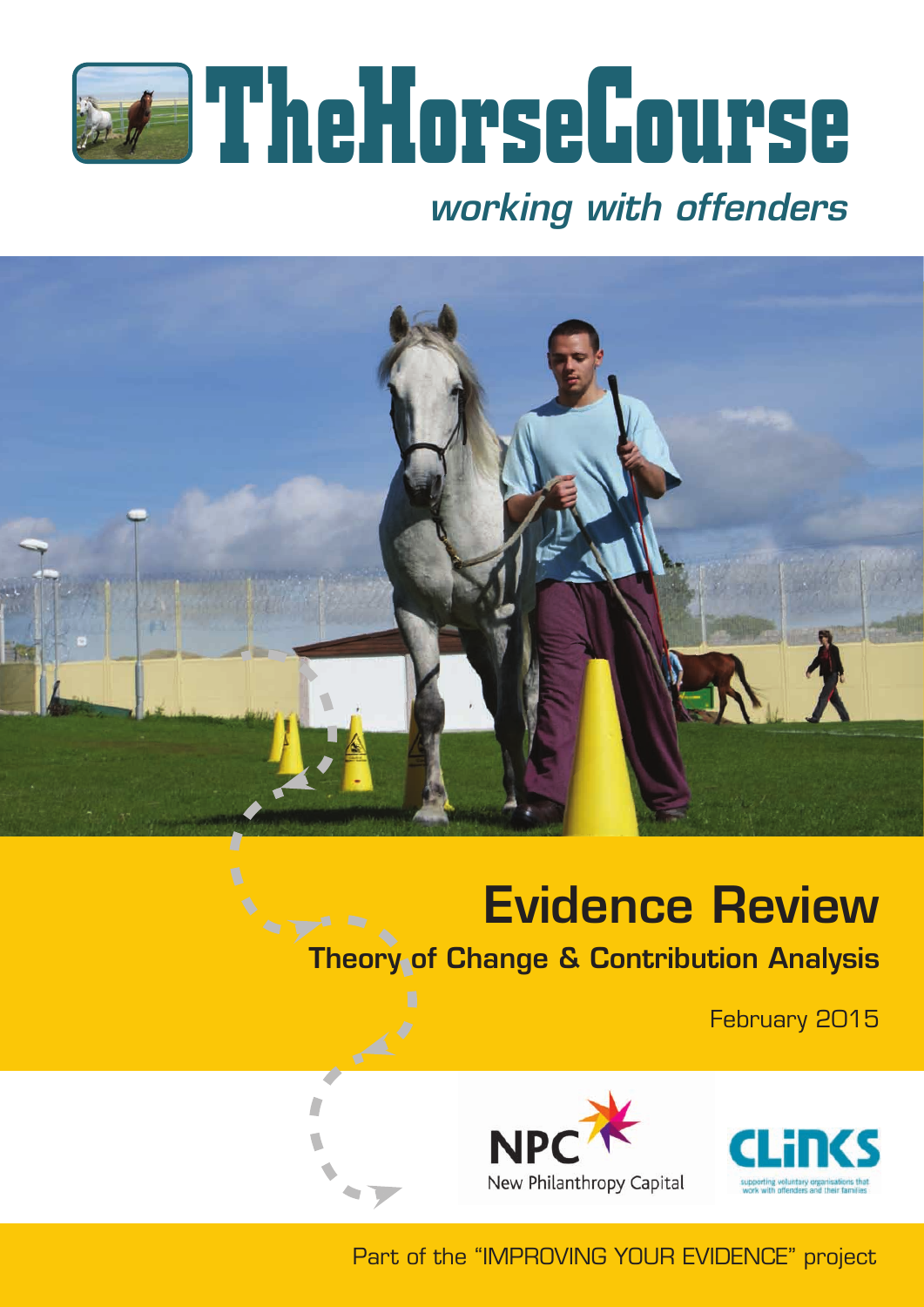

## *working with offenders*



# Evidence Review

Theory of Change & Contribution Analysis

February 2015



 $\mathbb{A}^{\prime}$ 





Part of the "IMPROVING YOUR EVIDENCE" project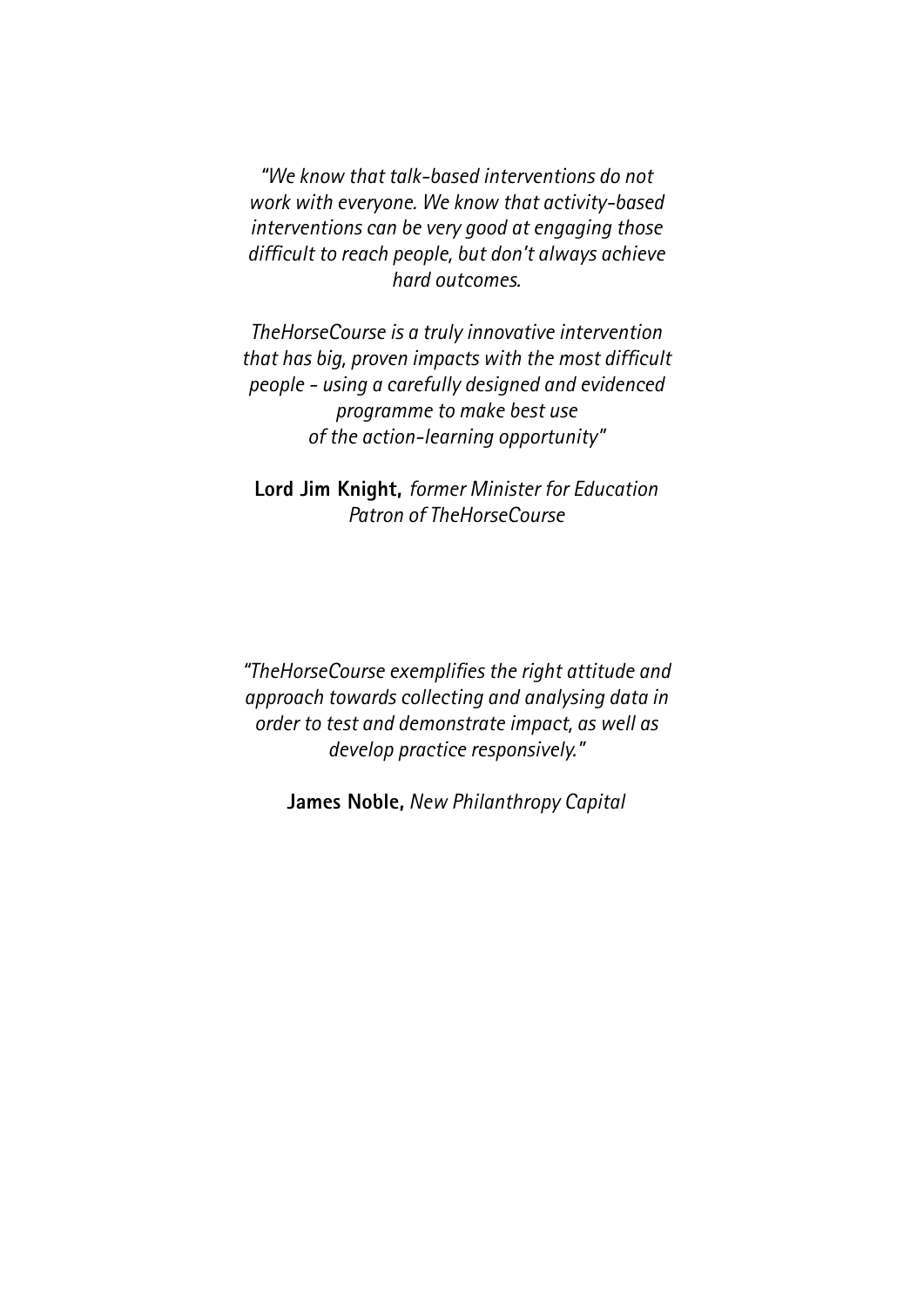*"We know that talk-based interventions do not work with everyone. We know that activity-based interventions can be very good at engaging those difficult to reach people, but don't always achieve hard outcomes.*

*TheHorseCourse is a truly innovative intervention that has big, proven impacts with the most difficult people - using a carefully designed and evidenced programme to make best use of the action-learning opportunity"*

**Lord Jim Knight,** *former Minister for Education Patron of TheHorseCourse*

*"TheHorseCourse exemplifies the right attitude and approach towards collecting and analysing data in order to test and demonstrate impact, as well as develop practice responsively."* 

**James Noble,** *New Philanthropy Capital*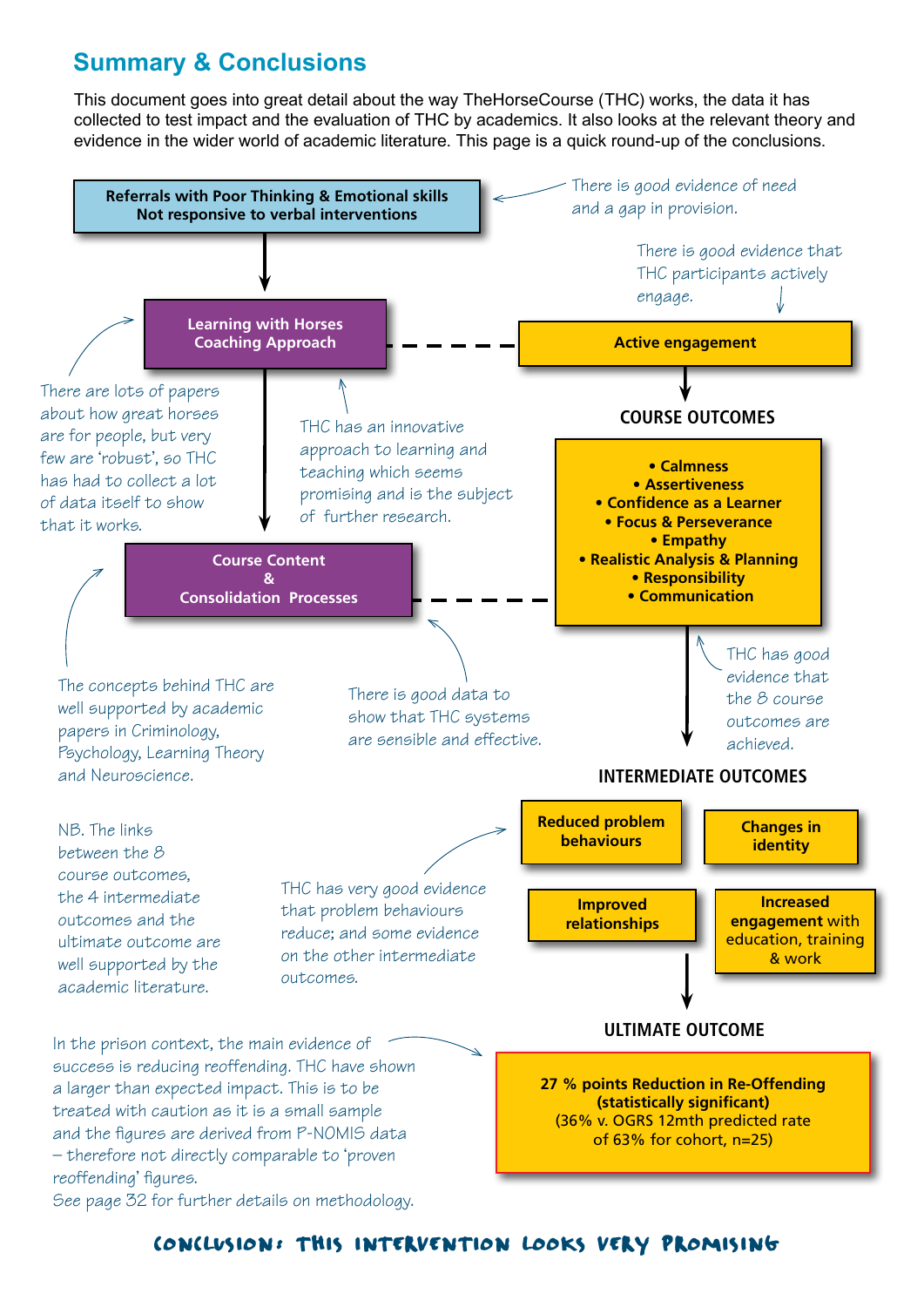## **Summary & Conclusions**

This document goes into great detail about the way TheHorseCourse (THC) works, the data it has collected to test impact and the evaluation of THC by academics. It also looks at the relevant theory and evidence in the wider world of academic literature. This page is a quick round-up of the conclusions.



## conclusion: this intervention looks very promising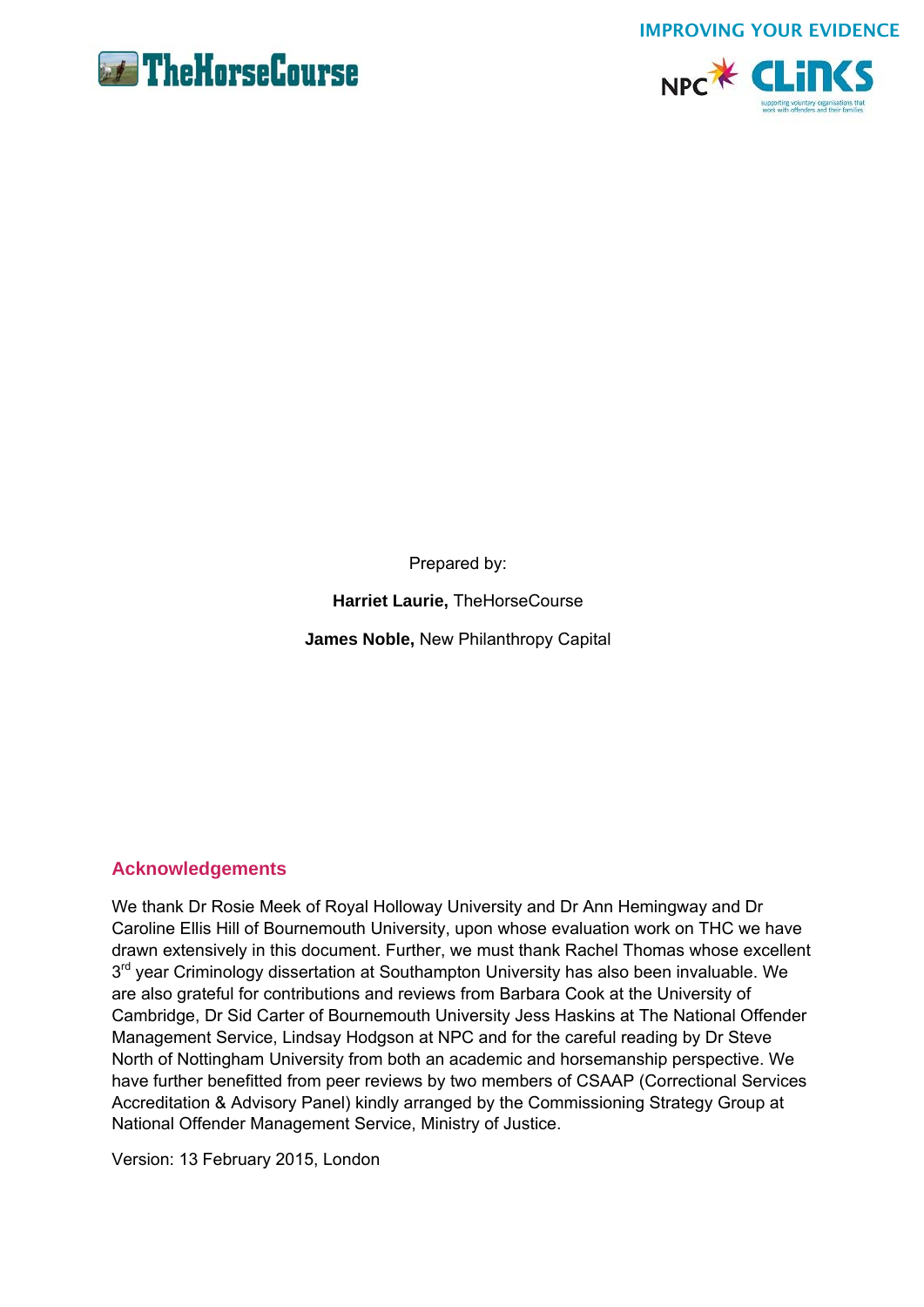



Prepared by:

**Harriet Laurie,** TheHorseCourse

**James Noble,** New Philanthropy Capital

## **Acknowledgements**

We thank Dr Rosie Meek of Royal Holloway University and Dr Ann Hemingway and Dr Caroline Ellis Hill of Bournemouth University, upon whose evaluation work on THC we have drawn extensively in this document. Further, we must thank Rachel Thomas whose excellent  $3<sup>rd</sup>$  year Criminology dissertation at Southampton University has also been invaluable. We are also grateful for contributions and reviews from Barbara Cook at the University of Cambridge, Dr Sid Carter of Bournemouth University Jess Haskins at The National Offender Management Service, Lindsay Hodgson at NPC and for the careful reading by Dr Steve North of Nottingham University from both an academic and horsemanship perspective. We have further benefitted from peer reviews by two members of CSAAP (Correctional Services Accreditation & Advisory Panel) kindly arranged by the Commissioning Strategy Group at National Offender Management Service, Ministry of Justice.

Version: 13 February 2015, London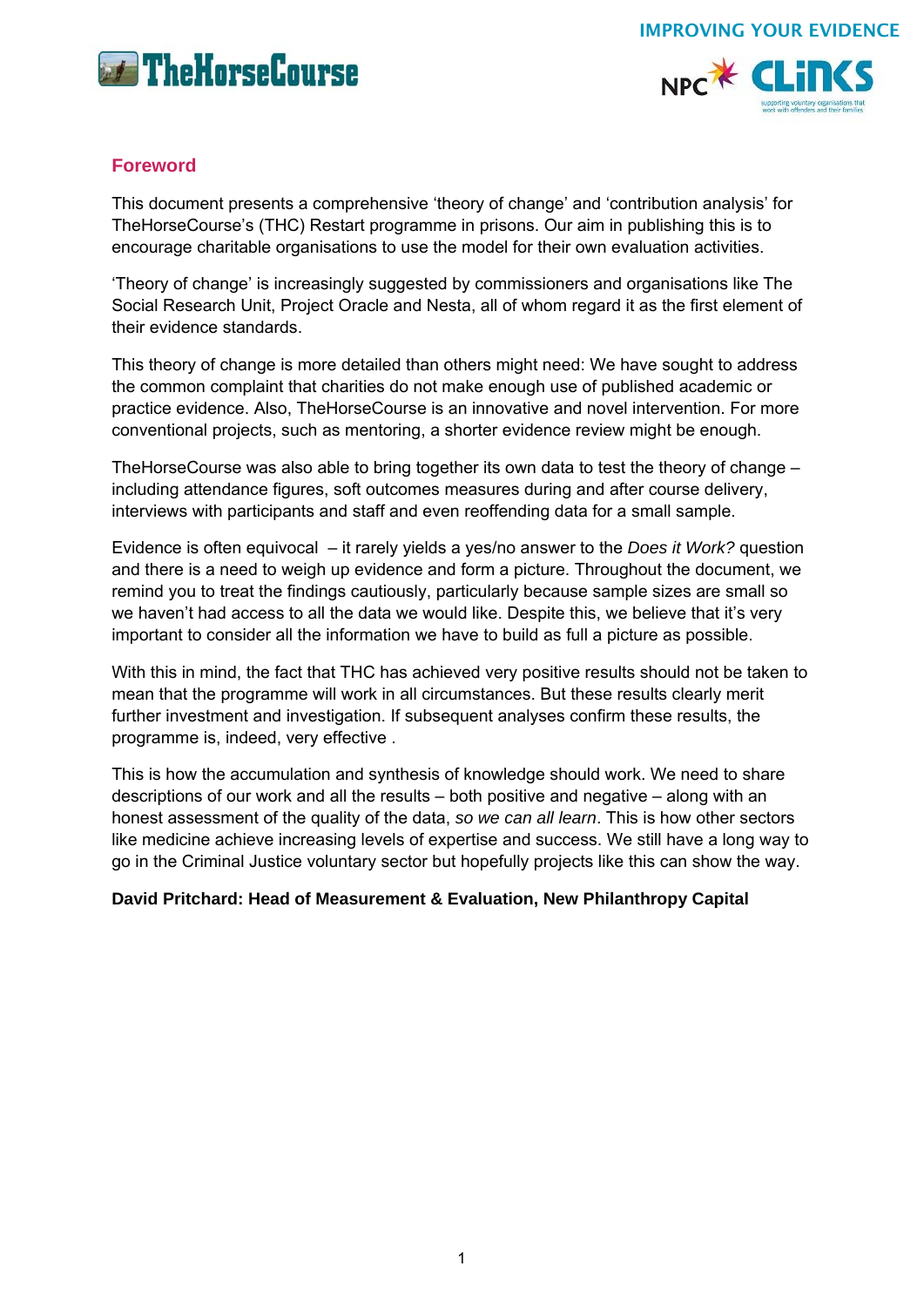



## **Foreword**

This document presents a comprehensive 'theory of change' and 'contribution analysis' for TheHorseCourse's (THC) Restart programme in prisons. Our aim in publishing this is to encourage charitable organisations to use the model for their own evaluation activities.

'Theory of change' is increasingly suggested by commissioners and organisations like The Social Research Unit, Project Oracle and Nesta, all of whom regard it as the first element of their evidence standards.

This theory of change is more detailed than others might need: We have sought to address the common complaint that charities do not make enough use of published academic or practice evidence. Also, TheHorseCourse is an innovative and novel intervention. For more conventional projects, such as mentoring, a shorter evidence review might be enough.

TheHorseCourse was also able to bring together its own data to test the theory of change – including attendance figures, soft outcomes measures during and after course delivery, interviews with participants and staff and even reoffending data for a small sample.

Evidence is often equivocal – it rarely yields a yes/no answer to the *Does it Work?* question and there is a need to weigh up evidence and form a picture. Throughout the document, we remind you to treat the findings cautiously, particularly because sample sizes are small so we haven't had access to all the data we would like. Despite this, we believe that it's very important to consider all the information we have to build as full a picture as possible.

With this in mind, the fact that THC has achieved very positive results should not be taken to mean that the programme will work in all circumstances. But these results clearly merit further investment and investigation. If subsequent analyses confirm these results, the programme is, indeed, very effective .

This is how the accumulation and synthesis of knowledge should work. We need to share descriptions of our work and all the results – both positive and negative – along with an honest assessment of the quality of the data, *so we can all learn*. This is how other sectors like medicine achieve increasing levels of expertise and success. We still have a long way to go in the Criminal Justice voluntary sector but hopefully projects like this can show the way.

## **David Pritchard: Head of Measurement & Evaluation, New Philanthropy Capital**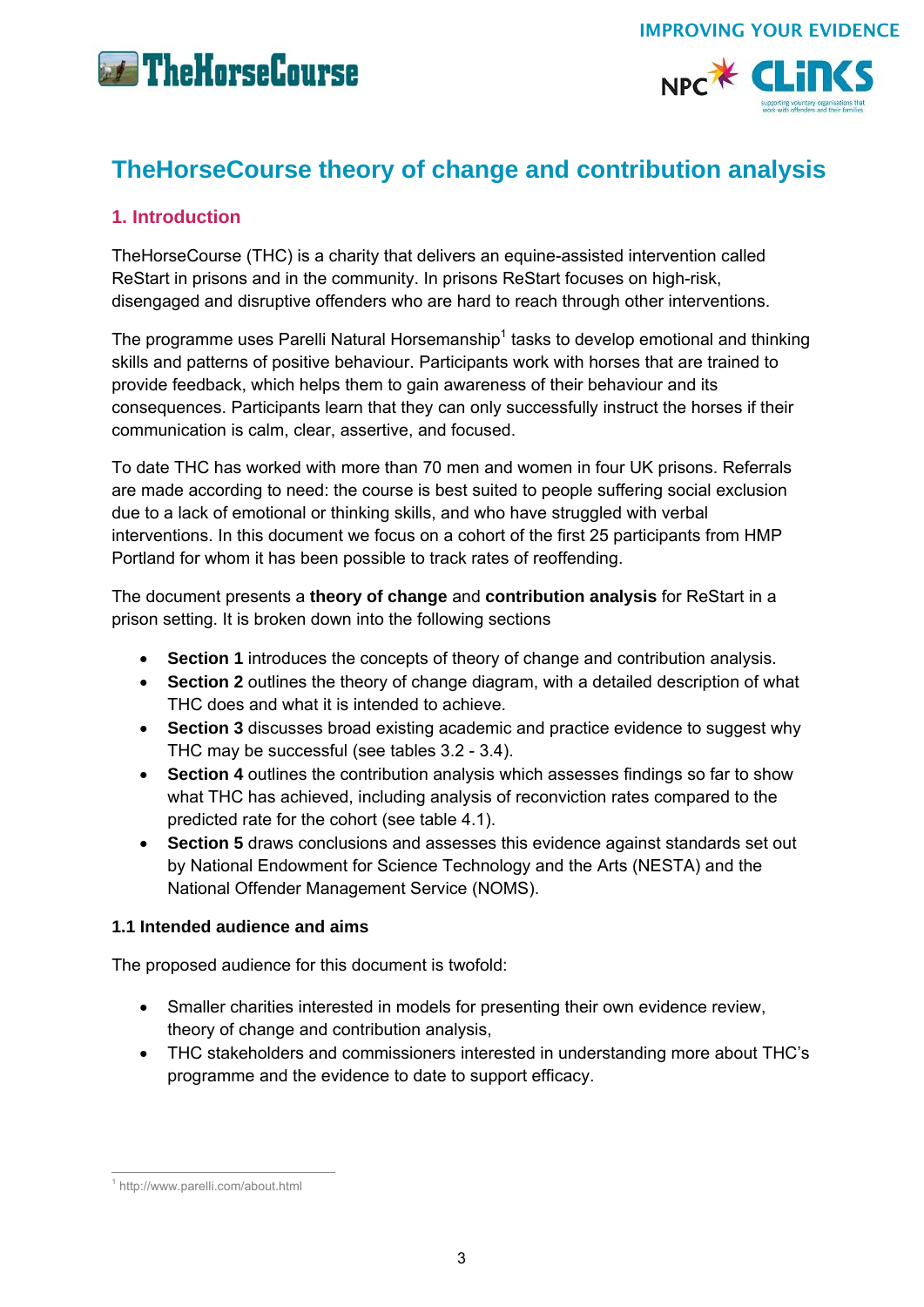



## **TheHorseCourse theory of change and contribution analysis**

## **1. Introduction**

TheHorseCourse (THC) is a charity that delivers an equine-assisted intervention called ReStart in prisons and in the community. In prisons ReStart focuses on high-risk, disengaged and disruptive offenders who are hard to reach through other interventions.

The programme uses Parelli Natural Horsemanship<sup>1</sup> tasks to develop emotional and thinking skills and patterns of positive behaviour. Participants work with horses that are trained to provide feedback, which helps them to gain awareness of their behaviour and its consequences. Participants learn that they can only successfully instruct the horses if their communication is calm, clear, assertive, and focused.

To date THC has worked with more than 70 men and women in four UK prisons. Referrals are made according to need: the course is best suited to people suffering social exclusion due to a lack of emotional or thinking skills, and who have struggled with verbal interventions. In this document we focus on a cohort of the first 25 participants from HMP Portland for whom it has been possible to track rates of reoffending.

The document presents a **theory of change** and **contribution analysis** for ReStart in a prison setting. It is broken down into the following sections

- **Section 1** introduces the concepts of theory of change and contribution analysis.
- **Section 2** outlines the theory of change diagram, with a detailed description of what THC does and what it is intended to achieve.
- **Section 3** discusses broad existing academic and practice evidence to suggest why THC may be successful (see tables 3.2 - 3.4).
- **Section 4** outlines the contribution analysis which assesses findings so far to show what THC has achieved, including analysis of reconviction rates compared to the predicted rate for the cohort (see table 4.1).
- **Section 5** draws conclusions and assesses this evidence against standards set out by National Endowment for Science Technology and the Arts (NESTA) and the National Offender Management Service (NOMS).

## **1.1 Intended audience and aims**

The proposed audience for this document is twofold:

- Smaller charities interested in models for presenting their own evidence review, theory of change and contribution analysis,
- THC stakeholders and commissioners interested in understanding more about THC's programme and the evidence to date to support efficacy.

<sup>-&</sup>lt;br><sup>1</sup> http://www.parelli.com/about.html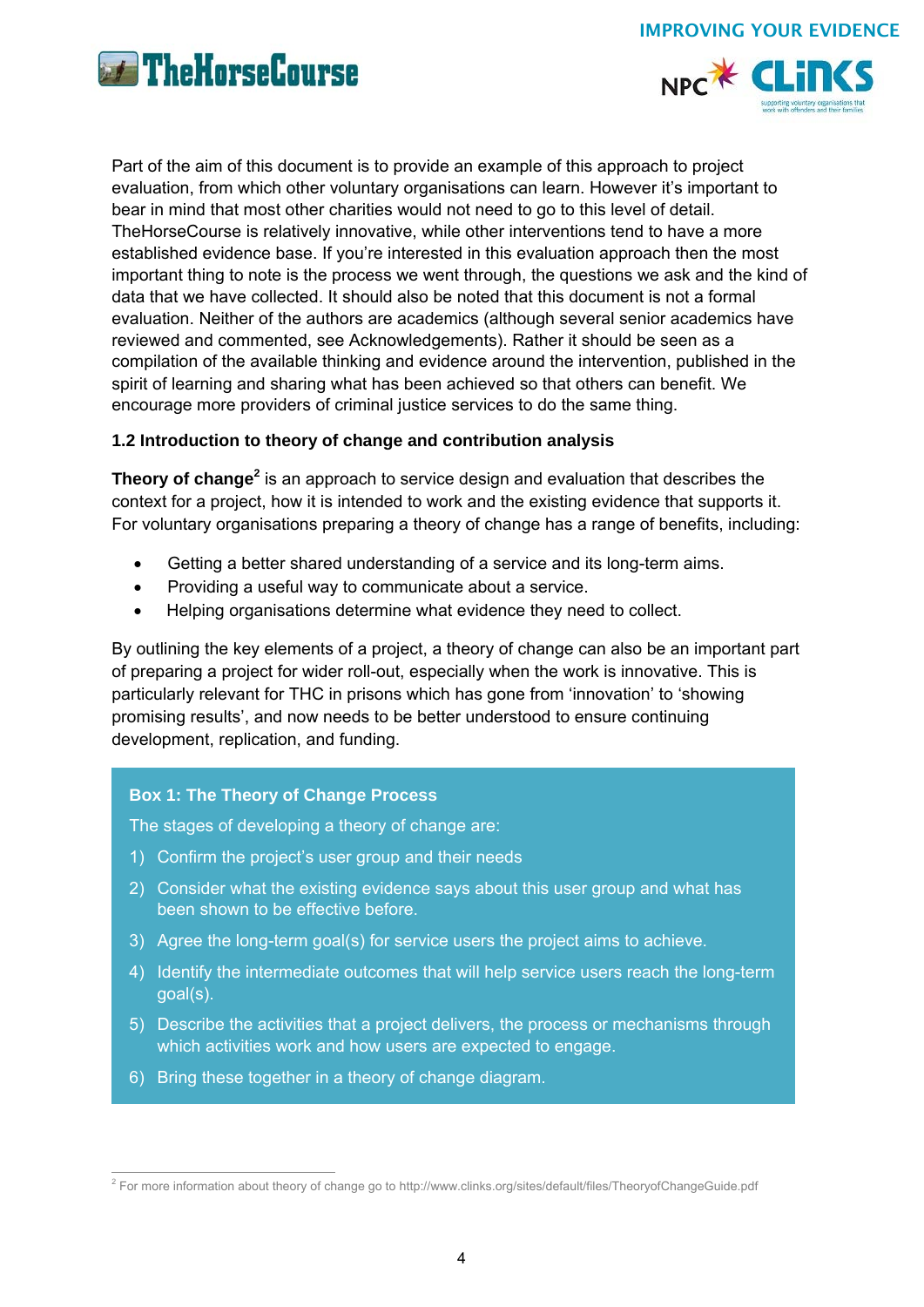





Part of the aim of this document is to provide an example of this approach to project evaluation, from which other voluntary organisations can learn. However it's important to bear in mind that most other charities would not need to go to this level of detail. TheHorseCourse is relatively innovative, while other interventions tend to have a more established evidence base. If you're interested in this evaluation approach then the most important thing to note is the process we went through, the questions we ask and the kind of data that we have collected. It should also be noted that this document is not a formal evaluation. Neither of the authors are academics (although several senior academics have reviewed and commented, see Acknowledgements). Rather it should be seen as a compilation of the available thinking and evidence around the intervention, published in the spirit of learning and sharing what has been achieved so that others can benefit. We encourage more providers of criminal justice services to do the same thing.

## **1.2 Introduction to theory of change and contribution analysis**

Theory of change<sup>2</sup> is an approach to service design and evaluation that describes the context for a project, how it is intended to work and the existing evidence that supports it. For voluntary organisations preparing a theory of change has a range of benefits, including:

- Getting a better shared understanding of a service and its long-term aims.
- Providing a useful way to communicate about a service.
- Helping organisations determine what evidence they need to collect.

By outlining the key elements of a project, a theory of change can also be an important part of preparing a project for wider roll-out, especially when the work is innovative. This is particularly relevant for THC in prisons which has gone from 'innovation' to 'showing promising results', and now needs to be better understood to ensure continuing development, replication, and funding.

## **Box 1: The Theory of Change Process**

The stages of developing a theory of change are:

- 1) Confirm the project's user group and their needs
- 2) Consider what the existing evidence says about this user group and what has been shown to be effective before.
- 3) Agree the long-term goal(s) for service users the project aims to achieve.
- 4) Identify the intermediate outcomes that will help service users reach the long-term goal(s).
- 5) Describe the activities that a project delivers, the process or mechanisms through which activities work and how users are expected to engage.
- 6) Bring these together in a theory of change diagram.

 2 For more information about theory of change go to http://www.clinks.org/sites/default/files/TheoryofChangeGuide.pdf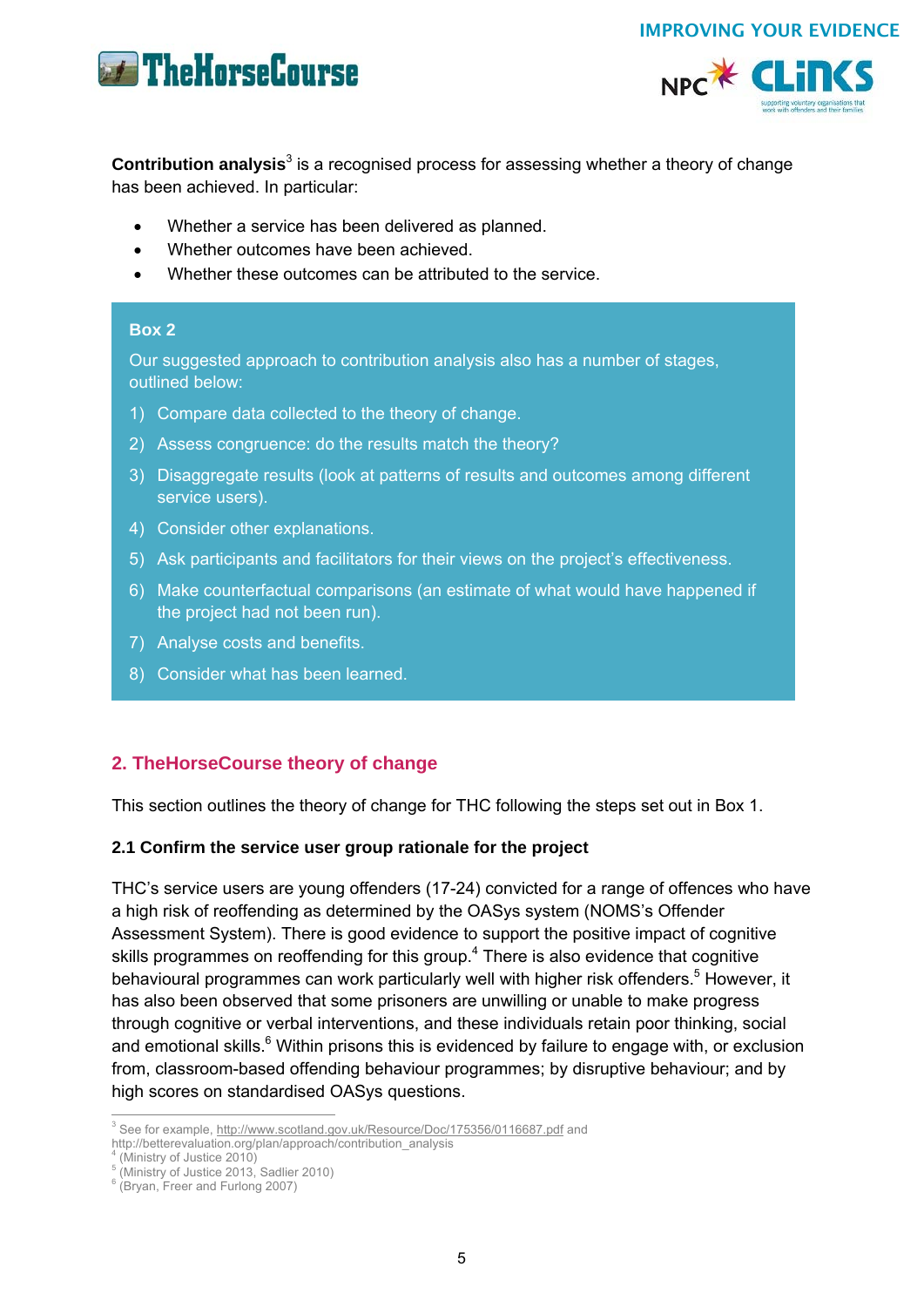



**Contribution analysis**<sup>3</sup> is a recognised process for assessing whether a theory of change has been achieved. In particular:

- Whether a service has been delivered as planned.
- Whether outcomes have been achieved.
- Whether these outcomes can be attributed to the service.

## **Box 2**

Our suggested approach to contribution analysis also has a number of stages, outlined below:

- 1) Compare data collected to the theory of change.
- 2) Assess congruence: do the results match the theory?
- 3) Disaggregate results (look at patterns of results and outcomes among different service users).
- 4) Consider other explanations.
- 5) Ask participants and facilitators for their views on the project's effectiveness.
- 6) Make counterfactual comparisons (an estimate of what would have happened if the project had not been run).
- 7) Analyse costs and benefits.
- 8) Consider what has been learned.

## **2. TheHorseCourse theory of change**

This section outlines the theory of change for THC following the steps set out in Box 1.

### **2.1 Confirm the service user group rationale for the project**

THC's service users are young offenders (17-24) convicted for a range of offences who have a high risk of reoffending as determined by the OASys system (NOMS's Offender Assessment System). There is good evidence to support the positive impact of cognitive skills programmes on reoffending for this group.<sup>4</sup> There is also evidence that cognitive behavioural programmes can work particularly well with higher risk offenders.<sup>5</sup> However, it has also been observed that some prisoners are unwilling or unable to make progress through cognitive or verbal interventions, and these individuals retain poor thinking, social and emotional skills.<sup>6</sup> Within prisons this is evidenced by failure to engage with, or exclusion from, classroom-based offending behaviour programmes; by disruptive behaviour; and by high scores on standardised OASys questions.

(Ministry of Justice 2010)

 3 See for example, http://www.scotland.gov.uk/Resource/Doc/175356/0116687.pdf and

http://betterevaluation.org/plan/approach/contribution\_analysis 4

<sup>5</sup> (Ministry of Justice 2013, Sadlier 2010)

<sup>6</sup> (Bryan, Freer and Furlong 2007)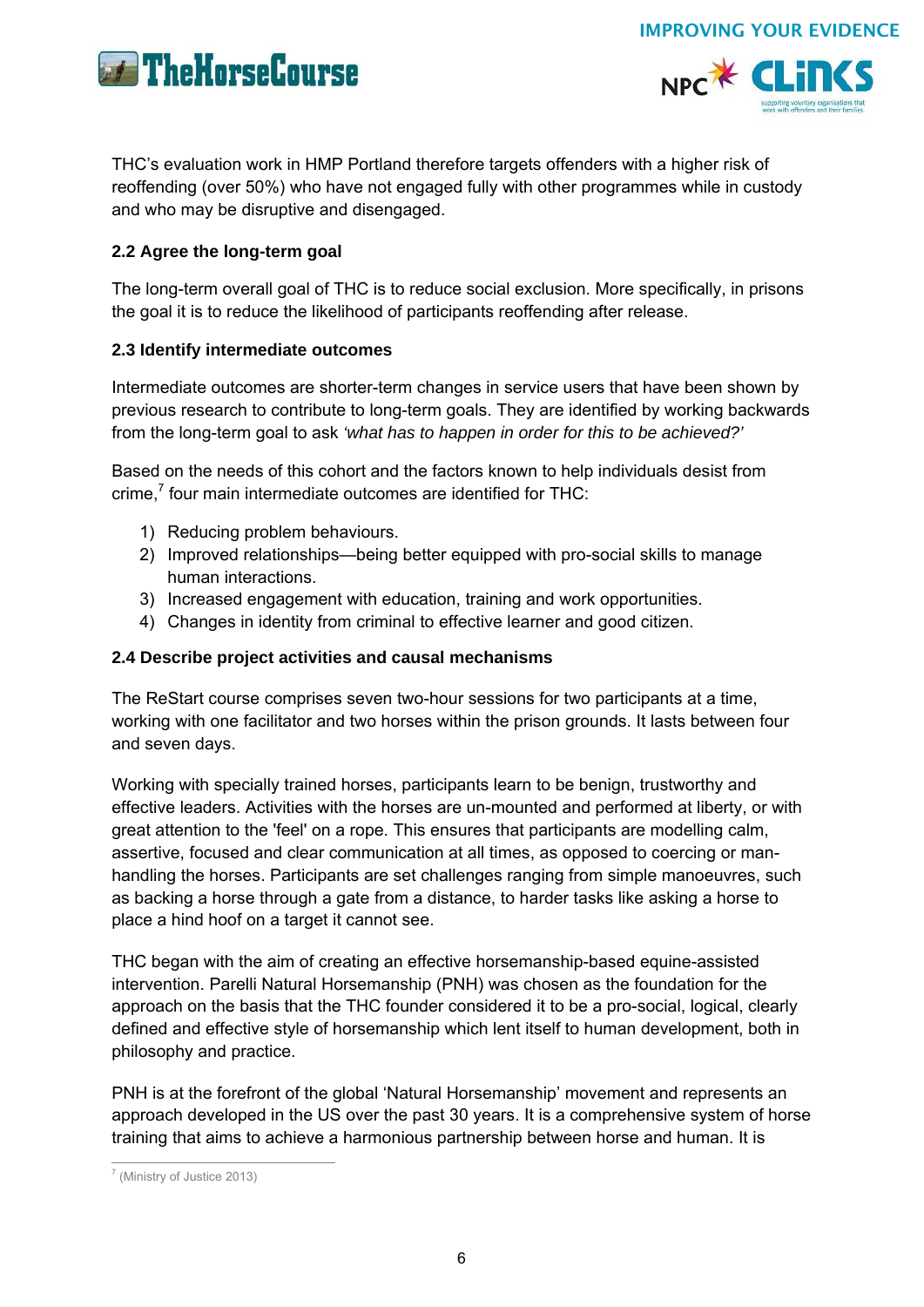





THC's evaluation work in HMP Portland therefore targets offenders with a higher risk of reoffending (over 50%) who have not engaged fully with other programmes while in custody and who may be disruptive and disengaged.

## **2.2 Agree the long-term goal**

The long-term overall goal of THC is to reduce social exclusion. More specifically, in prisons the goal it is to reduce the likelihood of participants reoffending after release.

## **2.3 Identify intermediate outcomes**

Intermediate outcomes are shorter-term changes in service users that have been shown by previous research to contribute to long-term goals. They are identified by working backwards from the long-term goal to ask *'what has to happen in order for this to be achieved?'*

Based on the needs of this cohort and the factors known to help individuals desist from crime, $<sup>7</sup>$  four main intermediate outcomes are identified for THC:</sup>

- 1) Reducing problem behaviours.
- 2) Improved relationships—being better equipped with pro-social skills to manage human interactions.
- 3) Increased engagement with education, training and work opportunities.
- 4) Changes in identity from criminal to effective learner and good citizen.

## **2.4 Describe project activities and causal mechanisms**

The ReStart course comprises seven two-hour sessions for two participants at a time, working with one facilitator and two horses within the prison grounds. It lasts between four and seven days.

Working with specially trained horses, participants learn to be benign, trustworthy and effective leaders. Activities with the horses are un-mounted and performed at liberty, or with great attention to the 'feel' on a rope. This ensures that participants are modelling calm, assertive, focused and clear communication at all times, as opposed to coercing or manhandling the horses. Participants are set challenges ranging from simple manoeuvres, such as backing a horse through a gate from a distance, to harder tasks like asking a horse to place a hind hoof on a target it cannot see.

THC began with the aim of creating an effective horsemanship-based equine-assisted intervention. Parelli Natural Horsemanship (PNH) was chosen as the foundation for the approach on the basis that the THC founder considered it to be a pro-social, logical, clearly defined and effective style of horsemanship which lent itself to human development, both in philosophy and practice.

PNH is at the forefront of the global 'Natural Horsemanship' movement and represents an approach developed in the US over the past 30 years. It is a comprehensive system of horse training that aims to achieve a harmonious partnership between horse and human. It is

 7 (Ministry of Justice 2013)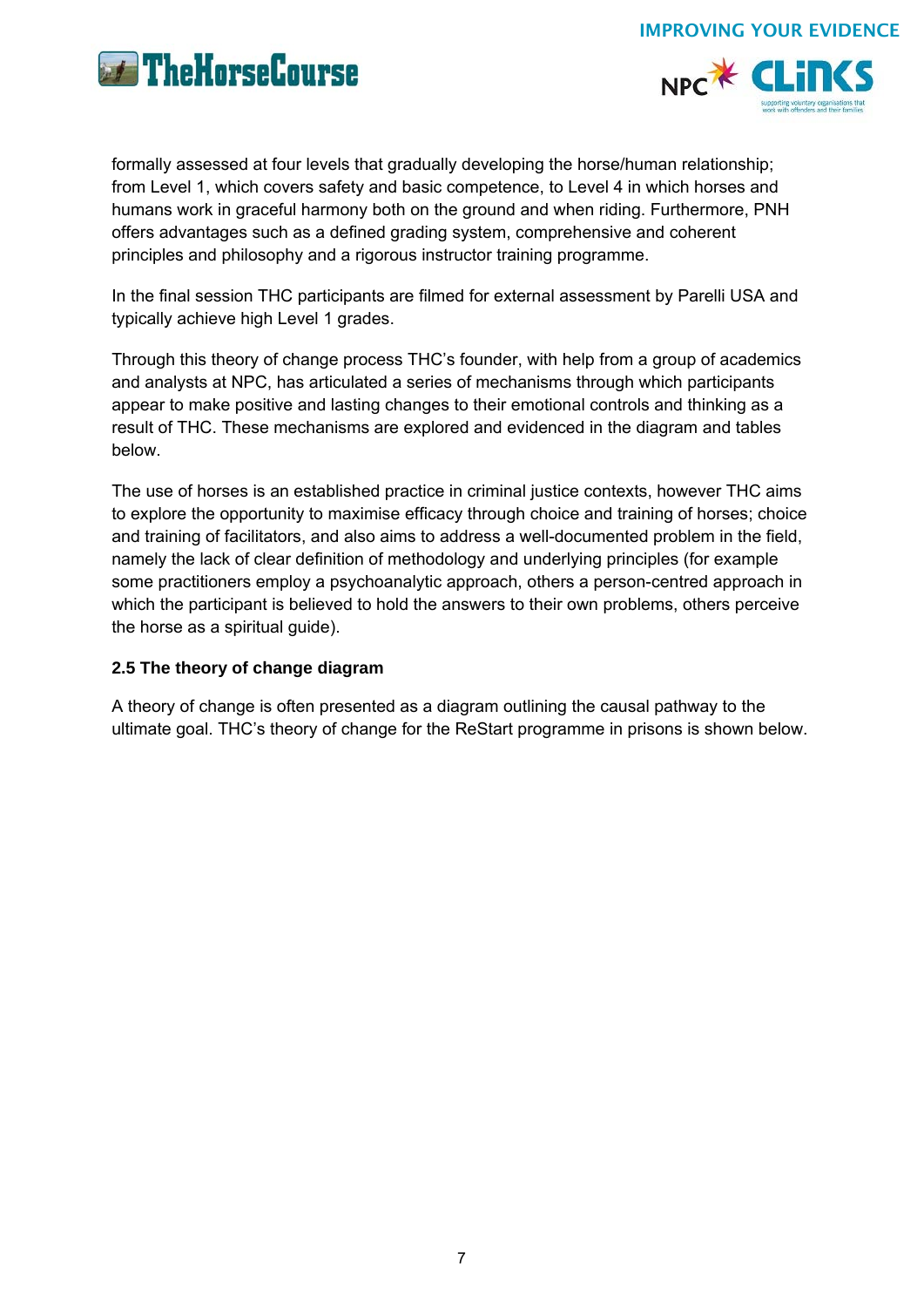



formally assessed at four levels that gradually developing the horse/human relationship; from Level 1, which covers safety and basic competence, to Level 4 in which horses and humans work in graceful harmony both on the ground and when riding. Furthermore, PNH offers advantages such as a defined grading system, comprehensive and coherent principles and philosophy and a rigorous instructor training programme.

In the final session THC participants are filmed for external assessment by Parelli USA and typically achieve high Level 1 grades.

Through this theory of change process THC's founder, with help from a group of academics and analysts at NPC, has articulated a series of mechanisms through which participants appear to make positive and lasting changes to their emotional controls and thinking as a result of THC. These mechanisms are explored and evidenced in the diagram and tables below.

The use of horses is an established practice in criminal justice contexts, however THC aims to explore the opportunity to maximise efficacy through choice and training of horses; choice and training of facilitators, and also aims to address a well-documented problem in the field, namely the lack of clear definition of methodology and underlying principles (for example some practitioners employ a psychoanalytic approach, others a person-centred approach in which the participant is believed to hold the answers to their own problems, others perceive the horse as a spiritual guide).

## **2.5 The theory of change diagram**

A theory of change is often presented as a diagram outlining the causal pathway to the ultimate goal. THC's theory of change for the ReStart programme in prisons is shown below.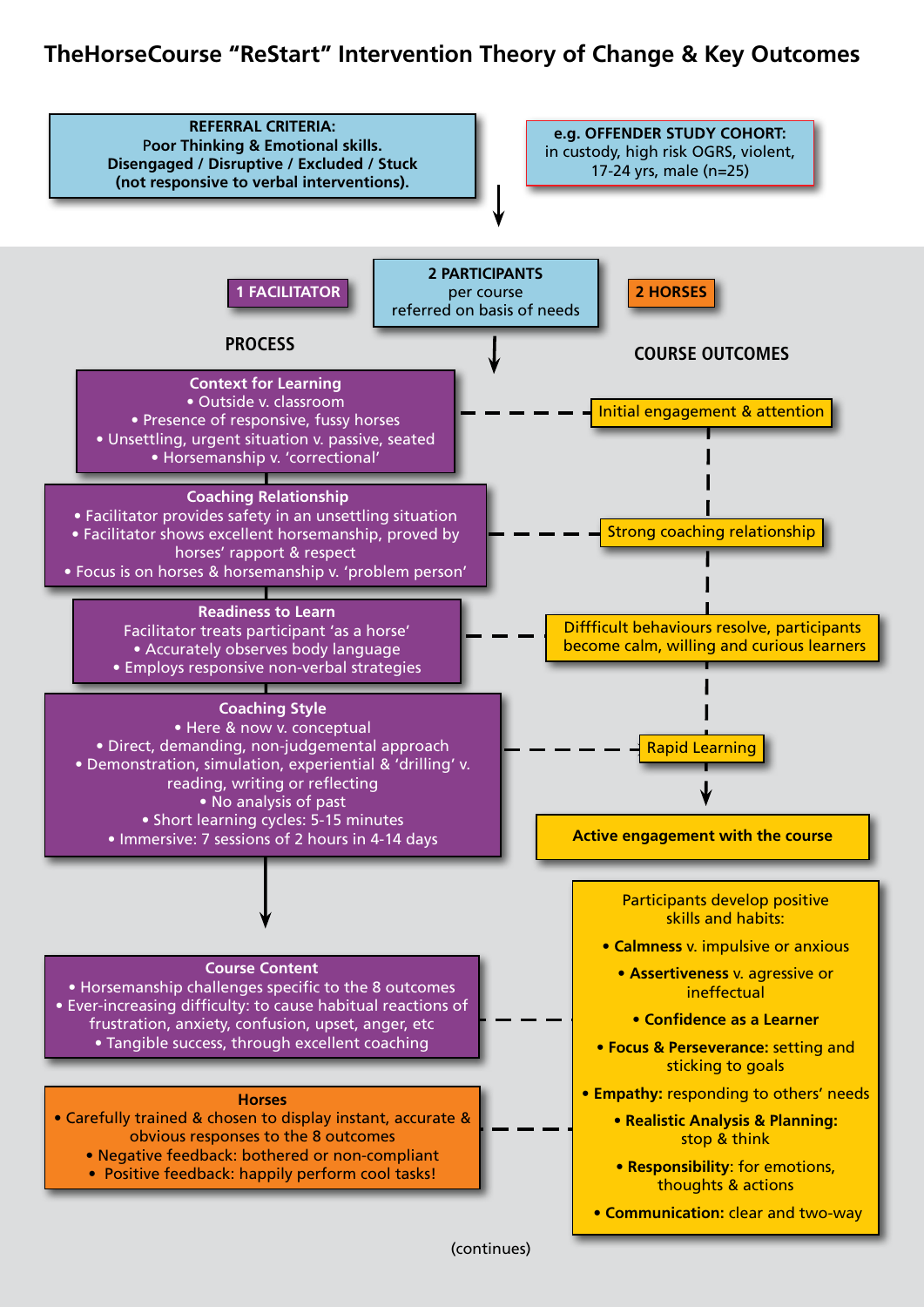## **TheHorseCourse "ReStart" Intervention Theory of Change & Key Outcomes**

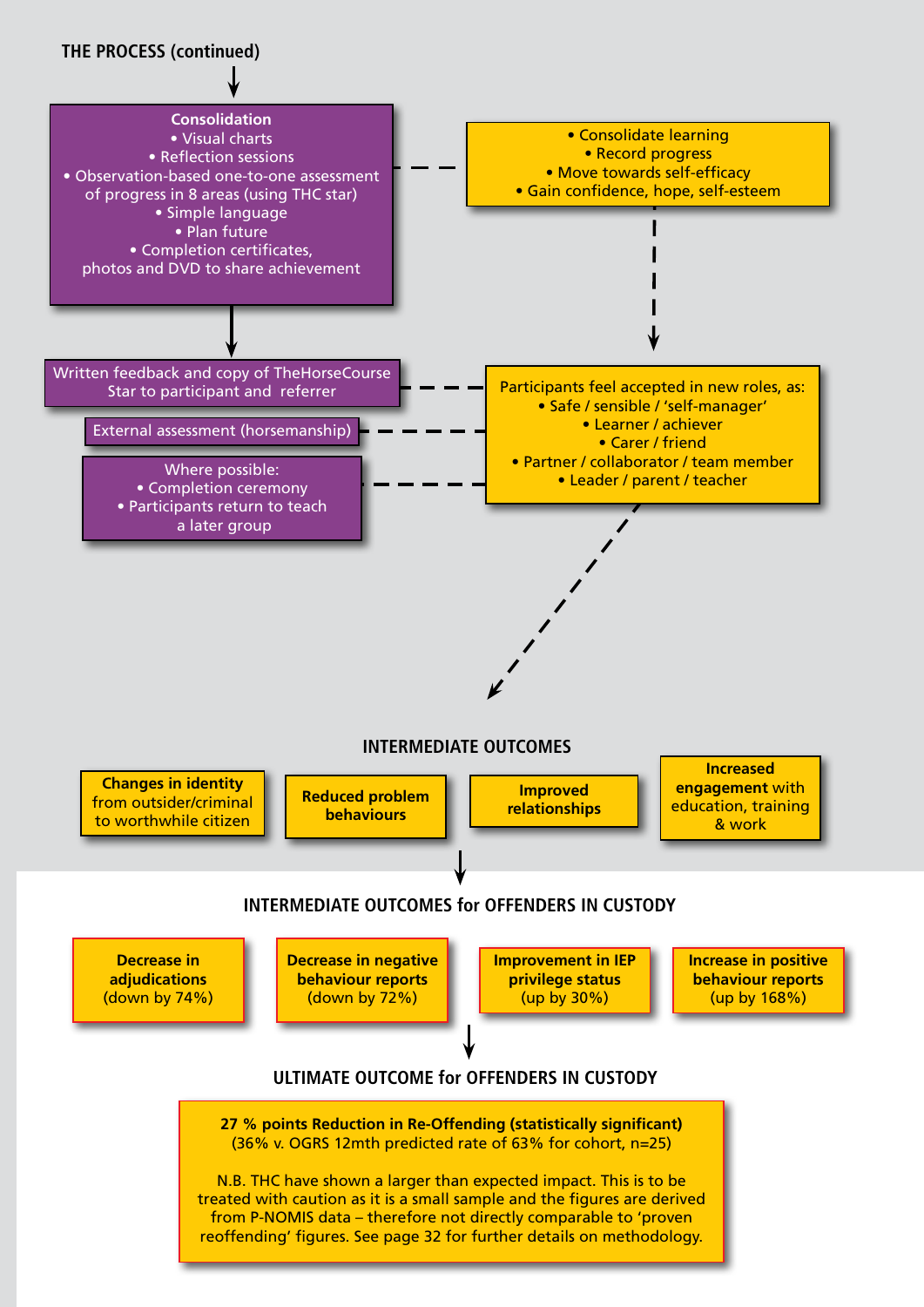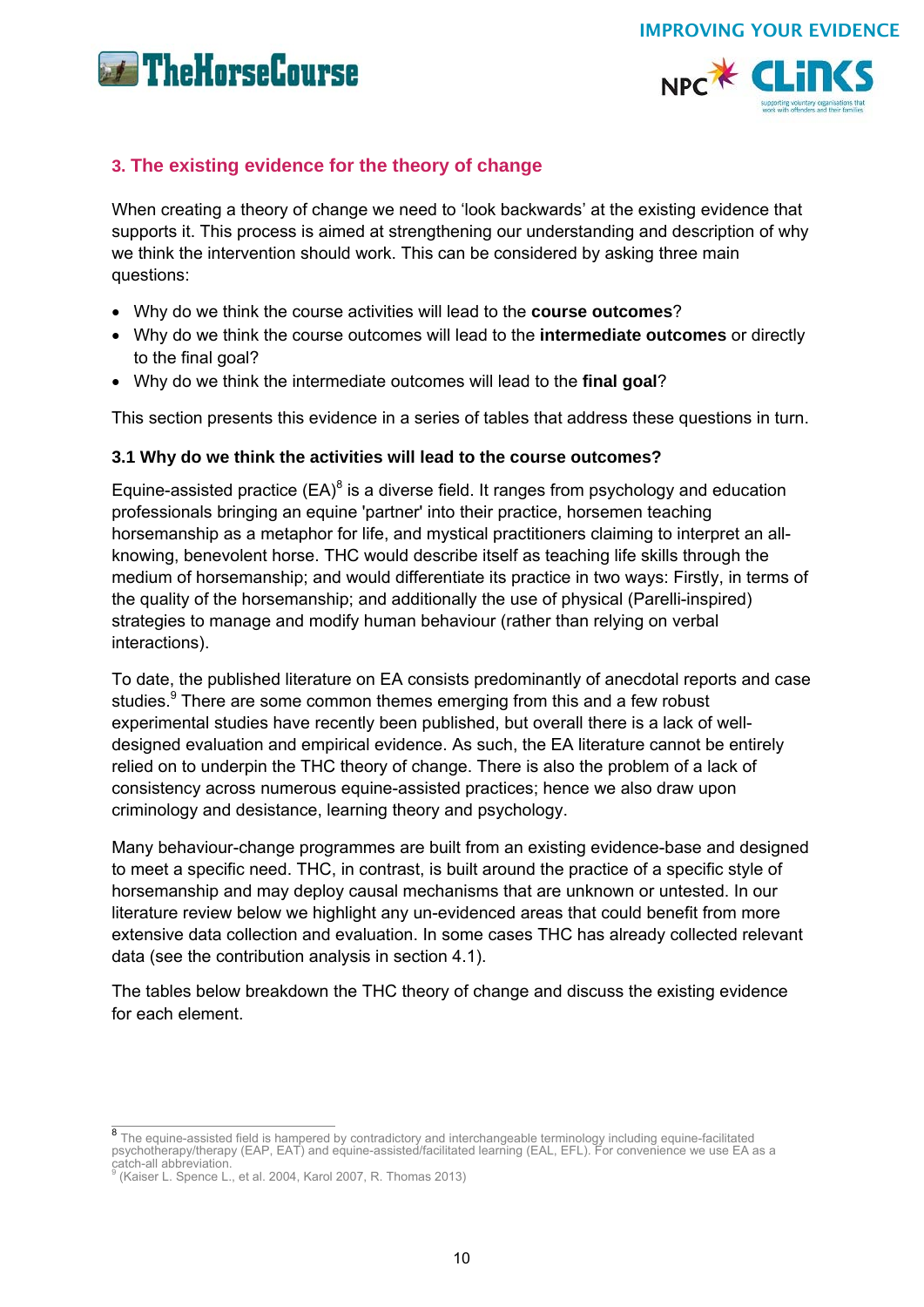**The Horse Course** 



IMPROVING YOUR EVIDENCE

## **3. The existing evidence for the theory of change**

When creating a theory of change we need to 'look backwards' at the existing evidence that supports it. This process is aimed at strengthening our understanding and description of why we think the intervention should work. This can be considered by asking three main questions:

- Why do we think the course activities will lead to the **course outcomes**?
- Why do we think the course outcomes will lead to the **intermediate outcomes** or directly to the final goal?
- Why do we think the intermediate outcomes will lead to the **final goal**?

This section presents this evidence in a series of tables that address these questions in turn.

## **3.1 Why do we think the activities will lead to the course outcomes?**

Equine-assisted practice  $(EA)^8$  is a diverse field. It ranges from psychology and education professionals bringing an equine 'partner' into their practice, horsemen teaching horsemanship as a metaphor for life, and mystical practitioners claiming to interpret an allknowing, benevolent horse. THC would describe itself as teaching life skills through the medium of horsemanship; and would differentiate its practice in two ways: Firstly, in terms of the quality of the horsemanship; and additionally the use of physical (Parelli-inspired) strategies to manage and modify human behaviour (rather than relying on verbal interactions).

To date, the published literature on EA consists predominantly of anecdotal reports and case studies.<sup>9</sup> There are some common themes emerging from this and a few robust experimental studies have recently been published, but overall there is a lack of welldesigned evaluation and empirical evidence. As such, the EA literature cannot be entirely relied on to underpin the THC theory of change. There is also the problem of a lack of consistency across numerous equine-assisted practices; hence we also draw upon criminology and desistance, learning theory and psychology.

Many behaviour-change programmes are built from an existing evidence-base and designed to meet a specific need. THC, in contrast, is built around the practice of a specific style of horsemanship and may deploy causal mechanisms that are unknown or untested. In our literature review below we highlight any un-evidenced areas that could benefit from more extensive data collection and evaluation. In some cases THC has already collected relevant data (see the contribution analysis in section 4.1).

The tables below breakdown the THC theory of change and discuss the existing evidence for each element.

<sup>8&</sup>lt;br>8 The equine-assisted field is hampered by contradictory and interchangeable terminology including equine-facilitated psychotherapy/therapy (EAP, EAT) and equine-assisted/facilitated learning (EAL, EFL). For convenience we use EA as a catch-all abbreviation.

<sup>&</sup>lt;sup>9</sup> (Kaiser L. Spence L., et al. 2004, Karol 2007, R. Thomas 2013)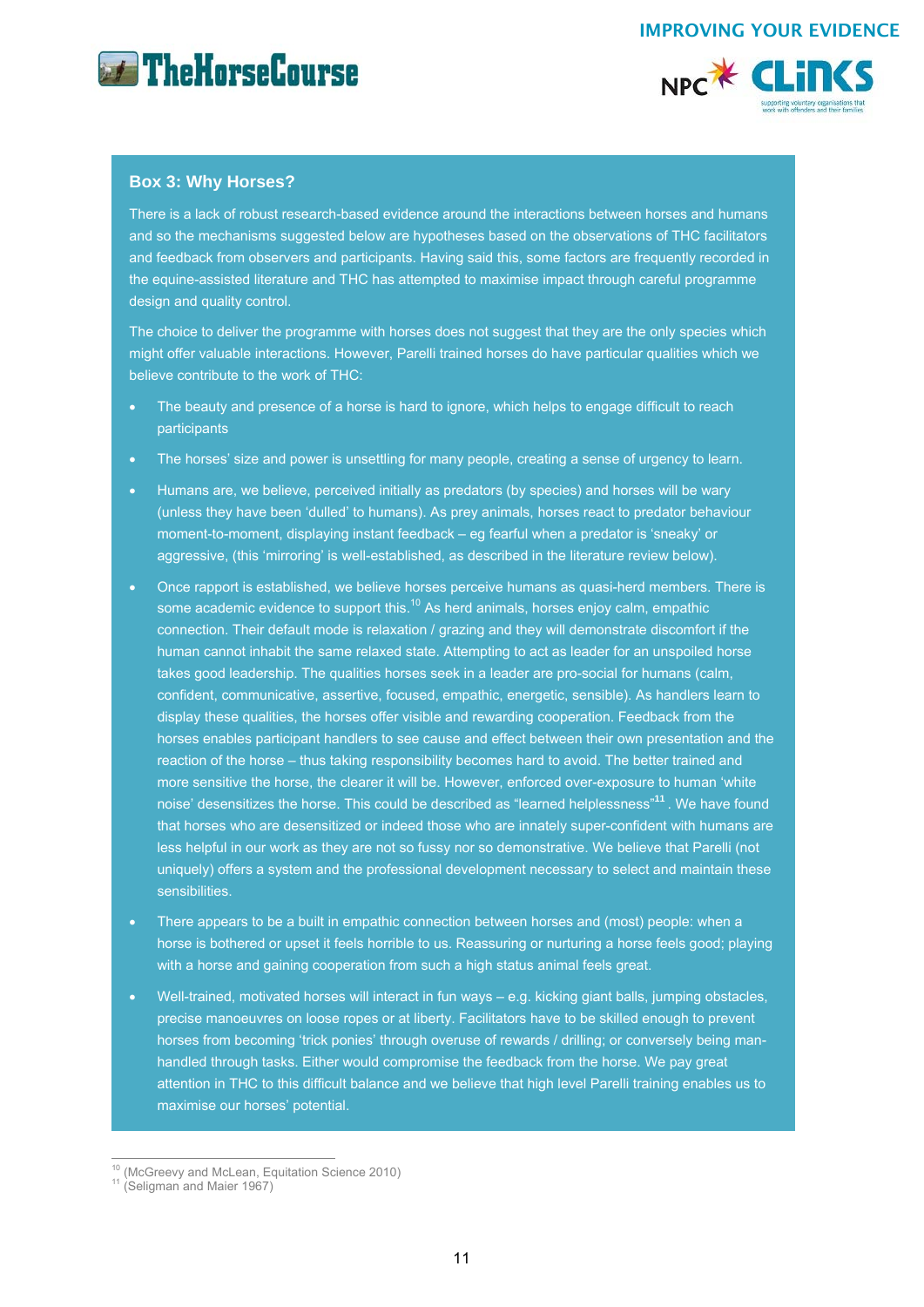



#### **Box 3: Why Horses?**

There is a lack of robust research-based evidence around the interactions between horses and humans and so the mechanisms suggested below are hypotheses based on the observations of THC facilitators and feedback from observers and participants. Having said this, some factors are frequently recorded in the equine-assisted literature and THC has attempted to maximise impact through careful programme design and quality control.

The choice to deliver the programme with horses does not suggest that they are the only species which might offer valuable interactions. However, Parelli trained horses do have particular qualities which we believe contribute to the work of THC:

- The beauty and presence of a horse is hard to ignore, which helps to engage difficult to reach participants
- The horses' size and power is unsettling for many people, creating a sense of urgency to learn.
- Humans are, we believe, perceived initially as predators (by species) and horses will be wary (unless they have been 'dulled' to humans). As prey animals, horses react to predator behaviour moment-to-moment, displaying instant feedback – eg fearful when a predator is 'sneaky' or aggressive, (this 'mirroring' is well-established, as described in the literature review below).
- Once rapport is established, we believe horses perceive humans as quasi-herd members. There is some academic evidence to support this.<sup>10</sup> As herd animals, horses enjoy calm, empathic connection. Their default mode is relaxation / grazing and they will demonstrate discomfort if the human cannot inhabit the same relaxed state. Attempting to act as leader for an unspoiled horse takes good leadership. The qualities horses seek in a leader are pro-social for humans (calm, confident, communicative, assertive, focused, empathic, energetic, sensible). As handlers learn to display these qualities, the horses offer visible and rewarding cooperation. Feedback from the horses enables participant handlers to see cause and effect between their own presentation and the reaction of the horse – thus taking responsibility becomes hard to avoid. The better trained and more sensitive the horse, the clearer it will be. However, enforced over-exposure to human 'white noise' desensitizes the horse. This could be described as "learned helplessness"**<sup>11</sup>**. We have found that horses who are desensitized or indeed those who are innately super-confident with humans are less helpful in our work as they are not so fussy nor so demonstrative. We believe that Parelli (not uniquely) offers a system and the professional development necessary to select and maintain these sensibilities.
- There appears to be a built in empathic connection between horses and (most) people: when a horse is bothered or upset it feels horrible to us. Reassuring or nurturing a horse feels good; playing with a horse and gaining cooperation from such a high status animal feels great.
- Well-trained, motivated horses will interact in fun ways e.g. kicking giant balls, jumping obstacles, precise manoeuvres on loose ropes or at liberty. Facilitators have to be skilled enough to prevent horses from becoming 'trick ponies' through overuse of rewards / drilling; or conversely being manhandled through tasks. Either would compromise the feedback from the horse. We pay great attention in THC to this difficult balance and we believe that high level Parelli training enables us to maximise our horses' potential.

 $\overline{1}$ <sup>10</sup> (McGreevy and McLean, Equitation Science 2010)<br><sup>11</sup> (Seligman and Maier 1967)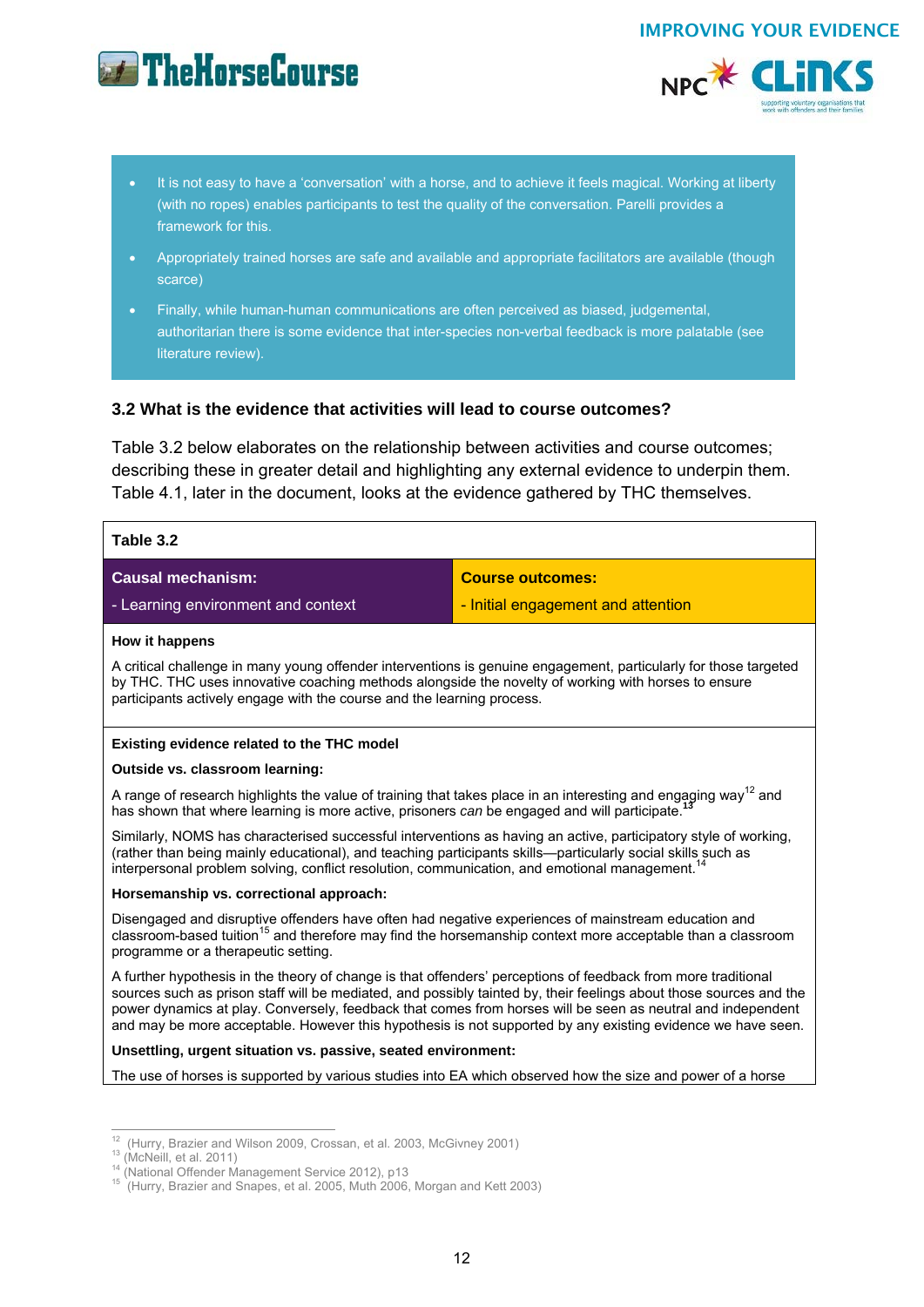## **External The HorseCourse**



- It is not easy to have a 'conversation' with a horse, and to achieve it feels magical. Working at liberty (with no ropes) enables participants to test the quality of the conversation. Parelli provides a framework for this.
- Appropriately trained horses are safe and available and appropriate facilitators are available (though scarce)
- Finally, while human-human communications are often perceived as biased, judgemental, authoritarian there is some evidence that inter-species non-verbal feedback is more palatable (see literature review).

## **3.2 What is the evidence that activities will lead to course outcomes?**

Table 3.2 below elaborates on the relationship between activities and course outcomes; describing these in greater detail and highlighting any external evidence to underpin them. Table 4.1, later in the document, looks at the evidence gathered by THC themselves.

| Table 3.2                                                                                                                                                                                                                                                                                                                                                                                                                                                         |                                                                                                                        |  |
|-------------------------------------------------------------------------------------------------------------------------------------------------------------------------------------------------------------------------------------------------------------------------------------------------------------------------------------------------------------------------------------------------------------------------------------------------------------------|------------------------------------------------------------------------------------------------------------------------|--|
| <b>Causal mechanism:</b>                                                                                                                                                                                                                                                                                                                                                                                                                                          | <b>Course outcomes:</b>                                                                                                |  |
| - Learning environment and context                                                                                                                                                                                                                                                                                                                                                                                                                                | - Initial engagement and attention                                                                                     |  |
| How it happens                                                                                                                                                                                                                                                                                                                                                                                                                                                    |                                                                                                                        |  |
| A critical challenge in many young offender interventions is genuine engagement, particularly for those targeted<br>by THC. THC uses innovative coaching methods alongside the novelty of working with horses to ensure<br>participants actively engage with the course and the learning process.                                                                                                                                                                 |                                                                                                                        |  |
| Existing evidence related to the THC model                                                                                                                                                                                                                                                                                                                                                                                                                        |                                                                                                                        |  |
| Outside vs. classroom learning:                                                                                                                                                                                                                                                                                                                                                                                                                                   |                                                                                                                        |  |
| A range of research highlights the value of training that takes place in an interesting and engaging way <sup>12</sup> and<br>has shown that where learning is more active, prisoners can be engaged and will participate.                                                                                                                                                                                                                                        |                                                                                                                        |  |
| Similarly, NOMS has characterised successful interventions as having an active, participatory style of working,<br>(rather than being mainly educational), and teaching participants skills—particularly social skills such as<br>interpersonal problem solving, conflict resolution, communication, and emotional management. <sup>14</sup>                                                                                                                      |                                                                                                                        |  |
| Horsemanship vs. correctional approach:                                                                                                                                                                                                                                                                                                                                                                                                                           |                                                                                                                        |  |
| Disengaged and disruptive offenders have often had negative experiences of mainstream education and<br>programme or a therapeutic setting.                                                                                                                                                                                                                                                                                                                        | classroom-based tuition <sup>15</sup> and therefore may find the horsemanship context more acceptable than a classroom |  |
| A further hypothesis in the theory of change is that offenders' perceptions of feedback from more traditional<br>sources such as prison staff will be mediated, and possibly tainted by, their feelings about those sources and the<br>power dynamics at play. Conversely, feedback that comes from horses will be seen as neutral and independent<br>and may be more acceptable. However this hypothesis is not supported by any existing evidence we have seen. |                                                                                                                        |  |
| Unsettling, urgent situation vs. passive, seated environment:                                                                                                                                                                                                                                                                                                                                                                                                     |                                                                                                                        |  |
| The use of horses is supported by various studies into EA which observed how the size and power of a horse                                                                                                                                                                                                                                                                                                                                                        |                                                                                                                        |  |
|                                                                                                                                                                                                                                                                                                                                                                                                                                                                   |                                                                                                                        |  |
|                                                                                                                                                                                                                                                                                                                                                                                                                                                                   |                                                                                                                        |  |

<sup>&</sup>lt;sup>12</sup> (Hurry, Brazier and Wilson 2009, Crossan, et al. 2003, McGivney 2001)

<sup>&</sup>lt;sup>13</sup> (McNeill, et al. 2011)<br>
<sup>14</sup> (National Offender Management Service 2012), p13<br>
<sup>15</sup> (Hurry, Brazier and Snapes, et al. 2005, Muth 2006, Morgan and Kett 2003)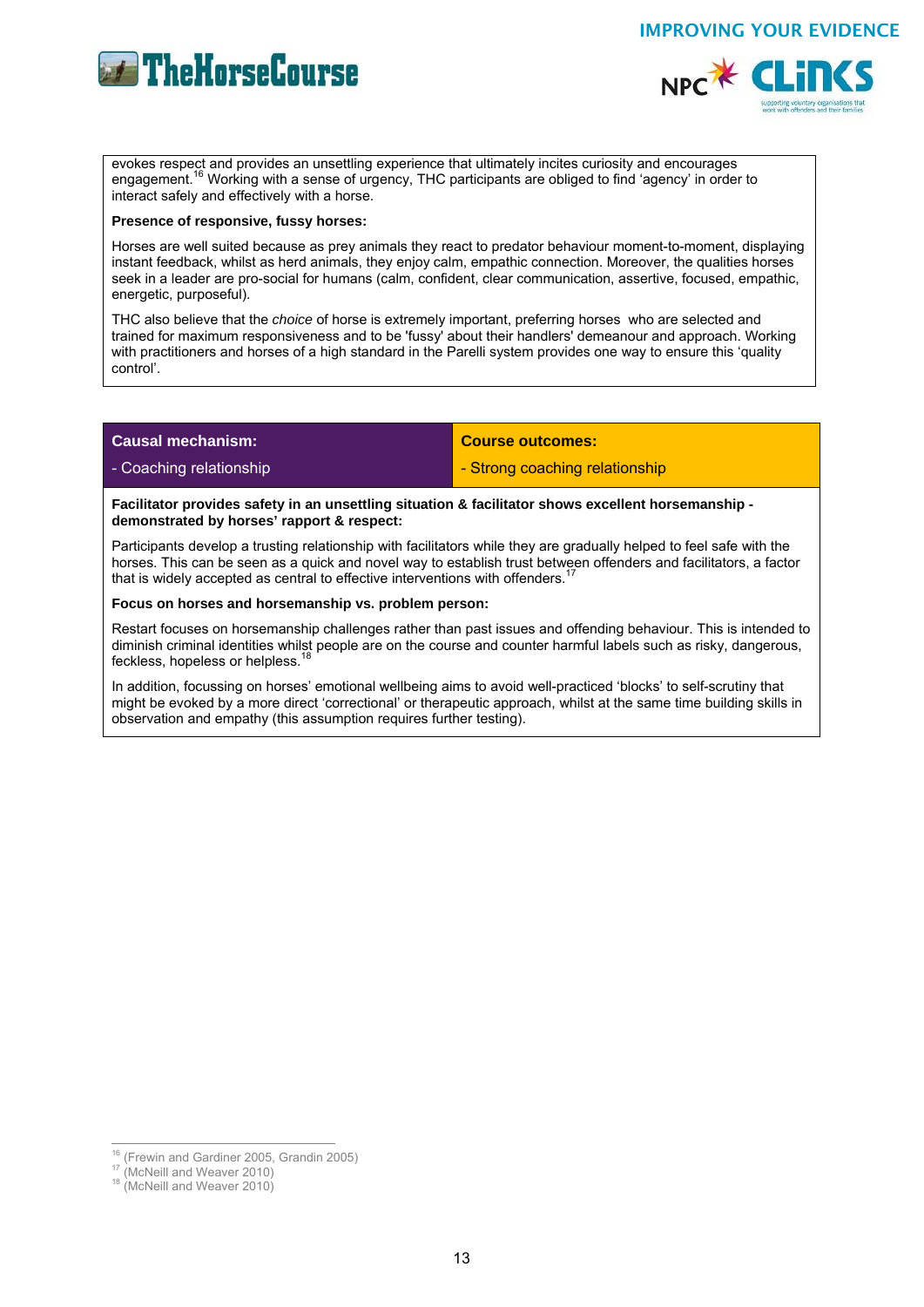



evokes respect and provides an unsettling experience that ultimately incites curiosity and encourages engagement.<sup>16</sup> Working with a sense of urgency, THC participants are obliged to find 'agency' in order to interact safely and effectively with a horse.

#### **Presence of responsive, fussy horses:**

Horses are well suited because as prey animals they react to predator behaviour moment-to-moment, displaying instant feedback, whilst as herd animals, they enjoy calm, empathic connection. Moreover, the qualities horses seek in a leader are pro-social for humans (calm, confident, clear communication, assertive, focused, empathic, energetic, purposeful).

THC also believe that the *choice* of horse is extremely important, preferring horses who are selected and trained for maximum responsiveness and to be 'fussy' about their handlers' demeanour and approach. Working with practitioners and horses of a high standard in the Parelli system provides one way to ensure this 'quality control'.

#### **Causal mechanism:**

- Coaching relationship

**Course outcomes:** 

- Strong coaching relationship

**Facilitator provides safety in an unsettling situation & facilitator shows excellent horsemanship demonstrated by horses' rapport & respect:** 

Participants develop a trusting relationship with facilitators while they are gradually helped to feel safe with the horses. This can be seen as a quick and novel way to establish trust between offenders and facilitators, a factor that is widely accepted as central to effective interventions with offenders.

**Focus on horses and horsemanship vs. problem person:** 

Restart focuses on horsemanship challenges rather than past issues and offending behaviour. This is intended to diminish criminal identities whilst people are on the course and counter harmful labels such as risky, dangerous, feckless, hopeless or helpless.

In addition, focussing on horses' emotional wellbeing aims to avoid well-practiced 'blocks' to self-scrutiny that might be evoked by a more direct 'correctional' or therapeutic approach, whilst at the same time building skills in observation and empathy (this assumption requires further testing).

 $\overline{1}$ <sup>16</sup> (Frewin and Gardiner 2005, Grandin 2005)<br><sup>17</sup> (McNeill and Weaver 2010)<br><sup>18</sup> (McNeill and Weaver 2010)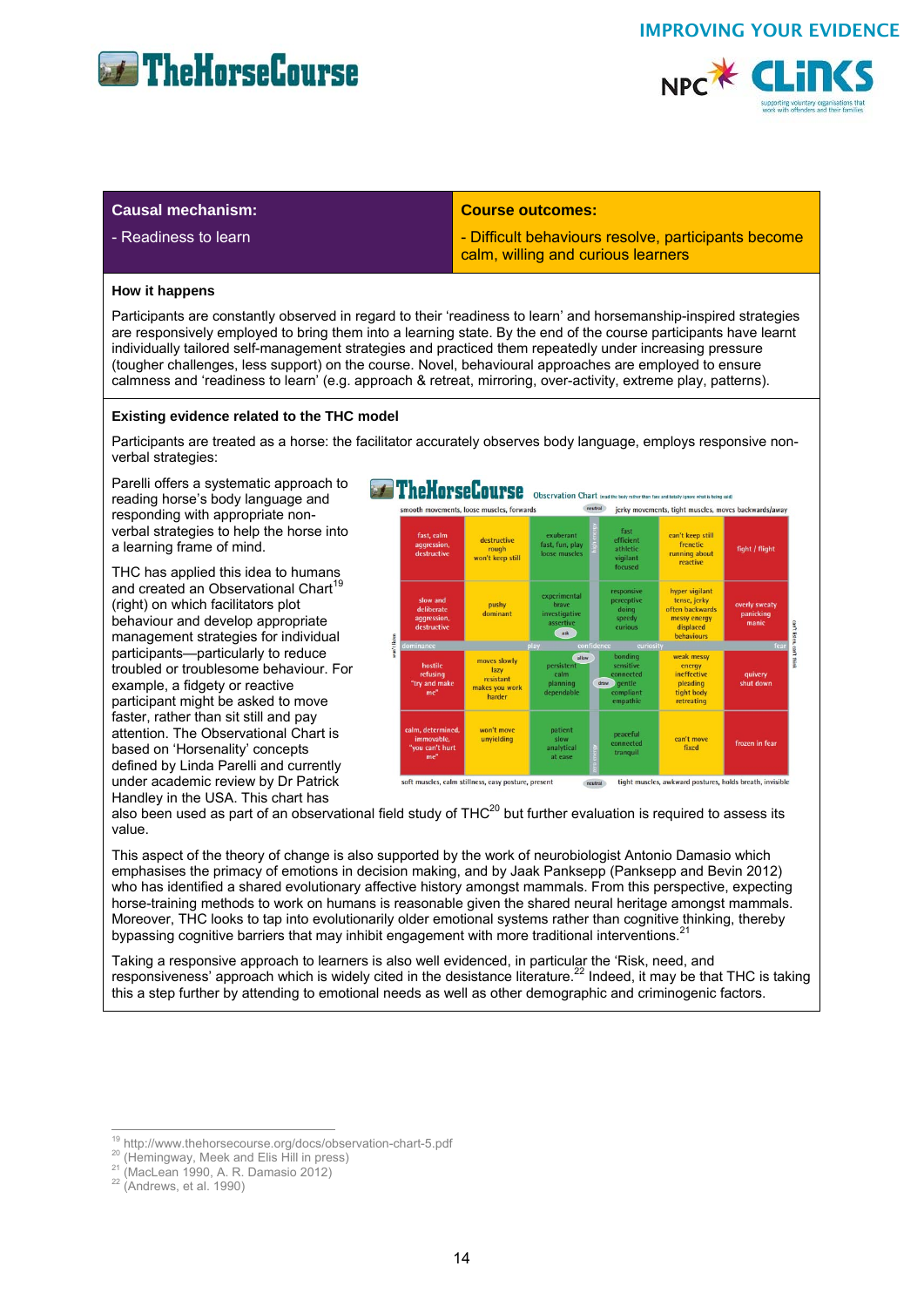



### **Causal mechanism:**

- Readiness to learn

#### **Course outcomes:**

- Difficult behaviours resolve, participants become calm, willing and curious learners

#### **How it happens**

Participants are constantly observed in regard to their 'readiness to learn' and horsemanship-inspired strategies are responsively employed to bring them into a learning state. By the end of the course participants have learnt individually tailored self-management strategies and practiced them repeatedly under increasing pressure (tougher challenges, less support) on the course. Novel, behavioural approaches are employed to ensure calmness and 'readiness to learn' (e.g. approach & retreat, mirroring, over-activity, extreme play, patterns).

#### **Existing evidence related to the THC model**

Participants are treated as a horse: the facilitator accurately observes body language, employs responsive nonverbal strategies:

Parelli offers a systematic approach to reading horse's body language and responding with appropriate nonverbal strategies to help the horse into a learning frame of mind.

THC has applied this idea to humans and created an Observational Chart<sup>19</sup> (right) on which facilitators plot behaviour and develop appropriate management strategies for individual participants—particularly to reduce troubled or troublesome behaviour. For example, a fidgety or reactive participant might be asked to move faster, rather than sit still and pay attention. The Observational Chart is based on 'Horsenality' concepts defined by Linda Parelli and currently under academic review by Dr Patrick Handley in the USA. This chart has



also been used as part of an observational field study of THC20 but further evaluation is required to assess its value.

This aspect of the theory of change is also supported by the work of neurobiologist Antonio Damasio which emphasises the primacy of emotions in decision making, and by Jaak Panksepp (Panksepp and Bevin 2012) who has identified a shared evolutionary affective history amongst mammals. From this perspective, expecting horse-training methods to work on humans is reasonable given the shared neural heritage amongst mammals. Moreover, THC looks to tap into evolutionarily older emotional systems rather than cognitive thinking, thereby bypassing cognitive barriers that may inhibit engagement with more traditional interventions.

Taking a responsive approach to learners is also well evidenced, in particular the 'Risk, need, and responsiveness' approach which is widely cited in the desistance literature.<sup>22</sup> Indeed, it may be that THC is taking this a step further by attending to emotional needs as well as other demographic and criminogenic factors.

<sup>&</sup>lt;sup>19</sup> http://www.thehorsecourse.org/docs/observation-chart-5.pdf

<sup>&</sup>lt;sup>20</sup> (Hemingway, Meek and Elis Hill in press)<br><sup>21</sup> (MacLean 1990, A. R. Damasio 2012) <sup>22</sup> (Andrews, et al. 1990)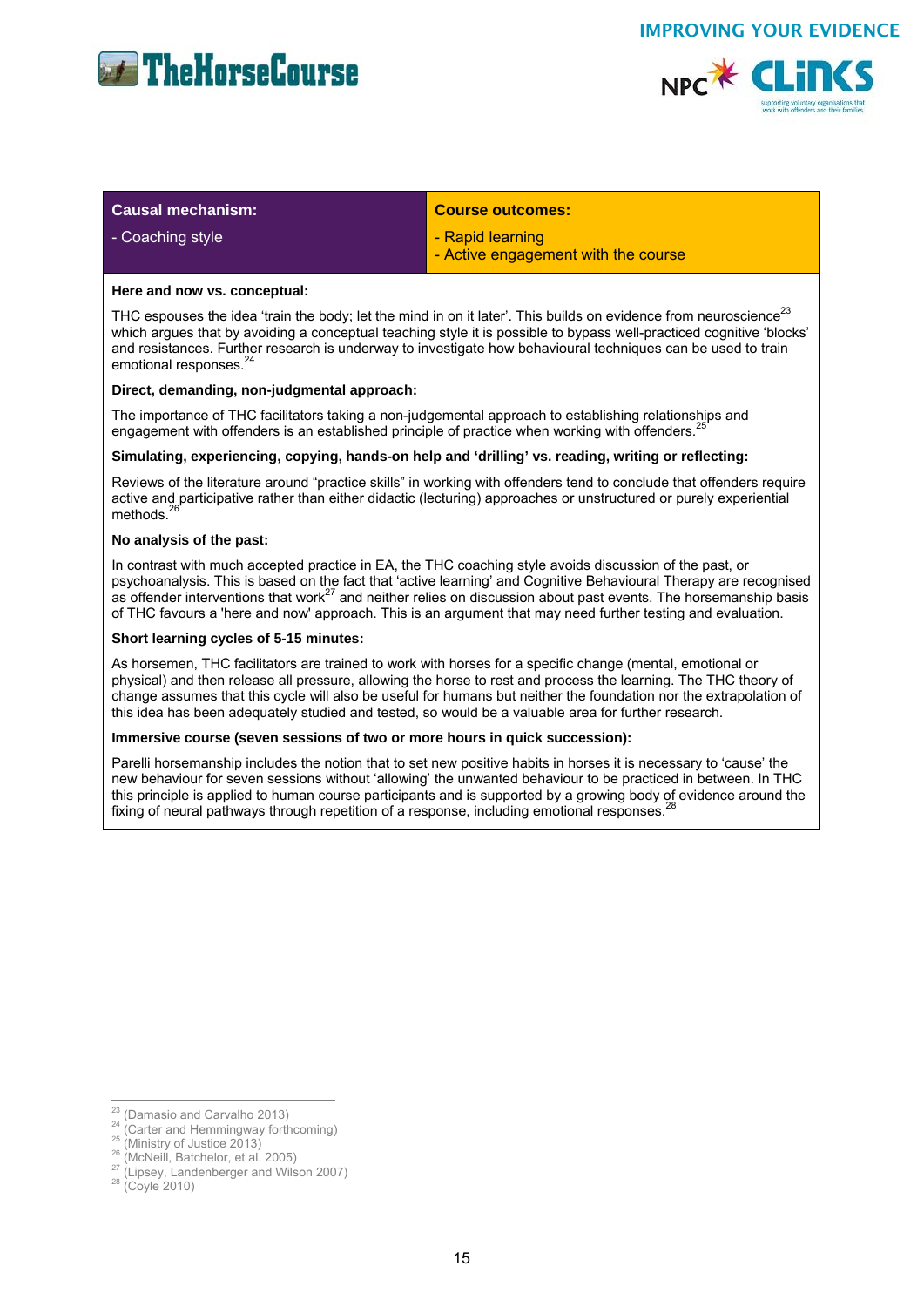



| <b>Causal mechanism:</b> | <b>Course outcomes:</b>                                 |
|--------------------------|---------------------------------------------------------|
| - Coaching style         | - Rapid learning<br>- Active engagement with the course |

#### **Here and now vs. conceptual:**

THC espouses the idea 'train the body; let the mind in on it later'. This builds on evidence from neuroscience<sup>23</sup> which argues that by avoiding a conceptual teaching style it is possible to bypass well-practiced cognitive 'blocks' and resistances. Further research is underway to investigate how behavioural techniques can be used to train emotional responses.<sup>24</sup>

#### **Direct, demanding, non-judgmental approach:**

The importance of THC facilitators taking a non-judgemental approach to establishing relationships and engagement with offenders is an established principle of practice when working with offenders.<sup>2</sup>

#### **Simulating, experiencing, copying, hands-on help and 'drilling' vs. reading, writing or reflecting:**

Reviews of the literature around "practice skills" in working with offenders tend to conclude that offenders require active and participative rather than either didactic (lecturing) approaches or unstructured or purely experiential methods.<sup>26</sup>

#### **No analysis of the past:**

In contrast with much accepted practice in EA, the THC coaching style avoids discussion of the past, or psychoanalysis. This is based on the fact that 'active learning' and Cognitive Behavioural Therapy are recognised as offender interventions that work<sup>27</sup> and neither relies on discussion about past events. The horsemanship basis of THC favours a 'here and now' approach. This is an argument that may need further testing and evaluation.

#### **Short learning cycles of 5-15 minutes:**

As horsemen, THC facilitators are trained to work with horses for a specific change (mental, emotional or physical) and then release all pressure, allowing the horse to rest and process the learning. The THC theory of change assumes that this cycle will also be useful for humans but neither the foundation nor the extrapolation of this idea has been adequately studied and tested, so would be a valuable area for further research.

#### **Immersive course (seven sessions of two or more hours in quick succession):**

Parelli horsemanship includes the notion that to set new positive habits in horses it is necessary to 'cause' the new behaviour for seven sessions without 'allowing' the unwanted behaviour to be practiced in between. In THC this principle is applied to human course participants and is supported by a growing body of evidence around the fixing of neural pathways through repetition of a response, including emotional responses.

<sup>&</sup>lt;sup>23</sup> (Damasio and Carvalho 2013)

<sup>&</sup>lt;sup>24</sup> (Carter and Hemmingway forthcoming)<br>
<sup>25</sup> (Ministry of Justice 2013)<br>
<sup>26</sup> (McNeill, Batchelor, et al. 2005)<br>
<sup>27</sup> (Lipsey, Landenberger and Wilson 2007)<br>
<sup>28</sup> (Covle 2010)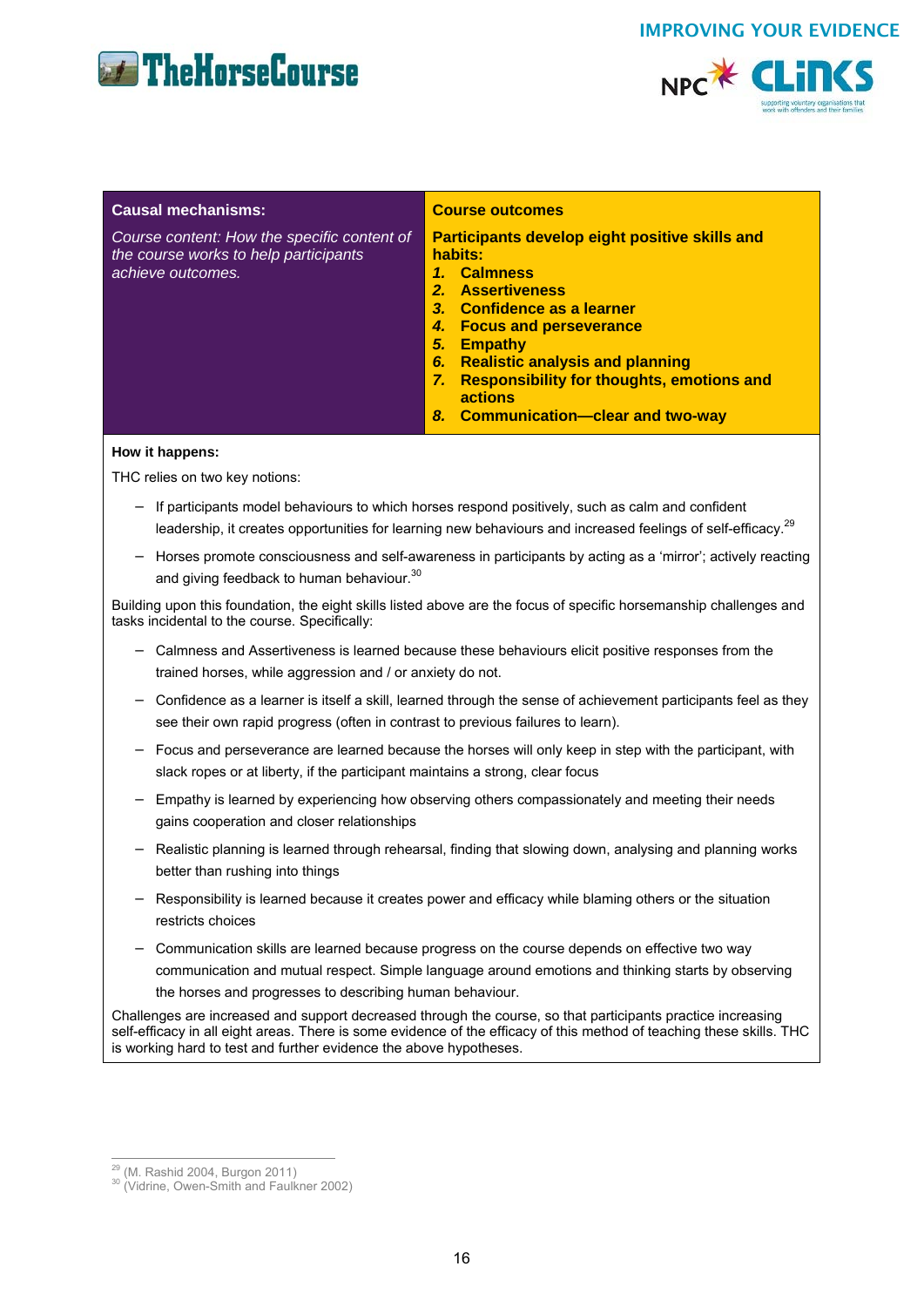



| <b>Causal mechanisms:</b>                                                                                 | <b>Course outcomes</b>                                                                                                                                                                                                                                                                                                                                |
|-----------------------------------------------------------------------------------------------------------|-------------------------------------------------------------------------------------------------------------------------------------------------------------------------------------------------------------------------------------------------------------------------------------------------------------------------------------------------------|
| Course content: How the specific content of<br>the course works to help participants<br>achieve outcomes. | <b>Participants develop eight positive skills and</b><br>habits:<br><b>Calmness</b><br>1.<br><b>Assertiveness</b><br>2 <sub>1</sub><br>3. Confidence as a learner<br><b>Focus and perseverance</b><br>4.<br><b>Empathy</b><br>5.<br><b>Realistic analysis and planning</b><br>6.<br><b>Responsibility for thoughts, emotions and</b><br>7.<br>actions |
|                                                                                                           | 8. Communication-clear and two-way                                                                                                                                                                                                                                                                                                                    |

#### **How it happens:**

THC relies on two key notions:

- − If participants model behaviours to which horses respond positively, such as calm and confident leadership, it creates opportunities for learning new behaviours and increased feelings of self-efficacy.<sup>29</sup>
- − Horses promote consciousness and self-awareness in participants by acting as a 'mirror'; actively reacting and giving feedback to human behaviour.<sup>30</sup>

Building upon this foundation, the eight skills listed above are the focus of specific horsemanship challenges and tasks incidental to the course. Specifically:

- − Calmness and Assertiveness is learned because these behaviours elicit positive responses from the trained horses, while aggression and / or anxiety do not.
- − Confidence as a learner is itself a skill, learned through the sense of achievement participants feel as they see their own rapid progress (often in contrast to previous failures to learn).
- − Focus and perseverance are learned because the horses will only keep in step with the participant, with slack ropes or at liberty, if the participant maintains a strong, clear focus
- − Empathy is learned by experiencing how observing others compassionately and meeting their needs gains cooperation and closer relationships
- − Realistic planning is learned through rehearsal, finding that slowing down, analysing and planning works better than rushing into things
- − Responsibility is learned because it creates power and efficacy while blaming others or the situation restricts choices
- − Communication skills are learned because progress on the course depends on effective two way communication and mutual respect. Simple language around emotions and thinking starts by observing the horses and progresses to describing human behaviour.

Challenges are increased and support decreased through the course, so that participants practice increasing self-efficacy in all eight areas. There is some evidence of the efficacy of this method of teaching these skills. THC is working hard to test and further evidence the above hypotheses.

<sup>&</sup>lt;sup>29</sup> (M. Rashid 2004, Burgon 2011)

 $\frac{30}{20}$  (Vidrine, Owen-Smith and Faulkner 2002)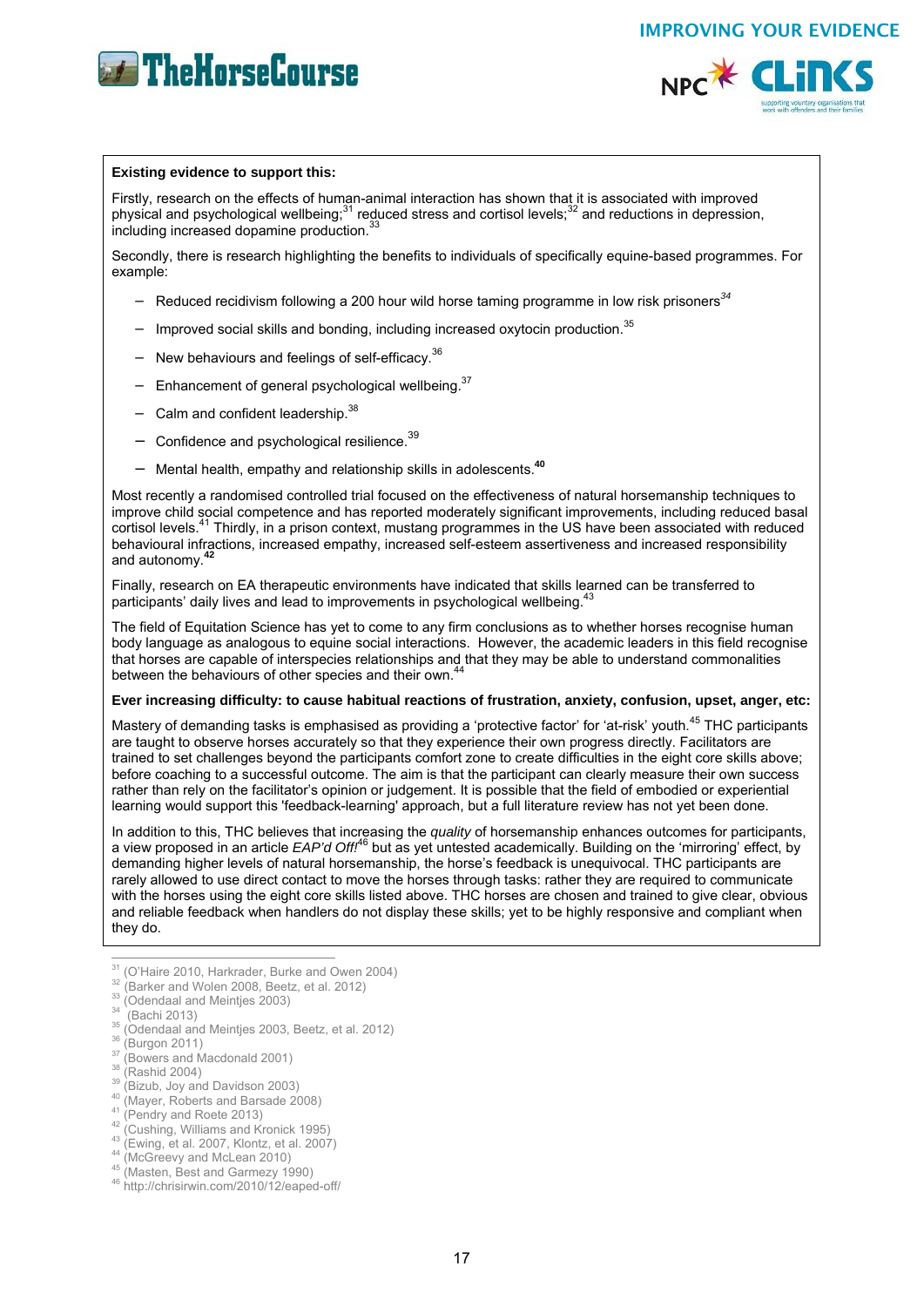



#### **Existing evidence to support this:**

Firstly, research on the effects of human-animal interaction has shown that it is associated with improved physical and psychological wellbeing; $31$  reduced stress and cortisol levels; $32$  and reductions in depression, including increased dopamine production.<sup>33</sup>

Secondly, there is research highlighting the benefits to individuals of specifically equine-based programmes. For example:

- − Reduced recidivism following a 200 hour wild horse taming programme in low risk prisoners*<sup>34</sup>*
- − Improved social skills and bonding, including increased oxytocin production.<sup>35</sup>
- − New behaviours and feelings of self-efficacy.<sup>36</sup>
- − Enhancement of general psychological wellbeing.37
- Calm and confident leadership.<sup>38</sup>
- − Confidence and psychological resilience.<sup>39</sup>
- − Mental health, empathy and relationship skills in adolescents.**<sup>40</sup>**

Most recently a randomised controlled trial focused on the effectiveness of natural horsemanship techniques to improve child social competence and has reported moderately significant improvements, including reduced basal cortisol levels.41 Thirdly, in a prison context, mustang programmes in the US have been associated with reduced behavioural infractions, increased empathy, increased self-esteem assertiveness and increased responsibility and autonomy.<sup>4</sup>

Finally, research on EA therapeutic environments have indicated that skills learned can be transferred to participants' daily lives and lead to improvements in psychological wellbeing.<sup>4</sup>

The field of Equitation Science has yet to come to any firm conclusions as to whether horses recognise human body language as analogous to equine social interactions. However, the academic leaders in this field recognise that horses are capable of interspecies relationships and that they may be able to understand commonalities between the behaviours of other species and their own.<sup>44</sup>

#### **Ever increasing difficulty: to cause habitual reactions of frustration, anxiety, confusion, upset, anger, etc:**

Mastery of demanding tasks is emphasised as providing a 'protective factor' for 'at-risk' youth.<sup>45</sup> THC participants are taught to observe horses accurately so that they experience their own progress directly. Facilitators are trained to set challenges beyond the participants comfort zone to create difficulties in the eight core skills above; before coaching to a successful outcome. The aim is that the participant can clearly measure their own success rather than rely on the facilitator's opinion or judgement. It is possible that the field of embodied or experiential learning would support this 'feedback-learning' approach, but a full literature review has not yet been done.

In addition to this, THC believes that increasing the *quality* of horsemanship enhances outcomes for participants, a view proposed in an article *EAP'd Off!*46 but as yet untested academically. Building on the 'mirroring' effect, by demanding higher levels of natural horsemanship, the horse's feedback is unequivocal. THC participants are rarely allowed to use direct contact to move the horses through tasks: rather they are required to communicate with the horses using the eight core skills listed above. THC horses are chosen and trained to give clear, obvious and reliable feedback when handlers do not display these skills; yet to be highly responsive and compliant when they do.

- <sup>31</sup> (O'Haire 2010, Harkrader, Burke and Owen 2004) <sup>31</sup> (O'Haire 2010, Harkrader, Burke and Owen 2004)<br><sup>32</sup> (Barker and Wolen 2008, Beetz, et al. 2012)<br><sup>33</sup> (Odendaal and Meintjes 2003)<br><sup>34</sup> (Bachi 2013)<br><sup>36</sup> (Odendaal and Meintjes 2003, Beetz, et al. 2012)<br><sup>37</sup> (Burgon 2
- 
- 
- 
- 
- 
- 
- 
- 
-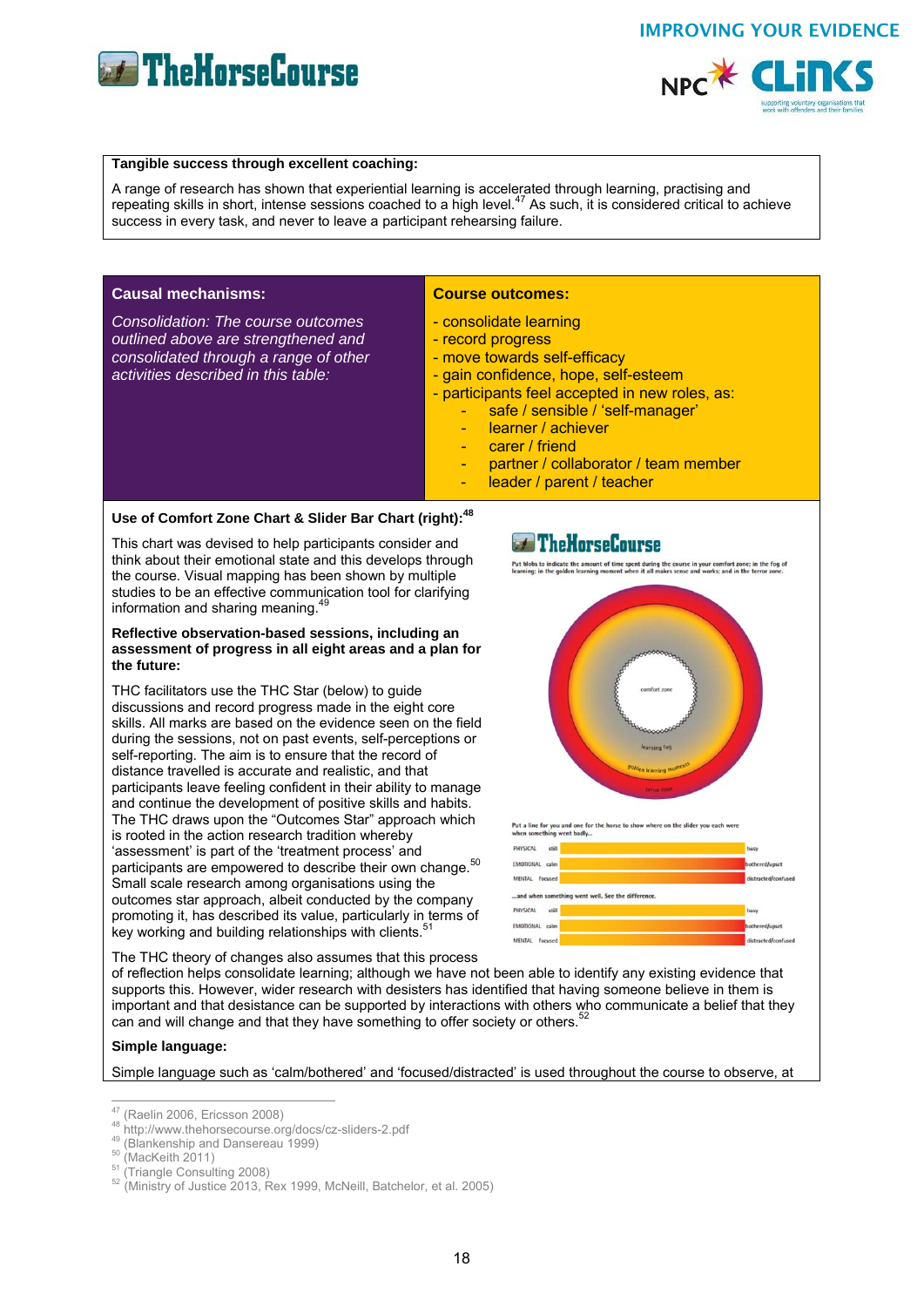

#### **Tangible success through excellent coaching:**

A range of research has shown that experiential learning is accelerated through learning, practising and repeating skills in short, intense sessions coached to a high level.<sup>47</sup> As such, it is considered critical to achieve success in every task, and never to leave a participant rehearsing failure.

#### **Causal mechanisms:**

*Consolidation: The course outcomes outlined above are strengthened and consolidated through a range of other activities described in this table:*

#### **Course outcomes:**

- consolidate learning
- record progress
- move towards self-efficacy
- gain confidence, hope, self-esteem
- participants feel accepted in new roles, as:
	- safe / sensible / 'self-manager'
	- learner / achiever
	- carer / friend
	- partner / collaborator / team member
	- leader / parent / teacher

## Use of Comfort Zone Chart & Slider Bar Chart (right):<sup>48</sup>

This chart was devised to help participants consider and think about their emotional state and this develops through the course. Visual mapping has been shown by multiple studies to be an effective communication tool for clarifying information and sharing meaning.<sup>49</sup>

#### **Reflective observation-based sessions, including an assessment of progress in all eight areas and a plan for the future:**

THC facilitators use the THC Star (below) to guide discussions and record progress made in the eight core skills. All marks are based on the evidence seen on the field during the sessions, not on past events, self-perceptions or self-reporting. The aim is to ensure that the record of distance travelled is accurate and realistic, and that participants leave feeling confident in their ability to manage and continue the development of positive skills and habits. The THC draws upon the "Outcomes Star" approach which is rooted in the action research tradition whereby 'assessment' is part of the 'treatment process' and participants are empowered to describe their own change.<sup>50</sup> Small scale research among organisations using the outcomes star approach, albeit conducted by the company promoting it, has described its value, particularly in terms of key working and building relationships with clients.

The THC theory of changes also assumes that this process

of reflection helps consolidate learning; although we have not been able to identify any existing evidence that supports this. However, wider research with desisters has identified that having someone believe in them is important and that desistance can be supported by interactions with others who communicate a belief that they can and will change and that they have something to offer society or others.<sup>5</sup>

#### **Simple language:**

Simple language such as 'calm/bothered' and 'focused/distracted' is used throughout the course to observe, at





Put a line for you and one for the



<sup>&</sup>lt;sup>47</sup> (Raelin 2006, Ericsson 2008)

<sup>&</sup>lt;sup>48</sup> http://www.thehorsecourse.org/docs/cz-sliders-2.pdf<br>
<sup>49</sup> (Blankenship and Dansereau 1999)<br>
<sup>50</sup> (MacKeith 2011)<br>
<sup>51</sup> (Triangle Consulting 2008)<br>
<sup>52</sup> (Ministry of Justice 2013, Rex 1999, McNeill, Batchelor, et al.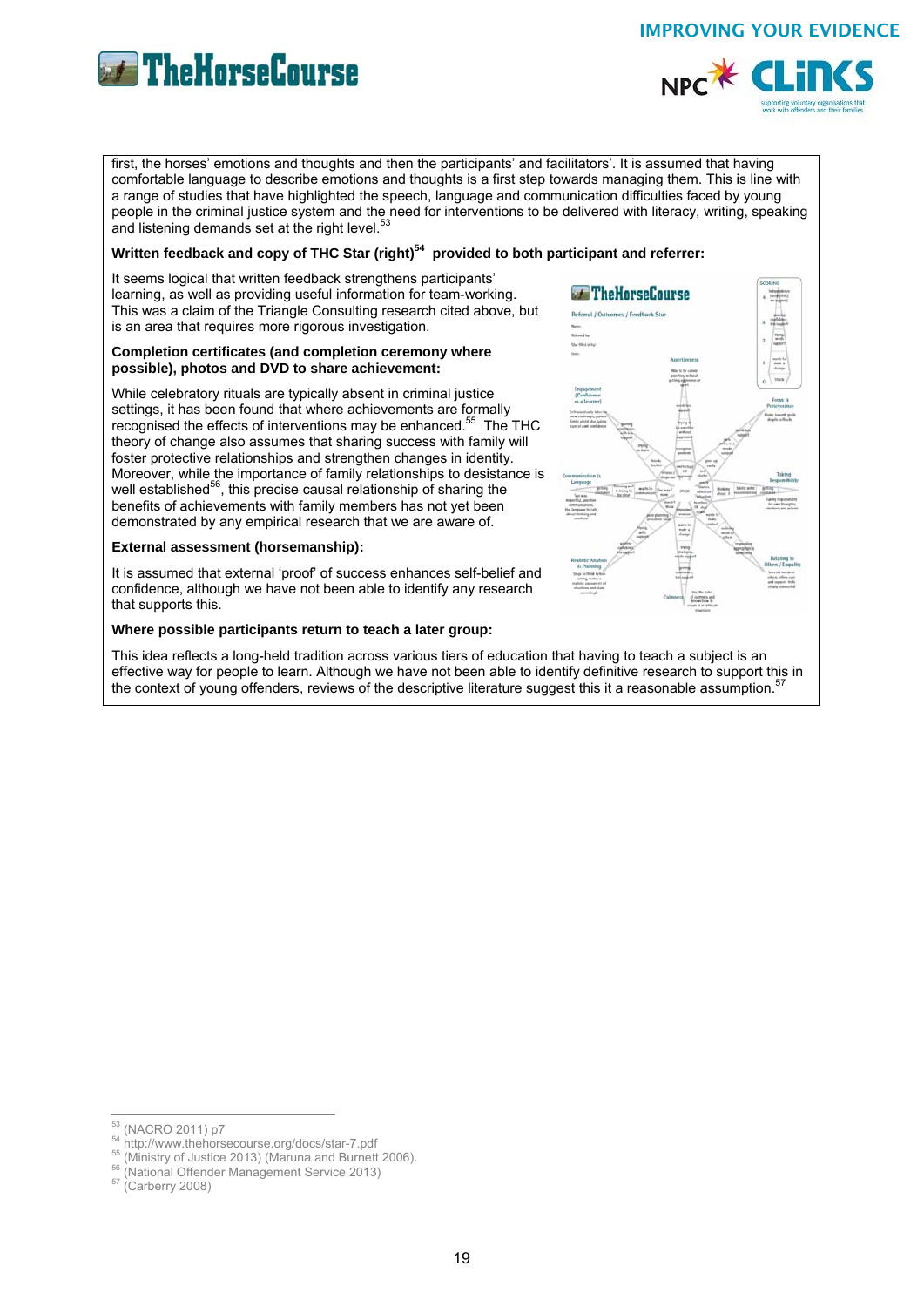



first, the horses' emotions and thoughts and then the participants' and facilitators'. It is assumed that having comfortable language to describe emotions and thoughts is a first step towards managing them. This is line with a range of studies that have highlighted the speech, language and communication difficulties faced by young people in the criminal justice system and the need for interventions to be delivered with literacy, writing, speaking and listening demands set at the right level.<sup>5</sup>

#### Written feedback and copy of THC Star (right)<sup>54</sup> provided to both participant and referrer:

It seems logical that written feedback strengthens participants' learning, as well as providing useful information for team-working. This was a claim of the Triangle Consulting research cited above, but is an area that requires more rigorous investigation.

#### **Completion certificates (and completion ceremony where possible), photos and DVD to share achievement:**

While celebratory rituals are typically absent in criminal justice settings, it has been found that where achievements are formally recognised the effects of interventions may be enhanced.<sup>55</sup> The THC theory of change also assumes that sharing success with family will foster protective relationships and strengthen changes in identity. Moreover, while the importance of family relationships to desistance is well established<sup>56</sup>, this precise causal relationship of sharing the benefits of achievements with family members has not yet been demonstrated by any empirical research that we are aware of.

#### **External assessment (horsemanship):**

It is assumed that external 'proof' of success enhances self-belief and confidence, although we have not been able to identify any research that supports this.

#### **Where possible participants return to teach a later group:**

This idea reflects a long-held tradition across various tiers of education that having to teach a subject is an effective way for people to learn. Although we have not been able to identify definitive research to support this in the context of young offenders, reviews of the descriptive literature suggest this it a reasonable assumption.<sup>5</sup>



- 
- <sup>54</sup> http://www.thehorsecourse.org/docs/star-7.pdf<br><sup>55</sup> (Ministry of Justice 2013) (Maruna and Burnett 2006).<br><sup>56</sup> (National Offender Management Service 2013)<br><sup>57</sup> (Carberry 2008)
- 

<sup>&</sup>lt;sup>53</sup> (NACRO 2011) p7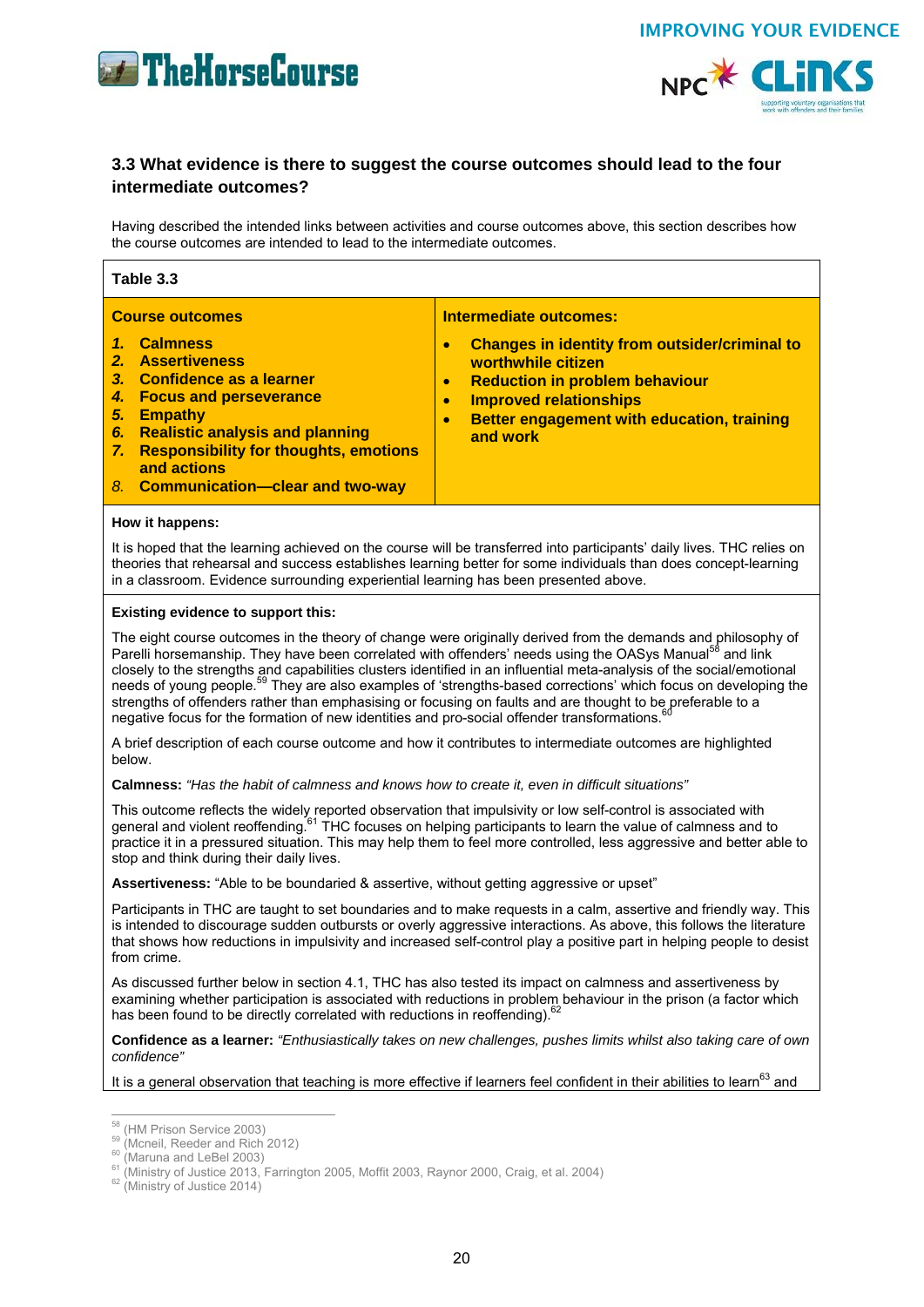



## **3.3 What evidence is there to suggest the course outcomes should lead to the four intermediate outcomes?**

Having described the intended links between activities and course outcomes above, this section describes how the course outcomes are intended to lead to the intermediate outcomes.

| Table 3.3                                                                                                                                                                                                                                                                                                                                                                                                                                                                                                                                                                                                                                                                                                                                                  |                                                                                                                                                                                                                                                                                                     |  |
|------------------------------------------------------------------------------------------------------------------------------------------------------------------------------------------------------------------------------------------------------------------------------------------------------------------------------------------------------------------------------------------------------------------------------------------------------------------------------------------------------------------------------------------------------------------------------------------------------------------------------------------------------------------------------------------------------------------------------------------------------------|-----------------------------------------------------------------------------------------------------------------------------------------------------------------------------------------------------------------------------------------------------------------------------------------------------|--|
| <b>Course outcomes</b><br>$\mathbf{1}$<br><b>Calmness</b><br>2.<br><b>Assertiveness</b><br>3.<br>Confidence as a learner<br><b>Focus and perseverance</b><br>4.<br><b>Empathy</b><br>5.<br><b>Realistic analysis and planning</b><br>6.<br><b>Responsibility for thoughts, emotions</b><br>7.<br>and actions<br>8. Communication-clear and two-way                                                                                                                                                                                                                                                                                                                                                                                                         | <b>Intermediate outcomes:</b><br><b>Changes in identity from outsider/criminal to</b><br>$\bullet$<br>worthwhile citizen<br><b>Reduction in problem behaviour</b><br>$\bullet$<br><b>Improved relationships</b><br>$\bullet$<br>Better engagement with education, training<br>$\bullet$<br>and work |  |
| How it happens:<br>It is hoped that the learning achieved on the course will be transferred into participants' daily lives. THC relies on<br>theories that rehearsal and success establishes learning better for some individuals than does concept-learning<br>in a classroom. Evidence surrounding experiential learning has been presented above.                                                                                                                                                                                                                                                                                                                                                                                                       |                                                                                                                                                                                                                                                                                                     |  |
| Existing evidence to support this:<br>The eight course outcomes in the theory of change were originally derived from the demands and philosophy of<br>Parelli horsemanship. They have been correlated with offenders' needs using the OASys Manual <sup>58</sup> and link<br>closely to the strengths and capabilities clusters identified in an influential meta-analysis of the social/emotional<br>needs of young people. <sup>59</sup> They are also examples of 'strengths-based corrections' which focus on developing the<br>strengths of offenders rather than emphasising or focusing on faults and are thought to be preferable to a<br>negative focus for the formation of new identities and pro-social offender transformations. <sup>6</sup> |                                                                                                                                                                                                                                                                                                     |  |
| A brief description of each course outcome and how it contributes to intermediate outcomes are highlighted<br>below.                                                                                                                                                                                                                                                                                                                                                                                                                                                                                                                                                                                                                                       |                                                                                                                                                                                                                                                                                                     |  |
| Calmness: "Has the habit of calmness and knows how to create it, even in difficult situations"                                                                                                                                                                                                                                                                                                                                                                                                                                                                                                                                                                                                                                                             |                                                                                                                                                                                                                                                                                                     |  |
| This outcome reflects the widely reported observation that impulsivity or low self-control is associated with<br>general and violent reoffending. <sup>61</sup> THC focuses on helping participants to learn the value of calmness and to<br>practice it in a pressured situation. This may help them to feel more controlled, less aggressive and better able to<br>stop and think during their daily lives.                                                                                                                                                                                                                                                                                                                                              |                                                                                                                                                                                                                                                                                                     |  |
| Assertiveness: "Able to be boundaried & assertive, without getting aggressive or upset"                                                                                                                                                                                                                                                                                                                                                                                                                                                                                                                                                                                                                                                                    |                                                                                                                                                                                                                                                                                                     |  |
| Participants in THC are taught to set boundaries and to make requests in a calm, assertive and friendly way. This<br>is intended to discourage sudden outbursts or overly aggressive interactions. As above, this follows the literature<br>that shows how reductions in impulsivity and increased self-control play a positive part in helping people to desist<br>from crime.                                                                                                                                                                                                                                                                                                                                                                            |                                                                                                                                                                                                                                                                                                     |  |
| As discussed further below in section 4.1, THC has also tested its impact on calmness and assertiveness by<br>examining whether participation is associated with reductions in problem behaviour in the prison (a factor which<br>has been found to be directly correlated with reductions in reoffending). <sup>62</sup>                                                                                                                                                                                                                                                                                                                                                                                                                                  |                                                                                                                                                                                                                                                                                                     |  |
| Confidence as a learner: "Enthusiastically takes on new challenges, pushes limits whilst also taking care of own<br>confidence"                                                                                                                                                                                                                                                                                                                                                                                                                                                                                                                                                                                                                            |                                                                                                                                                                                                                                                                                                     |  |
|                                                                                                                                                                                                                                                                                                                                                                                                                                                                                                                                                                                                                                                                                                                                                            | It is a general observation that teaching is more effective if learners feel confident in their abilities to learn <sup>63</sup> and                                                                                                                                                                |  |
| $^{58}$ (HM Prison Service 2003)<br>$^{59}$ (Mcneil, Reeder and Rich 2012)<br>$60$ (Maruna and LeBel 2003)                                                                                                                                                                                                                                                                                                                                                                                                                                                                                                                                                                                                                                                 |                                                                                                                                                                                                                                                                                                     |  |

 $^{61}$  (Maruna and Leber 2003)<br> $^{61}$  (Ministry of Justice 2013, Farrington 2005, Moffit 2003, Raynor 2000, Craig, et al. 2004)  $^{62}$  (Ministry of Justice 2014)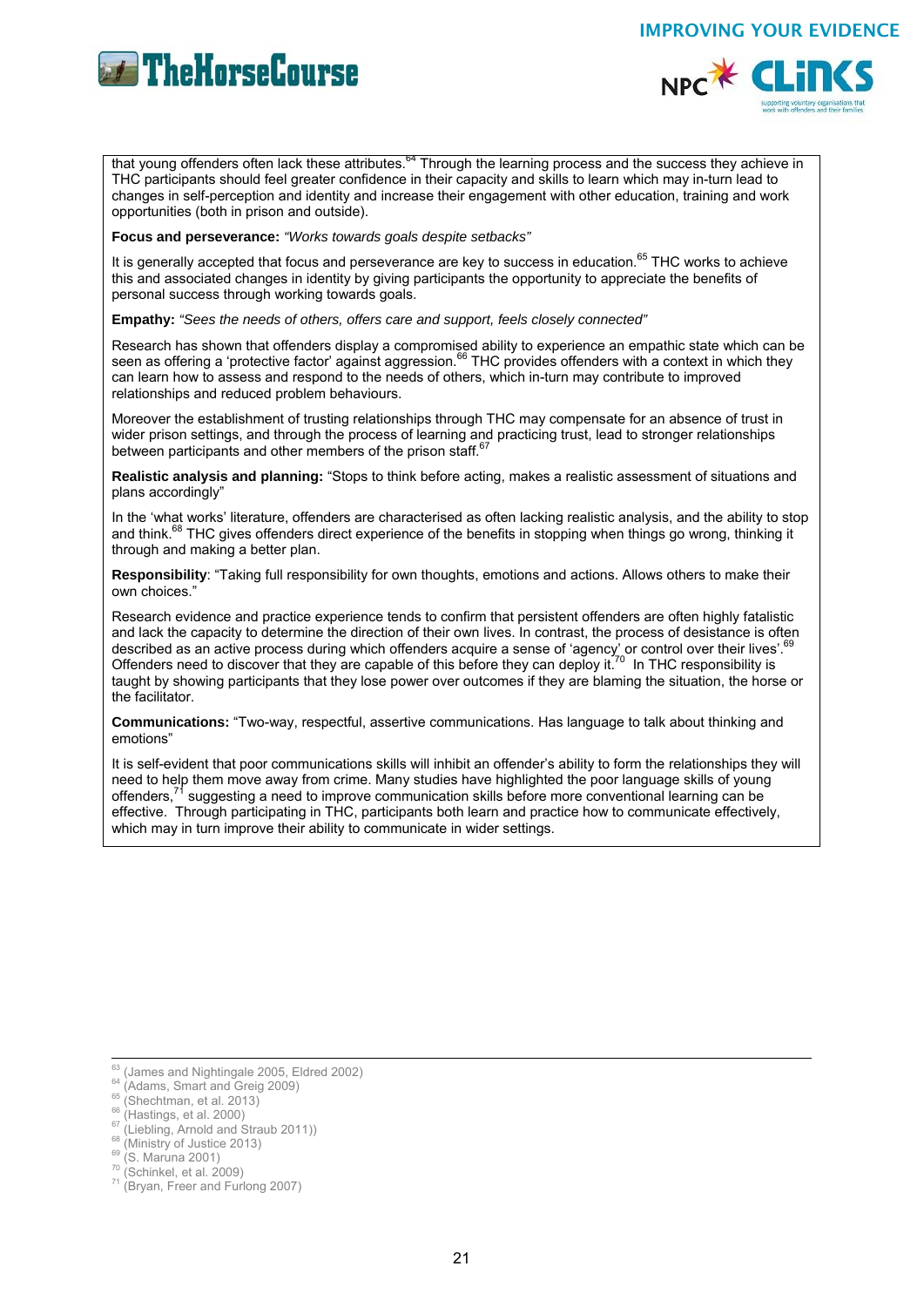





that young offenders often lack these attributes.<sup>64</sup> Through the learning process and the success they achieve in THC participants should feel greater confidence in their capacity and skills to learn which may in-turn lead to changes in self-perception and identity and increase their engagement with other education, training and work opportunities (both in prison and outside).

**Focus and perseverance:** *"Works towards goals despite setbacks"*

It is generally accepted that focus and perseverance are key to success in education.<sup>65</sup> THC works to achieve this and associated changes in identity by giving participants the opportunity to appreciate the benefits of personal success through working towards goals.

**Empathy:** *"Sees the needs of others, offers care and support, feels closely connected"*

Research has shown that offenders display a compromised ability to experience an empathic state which can be seen as offering a 'protective factor' against aggression.<sup>66</sup> THC provides offenders with a context in which they can learn how to assess and respond to the needs of others, which in-turn may contribute to improved relationships and reduced problem behaviours.

Moreover the establishment of trusting relationships through THC may compensate for an absence of trust in wider prison settings, and through the process of learning and practicing trust, lead to stronger relationships between participants and other members of the prison staff.<sup>67</sup>

**Realistic analysis and planning:** "Stops to think before acting, makes a realistic assessment of situations and plans accordingly"

In the 'what works' literature, offenders are characterised as often lacking realistic analysis, and the ability to stop and think.<sup>68</sup> THC gives offenders direct experience of the benefits in stopping when things go wrong, thinking it through and making a better plan.

**Responsibility**: "Taking full responsibility for own thoughts, emotions and actions. Allows others to make their own choices."

Research evidence and practice experience tends to confirm that persistent offenders are often highly fatalistic and lack the capacity to determine the direction of their own lives. In contrast, the process of desistance is often described as an active process during which offenders acquire a sense of 'agency' or control over their lives'. Offenders need to discover that they are capable of this before they can deploy it.70 In THC responsibility is taught by showing participants that they lose power over outcomes if they are blaming the situation, the horse or the facilitator.

**Communications:** "Two-way, respectful, assertive communications. Has language to talk about thinking and emotions"

It is self-evident that poor communications skills will inhibit an offender's ability to form the relationships they will need to help them move away from crime. Many studies have highlighted the poor language skills of young offenders,<sup>71</sup> suggesting a need to improve communication skills before more conventional learning can be effective. Through participating in THC, participants both learn and practice how to communicate effectively, which may in turn improve their ability to communicate in wider settings.

<sup>&</sup>lt;sup>63</sup> (James and Nightingale 2005, Eldred 2002)

<sup>&</sup>lt;sup>64</sup> (Adams, Smart and Greig 2009)<br>
<sup>65</sup> (Shechtman, et al. 2013)<br>
<sup>66</sup> (Hastings, et al. 2000)<br>
<sup>67</sup> (Liebling, Arnold and Straub 2011))<br>
<sup>68</sup> (Ministry of Justice 2013)<br>
<sup>69</sup> (S. Maruna 2001)<br>
<sup>70</sup> (Schinkel, et al. 200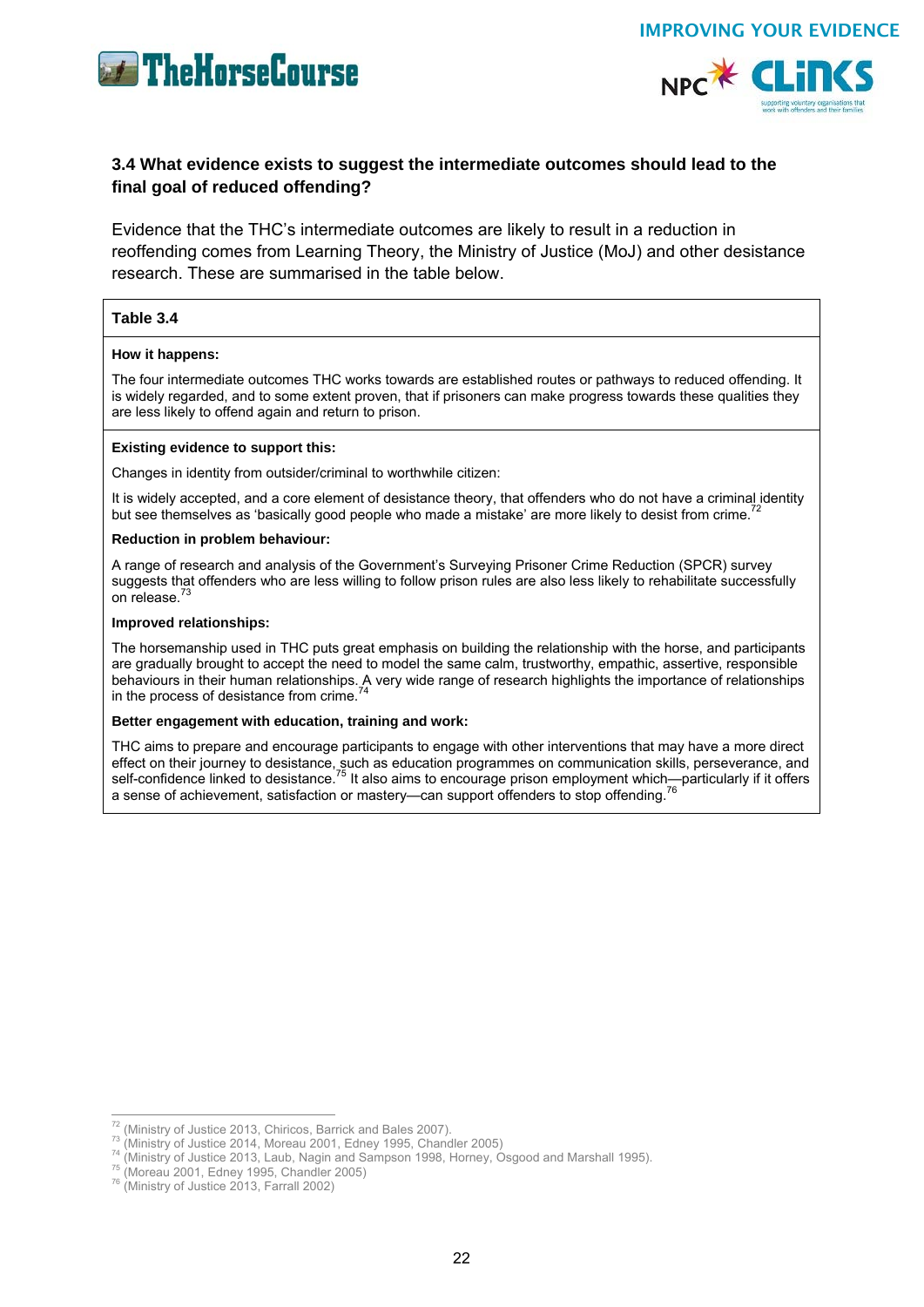





## **3.4 What evidence exists to suggest the intermediate outcomes should lead to the final goal of reduced offending?**

Evidence that the THC's intermediate outcomes are likely to result in a reduction in reoffending comes from Learning Theory, the Ministry of Justice (MoJ) and other desistance research. These are summarised in the table below.

#### **Table 3.4**

#### **How it happens:**

The four intermediate outcomes THC works towards are established routes or pathways to reduced offending. It is widely regarded, and to some extent proven, that if prisoners can make progress towards these qualities they are less likely to offend again and return to prison.

#### **Existing evidence to support this:**

Changes in identity from outsider/criminal to worthwhile citizen:

It is widely accepted, and a core element of desistance theory, that offenders who do not have a criminal identity but see themselves as 'basically good people who made a mistake' are more likely to desist from crime.<sup>7</sup>

#### **Reduction in problem behaviour:**

A range of research and analysis of the Government's Surveying Prisoner Crime Reduction (SPCR) survey suggests that offenders who are less willing to follow prison rules are also less likely to rehabilitate successfully on release.

#### **Improved relationships:**

The horsemanship used in THC puts great emphasis on building the relationship with the horse, and participants are gradually brought to accept the need to model the same calm, trustworthy, empathic, assertive, responsible behaviours in their human relationships. A very wide range of research highlights the importance of relationships in the process of desistance from crime.

#### **Better engagement with education, training and work:**

THC aims to prepare and encourage participants to engage with other interventions that may have a more direct effect on their journey to desistance, such as education programmes on communication skills, perseverance, and self-confidence linked to desistance.<sup>75</sup> It also aims to encourage prison employment which—particularly if it offers a sense of achievement, satisfaction or mastery—can support offenders to stop offending.

<sup>&</sup>lt;sup>72</sup> (Ministry of Justice 2013, Chiricos, Barrick and Bales 2007).

<sup>&</sup>lt;sup>73</sup> (Ministry of Justice 2014, Moreau 2001, Edney 1995, Chandler 2005)<br><sup>74</sup> (Ministry of Justice 2013, Laub, Nagin and Sampson 1998, Horney, Osgood and Marshall 1995).<br><sup>75</sup> (Moreau 2001, Edney 1995, Chandler 2005)<br><sup>76</sup> (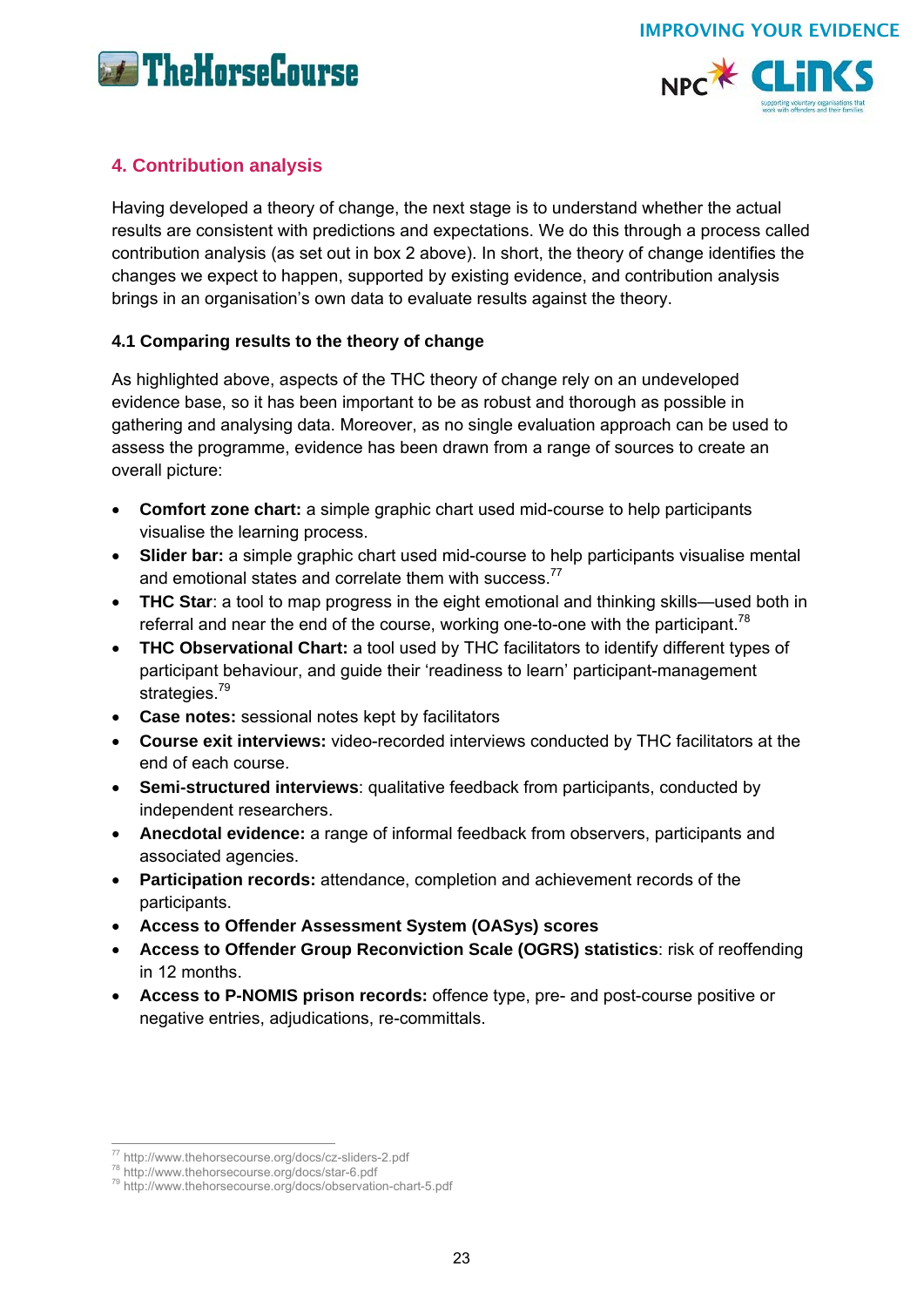



## **4. Contribution analysis**

Having developed a theory of change, the next stage is to understand whether the actual results are consistent with predictions and expectations. We do this through a process called contribution analysis (as set out in box 2 above). In short, the theory of change identifies the changes we expect to happen, supported by existing evidence, and contribution analysis brings in an organisation's own data to evaluate results against the theory.

## **4.1 Comparing results to the theory of change**

As highlighted above, aspects of the THC theory of change rely on an undeveloped evidence base, so it has been important to be as robust and thorough as possible in gathering and analysing data. Moreover, as no single evaluation approach can be used to assess the programme, evidence has been drawn from a range of sources to create an overall picture:

- **Comfort zone chart:** a simple graphic chart used mid-course to help participants visualise the learning process.
- **Slider bar:** a simple graphic chart used mid-course to help participants visualise mental and emotional states and correlate them with success.<sup>77</sup>
- **THC Star**: a tool to map progress in the eight emotional and thinking skills—used both in referral and near the end of the course, working one-to-one with the participant.<sup>78</sup>
- **THC Observational Chart:** a tool used by THC facilitators to identify different types of participant behaviour, and guide their 'readiness to learn' participant-management strategies.<sup>79</sup>
- **Case notes:** sessional notes kept by facilitators
- **Course exit interviews:** video-recorded interviews conducted by THC facilitators at the end of each course.
- **Semi-structured interviews**: qualitative feedback from participants, conducted by independent researchers.
- **Anecdotal evidence:** a range of informal feedback from observers, participants and associated agencies.
- **Participation records:** attendance, completion and achievement records of the participants.
- **Access to Offender Assessment System (OASys) scores**
- **Access to Offender Group Reconviction Scale (OGRS) statistics**: risk of reoffending in 12 months.
- **Access to P-NOMIS prison records:** offence type, pre- and post-course positive or negative entries, adjudications, re-committals.

<sup>77</sup> http://www.thehorsecourse.org/docs/cz-sliders-2.pdf

<sup>&</sup>lt;sup>78</sup> http://www.thehorsecourse.org/docs/star-6.pdf<br><sup>79</sup> http://www.thehorsecourse.org/docs/observation-chart-5.pdf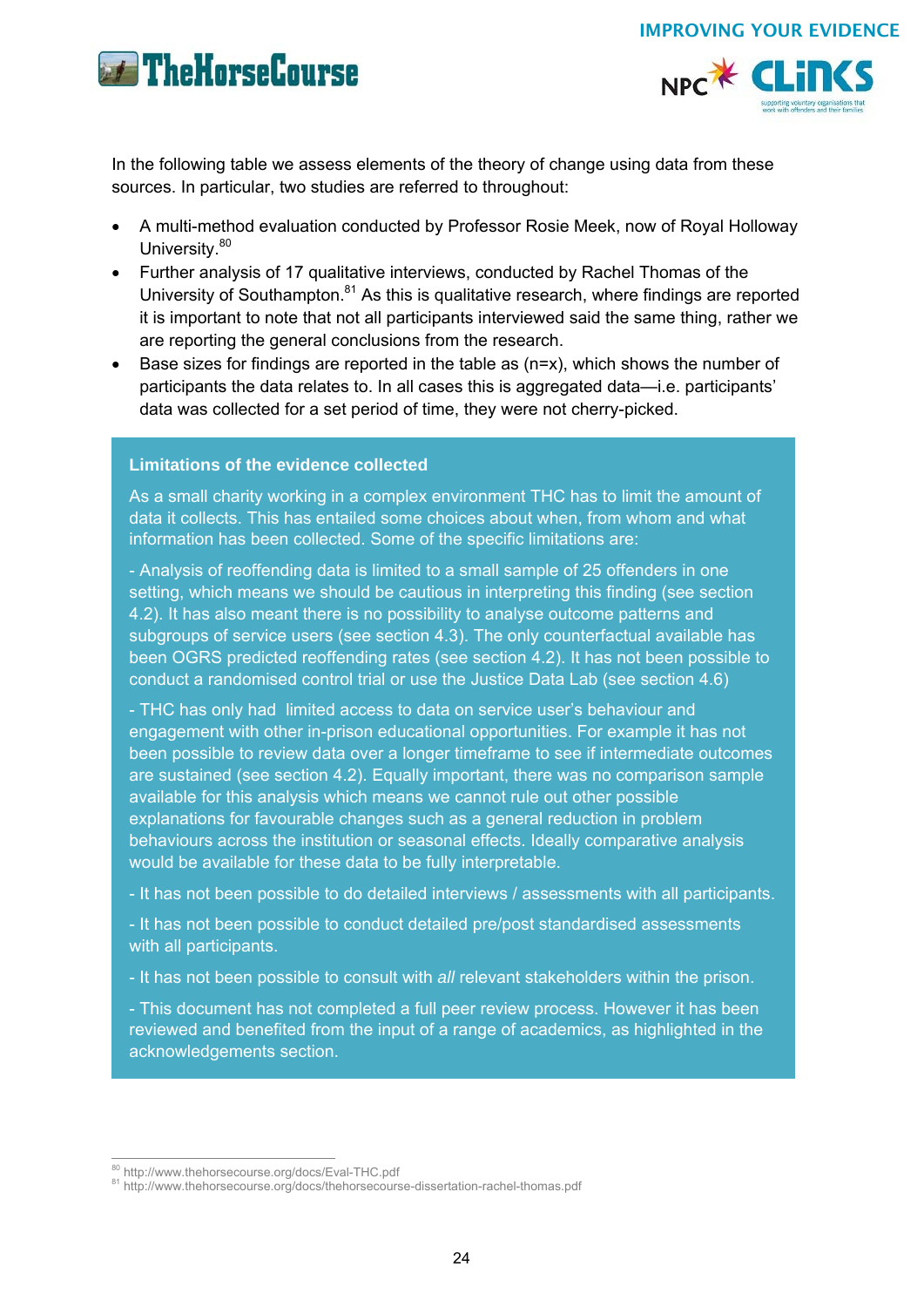



In the following table we assess elements of the theory of change using data from these sources. In particular, two studies are referred to throughout:

- A multi-method evaluation conducted by Professor Rosie Meek, now of Royal Holloway University.<sup>80</sup>
- Further analysis of 17 qualitative interviews, conducted by Rachel Thomas of the University of Southampton. $81$  As this is qualitative research, where findings are reported it is important to note that not all participants interviewed said the same thing, rather we are reporting the general conclusions from the research.
- Base sizes for findings are reported in the table as (n=x), which shows the number of participants the data relates to. In all cases this is aggregated data—i.e. participants' data was collected for a set period of time, they were not cherry-picked.

#### **Limitations of the evidence collected**

As a small charity working in a complex environment THC has to limit the amount of data it collects. This has entailed some choices about when, from whom and what information has been collected. Some of the specific limitations are:

- Analysis of reoffending data is limited to a small sample of 25 offenders in one setting, which means we should be cautious in interpreting this finding (see section 4.2). It has also meant there is no possibility to analyse outcome patterns and subgroups of service users (see section 4.3). The only counterfactual available has been OGRS predicted reoffending rates (see section 4.2). It has not been possible to conduct a randomised control trial or use the Justice Data Lab (see section 4.6)

- THC has only had limited access to data on service user's behaviour and engagement with other in-prison educational opportunities. For example it has not been possible to review data over a longer timeframe to see if intermediate outcomes are sustained (see section 4.2). Equally important, there was no comparison sample available for this analysis which means we cannot rule out other possible explanations for favourable changes such as a general reduction in problem behaviours across the institution or seasonal effects. Ideally comparative analysis would be available for these data to be fully interpretable.

- It has not been possible to do detailed interviews / assessments with all participants.

- It has not been possible to conduct detailed pre/post standardised assessments with all participants.

- It has not been possible to consult with *all* relevant stakeholders within the prison.

- This document has not completed a full peer review process. However it has been reviewed and benefited from the input of a range of academics, as highlighted in the acknowledgements section.

<sup>&</sup>lt;sup>80</sup> http://www.thehorsecourse.org/docs/Eval-THC.pdf

<sup>81</sup> http://www.thehorsecourse.org/docs/thehorsecourse-dissertation-rachel-thomas.pdf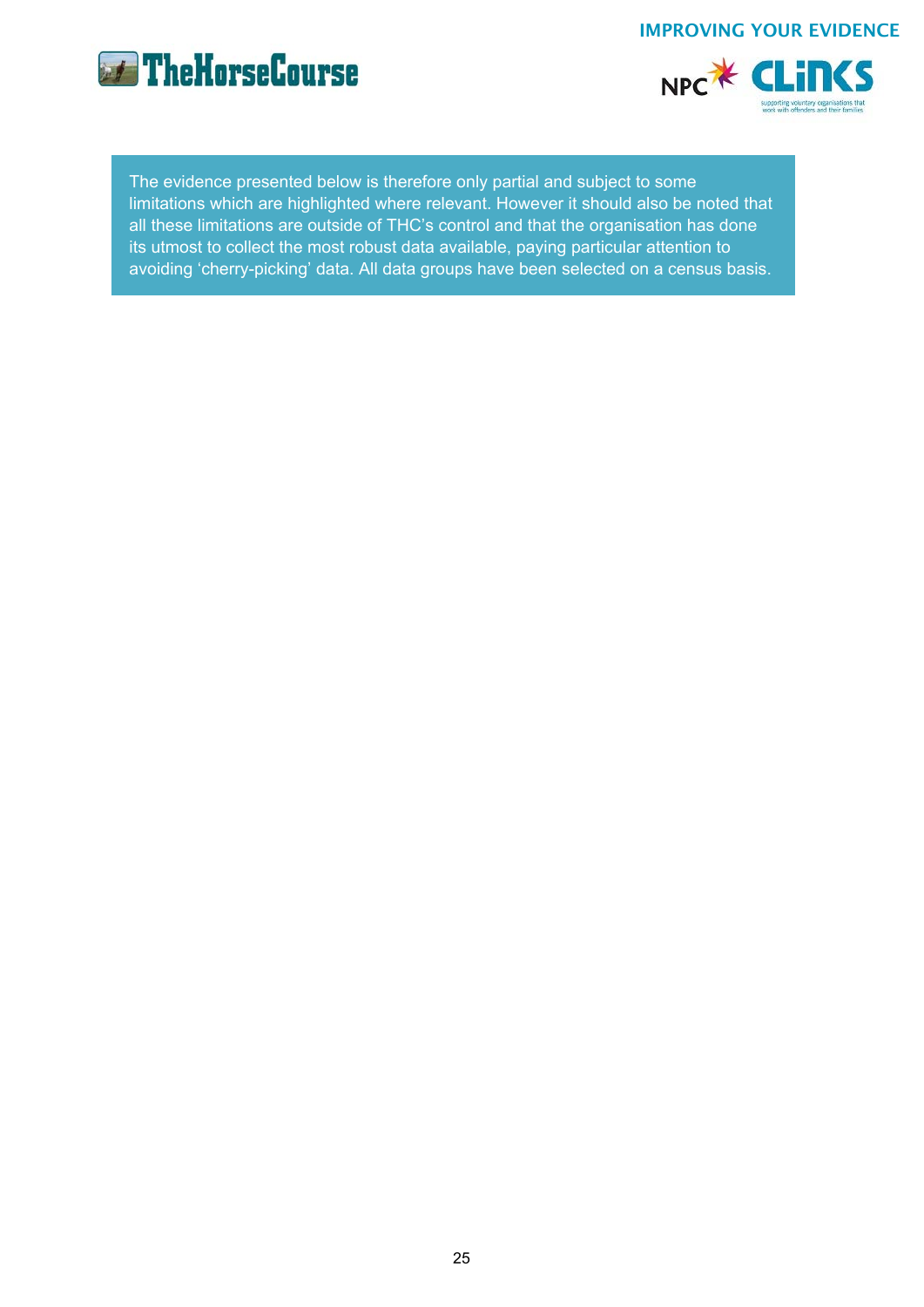

NPC\* CLIN(S

The evidence presented below is therefore only partial and subject to some limitations which are highlighted where relevant. However it should also be noted that all these limitations are outside of THC's control and that the organisation has done its utmost to collect the most robust data available, paying particular attention to avoiding 'cherry-picking' data. All data groups have been selected on a census basis.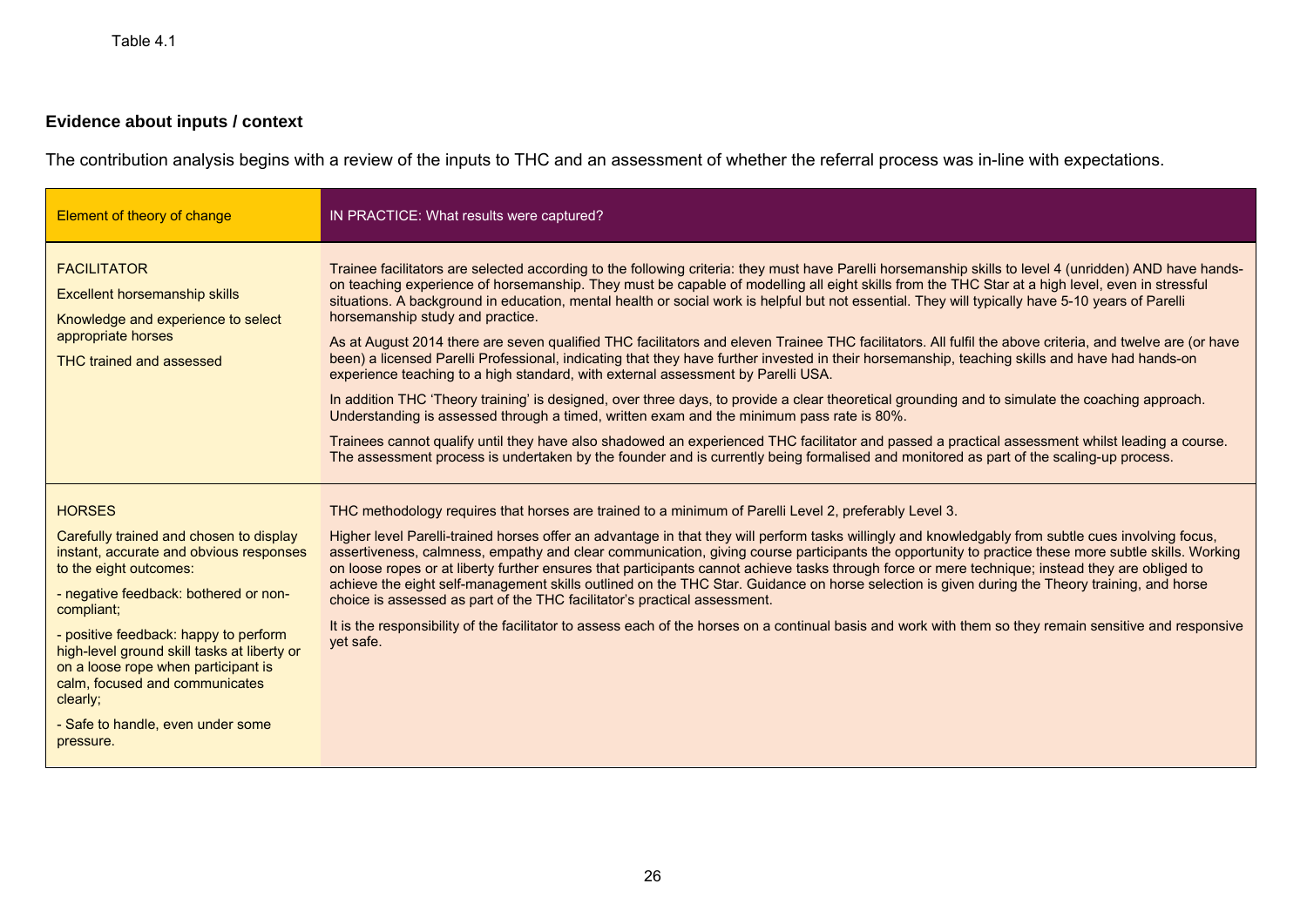## **Evidence about inputs / context**

The contribution analysis begins with a review of the inputs to THC and an assessment of whether the referral process was in-line with expectations.

| Element of theory of change                                                                                                                                                                                                                                                                                                                                                                                         | IN PRACTICE: What results were captured?                                                                                                                                                                                                                                                                                                                                                                                                                                                                                                                                                                                                                                                                                                                                                                                                                                                                                                                                                                                                                                                                                                                                                                                                                                                                                                                                                                                                          |
|---------------------------------------------------------------------------------------------------------------------------------------------------------------------------------------------------------------------------------------------------------------------------------------------------------------------------------------------------------------------------------------------------------------------|---------------------------------------------------------------------------------------------------------------------------------------------------------------------------------------------------------------------------------------------------------------------------------------------------------------------------------------------------------------------------------------------------------------------------------------------------------------------------------------------------------------------------------------------------------------------------------------------------------------------------------------------------------------------------------------------------------------------------------------------------------------------------------------------------------------------------------------------------------------------------------------------------------------------------------------------------------------------------------------------------------------------------------------------------------------------------------------------------------------------------------------------------------------------------------------------------------------------------------------------------------------------------------------------------------------------------------------------------------------------------------------------------------------------------------------------------|
| <b>FACILITATOR</b><br><b>Excellent horsemanship skills</b><br>Knowledge and experience to select<br>appropriate horses<br><b>THC trained and assessed</b>                                                                                                                                                                                                                                                           | Trainee facilitators are selected according to the following criteria: they must have Parelli horsemanship skills to level 4 (unridden) AND have hands-<br>on teaching experience of horsemanship. They must be capable of modelling all eight skills from the THC Star at a high level, even in stressful<br>situations. A background in education, mental health or social work is helpful but not essential. They will typically have 5-10 years of Parelli<br>horsemanship study and practice.<br>As at August 2014 there are seven qualified THC facilitators and eleven Trainee THC facilitators. All fulfil the above criteria, and twelve are (or have<br>been) a licensed Parelli Professional, indicating that they have further invested in their horsemanship, teaching skills and have had hands-on<br>experience teaching to a high standard, with external assessment by Parelli USA.<br>In addition THC 'Theory training' is designed, over three days, to provide a clear theoretical grounding and to simulate the coaching approach.<br>Understanding is assessed through a timed, written exam and the minimum pass rate is 80%.<br>Trainees cannot qualify until they have also shadowed an experienced THC facilitator and passed a practical assessment whilst leading a course.<br>The assessment process is undertaken by the founder and is currently being formalised and monitored as part of the scaling-up process. |
| <b>HORSES</b><br>Carefully trained and chosen to display<br>instant, accurate and obvious responses<br>to the eight outcomes:<br>- negative feedback: bothered or non-<br>compliant;<br>- positive feedback: happy to perform<br>high-level ground skill tasks at liberty or<br>on a loose rope when participant is<br>calm, focused and communicates<br>clearly;<br>- Safe to handle, even under some<br>pressure. | THC methodology requires that horses are trained to a minimum of Parelli Level 2, preferably Level 3.<br>Higher level Parelli-trained horses offer an advantage in that they will perform tasks willingly and knowledgably from subtle cues involving focus,<br>assertiveness, calmness, empathy and clear communication, giving course participants the opportunity to practice these more subtle skills. Working<br>on loose ropes or at liberty further ensures that participants cannot achieve tasks through force or mere technique; instead they are obliged to<br>achieve the eight self-management skills outlined on the THC Star. Guidance on horse selection is given during the Theory training, and horse<br>choice is assessed as part of the THC facilitator's practical assessment.<br>It is the responsibility of the facilitator to assess each of the horses on a continual basis and work with them so they remain sensitive and responsive<br>yet safe.                                                                                                                                                                                                                                                                                                                                                                                                                                                                     |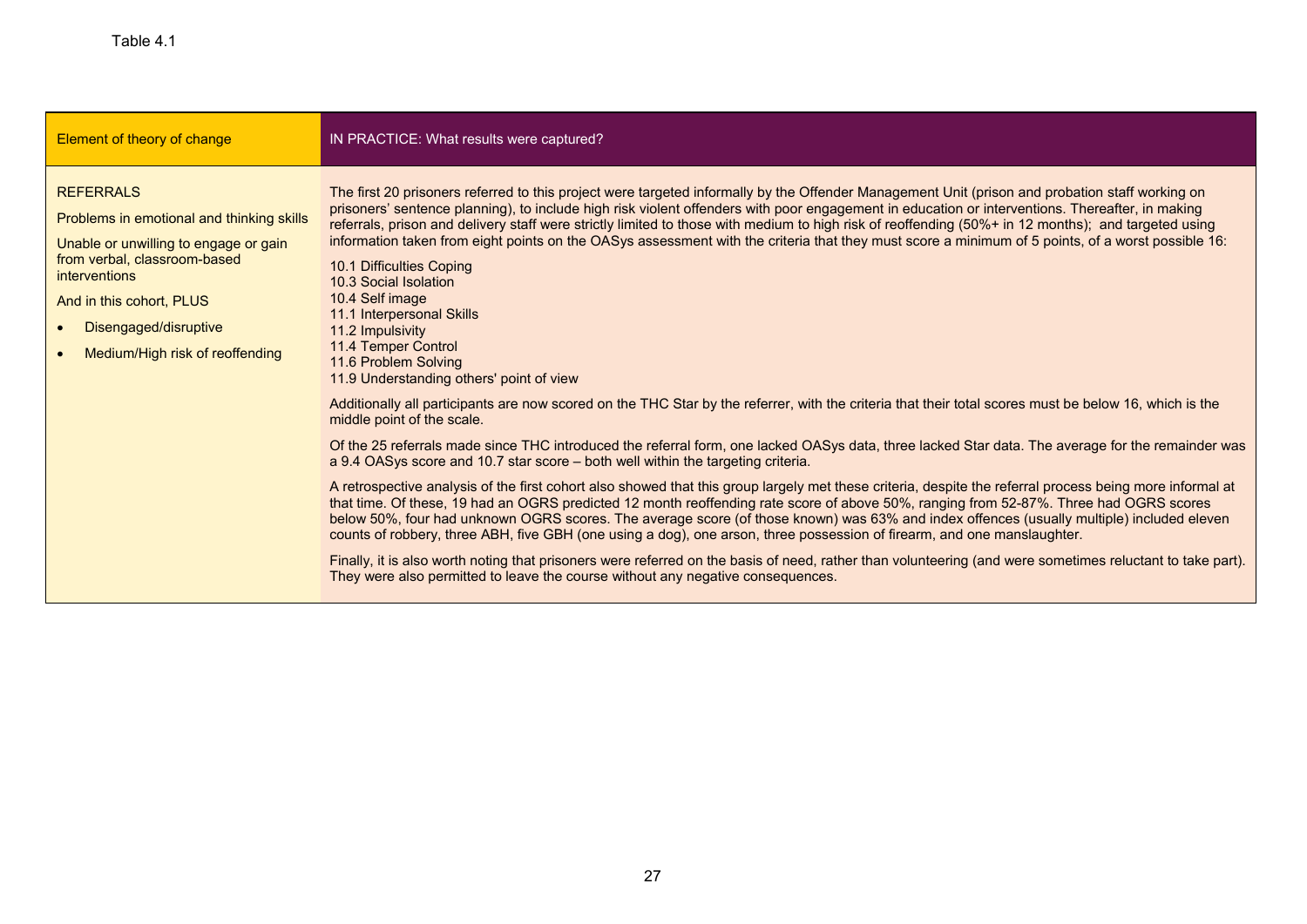| Element of theory of change                                                                                                                                                                                                                            | IN PRACTICE: What results were captured?                                                                                                                                                                                                                                                                                                                                                                                                                                                                                                                                                                                                                                                                                                                                                                                                                                                                                                                                                                                                                                                                                                                                                                                                                                                                                                                                                                                                                                                                                                                                                                                                                                                                                                                                                                                                                                                                                                                                                                                                                                                          |
|--------------------------------------------------------------------------------------------------------------------------------------------------------------------------------------------------------------------------------------------------------|---------------------------------------------------------------------------------------------------------------------------------------------------------------------------------------------------------------------------------------------------------------------------------------------------------------------------------------------------------------------------------------------------------------------------------------------------------------------------------------------------------------------------------------------------------------------------------------------------------------------------------------------------------------------------------------------------------------------------------------------------------------------------------------------------------------------------------------------------------------------------------------------------------------------------------------------------------------------------------------------------------------------------------------------------------------------------------------------------------------------------------------------------------------------------------------------------------------------------------------------------------------------------------------------------------------------------------------------------------------------------------------------------------------------------------------------------------------------------------------------------------------------------------------------------------------------------------------------------------------------------------------------------------------------------------------------------------------------------------------------------------------------------------------------------------------------------------------------------------------------------------------------------------------------------------------------------------------------------------------------------------------------------------------------------------------------------------------------------|
| <b>REFERRALS</b><br>Problems in emotional and thinking skills<br>Unable or unwilling to engage or gain<br>from verbal, classroom-based<br><i>interventions</i><br>And in this cohort, PLUS<br>Disengaged/disruptive<br>Medium/High risk of reoffending | The first 20 prisoners referred to this project were targeted informally by the Offender Management Unit (prison and probation staff working on<br>prisoners' sentence planning), to include high risk violent offenders with poor engagement in education or interventions. Thereafter, in making<br>referrals, prison and delivery staff were strictly limited to those with medium to high risk of reoffending (50%+ in 12 months); and targeted using<br>information taken from eight points on the OASys assessment with the criteria that they must score a minimum of 5 points, of a worst possible 16:<br>10.1 Difficulties Coping<br>10.3 Social Isolation<br>10.4 Self image<br>11.1 Interpersonal Skills<br>11.2 Impulsivity<br>11.4 Temper Control<br>11.6 Problem Solving<br>11.9 Understanding others' point of view<br>Additionally all participants are now scored on the THC Star by the referrer, with the criteria that their total scores must be below 16, which is the<br>middle point of the scale.<br>Of the 25 referrals made since THC introduced the referral form, one lacked OASys data, three lacked Star data. The average for the remainder was<br>a 9.4 OASys score and 10.7 star score – both well within the targeting criteria.<br>A retrospective analysis of the first cohort also showed that this group largely met these criteria, despite the referral process being more informal at<br>that time. Of these, 19 had an OGRS predicted 12 month reoffending rate score of above 50%, ranging from 52-87%. Three had OGRS scores<br>below 50%, four had unknown OGRS scores. The average score (of those known) was 63% and index offences (usually multiple) included eleven<br>counts of robbery, three ABH, five GBH (one using a dog), one arson, three possession of firearm, and one manslaughter.<br>Finally, it is also worth noting that prisoners were referred on the basis of need, rather than volunteering (and were sometimes reluctant to take part).<br>They were also permitted to leave the course without any negative consequences. |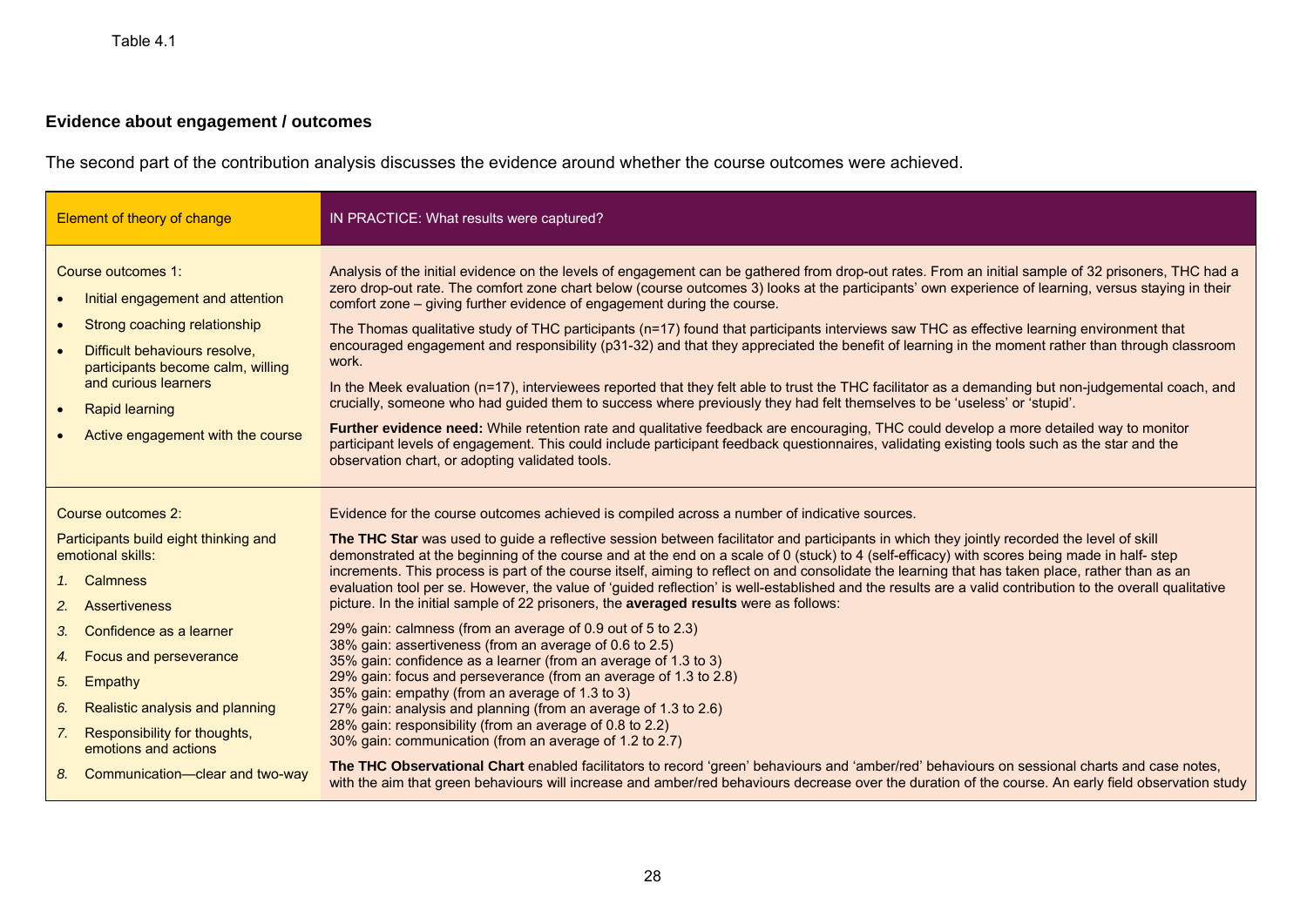## **Evidence about engagement / outcomes**

The second part of the contribution analysis discusses the evidence around whether the course outcomes were achieved.

| Element of theory of change                                                                                                                                                                                                                                     | IN PRACTICE: What results were captured?                                                                                                                                                                                                                                                                                                                                                                                                                                                                                                                                                                                                                                                                                                                                                                                                                                                                                                                                                                                                                                                                                                                                                                                                                                    |
|-----------------------------------------------------------------------------------------------------------------------------------------------------------------------------------------------------------------------------------------------------------------|-----------------------------------------------------------------------------------------------------------------------------------------------------------------------------------------------------------------------------------------------------------------------------------------------------------------------------------------------------------------------------------------------------------------------------------------------------------------------------------------------------------------------------------------------------------------------------------------------------------------------------------------------------------------------------------------------------------------------------------------------------------------------------------------------------------------------------------------------------------------------------------------------------------------------------------------------------------------------------------------------------------------------------------------------------------------------------------------------------------------------------------------------------------------------------------------------------------------------------------------------------------------------------|
| Course outcomes 1:<br>Initial engagement and attention<br>Strong coaching relationship<br>Difficult behaviours resolve,<br>participants become calm, willing<br>and curious learners<br><b>Rapid learning</b><br>$\bullet$<br>Active engagement with the course | Analysis of the initial evidence on the levels of engagement can be gathered from drop-out rates. From an initial sample of 32 prisoners, THC had a<br>zero drop-out rate. The comfort zone chart below (course outcomes 3) looks at the participants' own experience of learning, versus staying in their<br>comfort zone – giving further evidence of engagement during the course.<br>The Thomas qualitative study of THC participants (n=17) found that participants interviews saw THC as effective learning environment that<br>encouraged engagement and responsibility (p31-32) and that they appreciated the benefit of learning in the moment rather than through classroom<br>work.<br>In the Meek evaluation (n=17), interviewees reported that they felt able to trust the THC facilitator as a demanding but non-judgemental coach, and<br>crucially, someone who had guided them to success where previously they had felt themselves to be 'useless' or 'stupid'.<br>Further evidence need: While retention rate and qualitative feedback are encouraging, THC could develop a more detailed way to monitor<br>participant levels of engagement. This could include participant feedback questionnaires, validating existing tools such as the star and the |
| Course outcomes 2:                                                                                                                                                                                                                                              | observation chart, or adopting validated tools.<br>Evidence for the course outcomes achieved is compiled across a number of indicative sources.                                                                                                                                                                                                                                                                                                                                                                                                                                                                                                                                                                                                                                                                                                                                                                                                                                                                                                                                                                                                                                                                                                                             |
| Participants build eight thinking and<br>emotional skills:<br>1. Calmness<br>2. Assertiveness                                                                                                                                                                   | The THC Star was used to guide a reflective session between facilitator and participants in which they jointly recorded the level of skill<br>demonstrated at the beginning of the course and at the end on a scale of 0 (stuck) to 4 (self-efficacy) with scores being made in half-step<br>increments. This process is part of the course itself, aiming to reflect on and consolidate the learning that has taken place, rather than as an<br>evaluation tool per se. However, the value of 'guided reflection' is well-established and the results are a valid contribution to the overall qualitative<br>picture. In the initial sample of 22 prisoners, the averaged results were as follows:                                                                                                                                                                                                                                                                                                                                                                                                                                                                                                                                                                         |
| Confidence as a learner<br>3 <sub>1</sub><br>Focus and perseverance<br>4.<br>5. Empathy<br>Realistic analysis and planning<br>6.<br>Responsibility for thoughts,<br>7.<br>emotions and actions                                                                  | 29% gain: calmness (from an average of 0.9 out of 5 to 2.3)<br>38% gain: assertiveness (from an average of 0.6 to 2.5)<br>35% gain: confidence as a learner (from an average of 1.3 to 3)<br>29% gain: focus and perseverance (from an average of 1.3 to 2.8)<br>35% gain: empathy (from an average of 1.3 to 3)<br>27% gain: analysis and planning (from an average of 1.3 to 2.6)<br>28% gain: responsibility (from an average of 0.8 to 2.2)<br>30% gain: communication (from an average of 1.2 to 2.7)                                                                                                                                                                                                                                                                                                                                                                                                                                                                                                                                                                                                                                                                                                                                                                  |
| 8. Communication-clear and two-way                                                                                                                                                                                                                              | The THC Observational Chart enabled facilitators to record 'green' behaviours and 'amber/red' behaviours on sessional charts and case notes,<br>with the aim that green behaviours will increase and amber/red behaviours decrease over the duration of the course. An early field observation study                                                                                                                                                                                                                                                                                                                                                                                                                                                                                                                                                                                                                                                                                                                                                                                                                                                                                                                                                                        |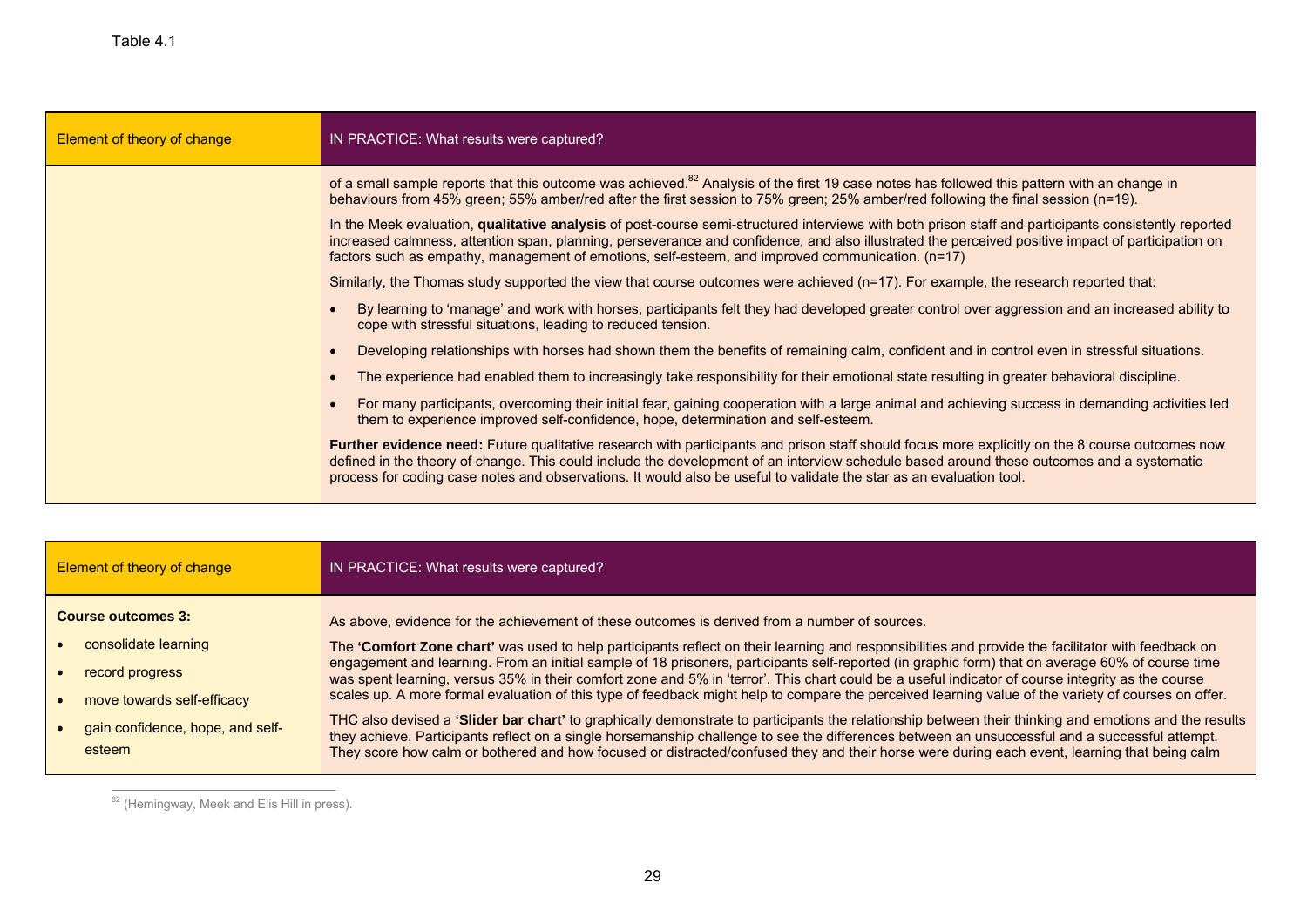| Element of theory of change | IN PRACTICE: What results were captured?                                                                                                                                                                                                                                                                                                                                                                            |
|-----------------------------|---------------------------------------------------------------------------------------------------------------------------------------------------------------------------------------------------------------------------------------------------------------------------------------------------------------------------------------------------------------------------------------------------------------------|
|                             | of a small sample reports that this outcome was achieved. <sup>82</sup> Analysis of the first 19 case notes has followed this pattern with an change in<br>behaviours from 45% green; 55% amber/red after the first session to 75% green; 25% amber/red following the final session (n=19).                                                                                                                         |
|                             | In the Meek evaluation, qualitative analysis of post-course semi-structured interviews with both prison staff and participants consistently reported<br>increased calmness, attention span, planning, perseverance and confidence, and also illustrated the perceived positive impact of participation on<br>factors such as empathy, management of emotions, self-esteem, and improved communication. (n=17)       |
|                             | Similarly, the Thomas study supported the view that course outcomes were achieved (n=17). For example, the research reported that:                                                                                                                                                                                                                                                                                  |
|                             | By learning to 'manage' and work with horses, participants felt they had developed greater control over aggression and an increased ability to<br>cope with stressful situations, leading to reduced tension.                                                                                                                                                                                                       |
|                             | Developing relationships with horses had shown them the benefits of remaining calm, confident and in control even in stressful situations.                                                                                                                                                                                                                                                                          |
|                             | The experience had enabled them to increasingly take responsibility for their emotional state resulting in greater behavioral discipline.                                                                                                                                                                                                                                                                           |
|                             | For many participants, overcoming their initial fear, gaining cooperation with a large animal and achieving success in demanding activities led<br>them to experience improved self-confidence, hope, determination and self-esteem.                                                                                                                                                                                |
|                             | Further evidence need: Future qualitative research with participants and prison staff should focus more explicitly on the 8 course outcomes now<br>defined in the theory of change. This could include the development of an interview schedule based around these outcomes and a systematic<br>process for coding case notes and observations. It would also be useful to validate the star as an evaluation tool. |

| Element of theory of change                | IN PRACTICE: What results were captured?                                                                                                                                                                                                                                                                                                                                                                                                                |
|--------------------------------------------|---------------------------------------------------------------------------------------------------------------------------------------------------------------------------------------------------------------------------------------------------------------------------------------------------------------------------------------------------------------------------------------------------------------------------------------------------------|
| <b>Course outcomes 3:</b>                  | As above, evidence for the achievement of these outcomes is derived from a number of sources.                                                                                                                                                                                                                                                                                                                                                           |
| consolidate learning                       | The 'Comfort Zone chart' was used to help participants reflect on their learning and responsibilities and provide the facilitator with feedback on                                                                                                                                                                                                                                                                                                      |
| record progress                            | engagement and learning. From an initial sample of 18 prisoners, participants self-reported (in graphic form) that on average 60% of course time<br>was spent learning, versus 35% in their comfort zone and 5% in 'terror'. This chart could be a useful indicator of course integrity as the course                                                                                                                                                   |
| move towards self-efficacy                 | scales up. A more formal evaluation of this type of feedback might help to compare the perceived learning value of the variety of courses on offer.                                                                                                                                                                                                                                                                                                     |
| gain confidence, hope, and self-<br>esteem | THC also devised a 'Slider bar chart' to graphically demonstrate to participants the relationship between their thinking and emotions and the results<br>they achieve. Participants reflect on a single horsemanship challenge to see the differences between an unsuccessful and a successful attempt.<br>They score how calm or bothered and how focused or distracted/confused they and their horse were during each event, learning that being calm |

 $\overline{\phantom{a}^{82}}$  (Hemingway, Meek and Elis Hill in press).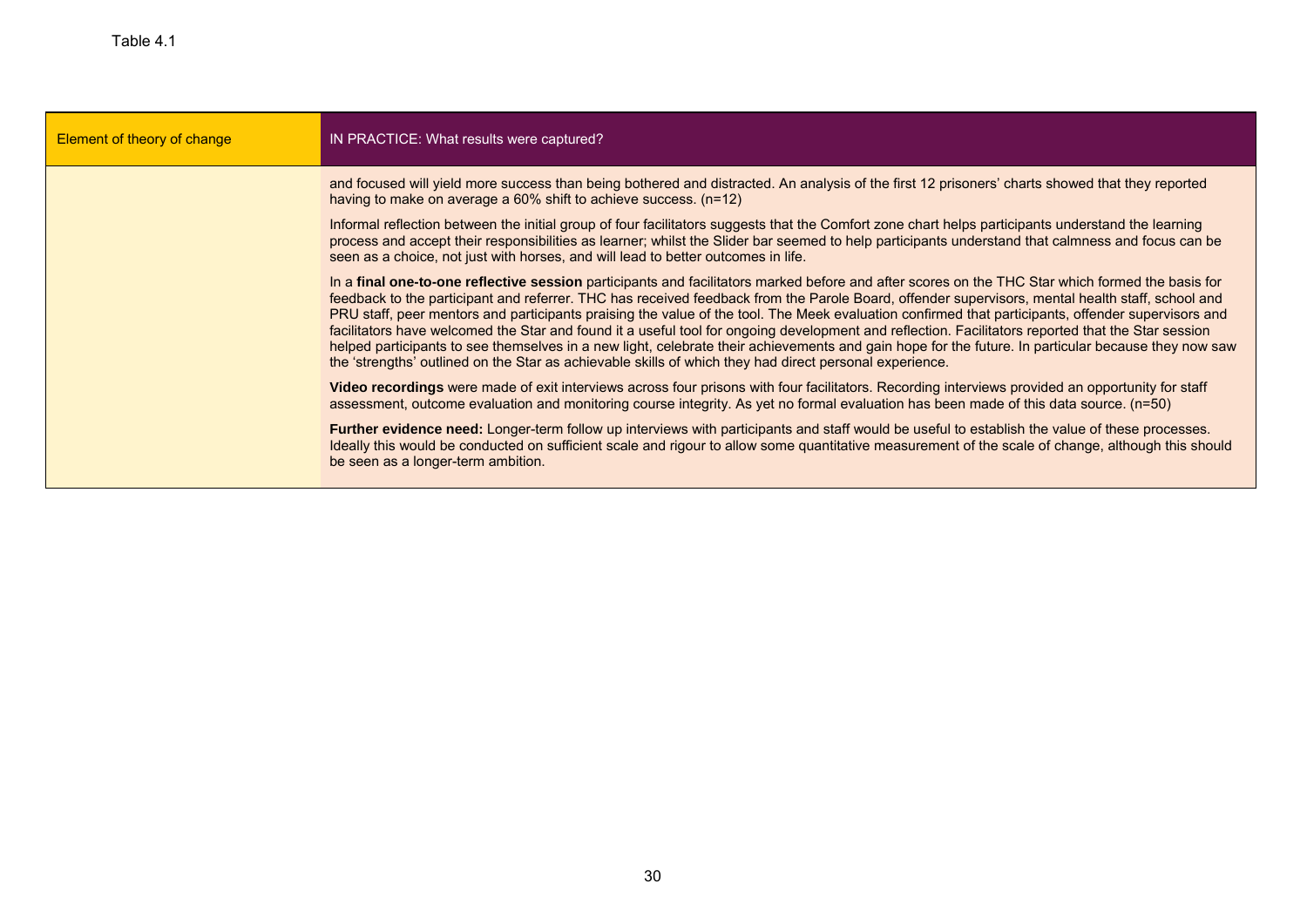| Element of theory of change | IN PRACTICE: What results were captured?                                                                                                                                                                                                                                                                                                                                                                                                                                                                                                                                                                                                                                                                                                                                                                                                                                           |
|-----------------------------|------------------------------------------------------------------------------------------------------------------------------------------------------------------------------------------------------------------------------------------------------------------------------------------------------------------------------------------------------------------------------------------------------------------------------------------------------------------------------------------------------------------------------------------------------------------------------------------------------------------------------------------------------------------------------------------------------------------------------------------------------------------------------------------------------------------------------------------------------------------------------------|
|                             | and focused will yield more success than being bothered and distracted. An analysis of the first 12 prisoners' charts showed that they reported<br>having to make on average a 60% shift to achieve success. (n=12)                                                                                                                                                                                                                                                                                                                                                                                                                                                                                                                                                                                                                                                                |
|                             | Informal reflection between the initial group of four facilitators suggests that the Comfort zone chart helps participants understand the learning<br>process and accept their responsibilities as learner; whilst the Slider bar seemed to help participants understand that calmness and focus can be<br>seen as a choice, not just with horses, and will lead to better outcomes in life.                                                                                                                                                                                                                                                                                                                                                                                                                                                                                       |
|                             | In a final one-to-one reflective session participants and facilitators marked before and after scores on the THC Star which formed the basis for<br>feedback to the participant and referrer. THC has received feedback from the Parole Board, offender supervisors, mental health staff, school and<br>PRU staff, peer mentors and participants praising the value of the tool. The Meek evaluation confirmed that participants, offender supervisors and<br>facilitators have welcomed the Star and found it a useful tool for ongoing development and reflection. Facilitators reported that the Star session<br>helped participants to see themselves in a new light, celebrate their achievements and gain hope for the future. In particular because they now saw<br>the 'strengths' outlined on the Star as achievable skills of which they had direct personal experience. |
|                             | Video recordings were made of exit interviews across four prisons with four facilitators. Recording interviews provided an opportunity for staff<br>assessment, outcome evaluation and monitoring course integrity. As yet no formal evaluation has been made of this data source. (n=50)                                                                                                                                                                                                                                                                                                                                                                                                                                                                                                                                                                                          |
|                             | Further evidence need: Longer-term follow up interviews with participants and staff would be useful to establish the value of these processes.<br>Ideally this would be conducted on sufficient scale and rigour to allow some quantitative measurement of the scale of change, although this should<br>be seen as a longer-term ambition.                                                                                                                                                                                                                                                                                                                                                                                                                                                                                                                                         |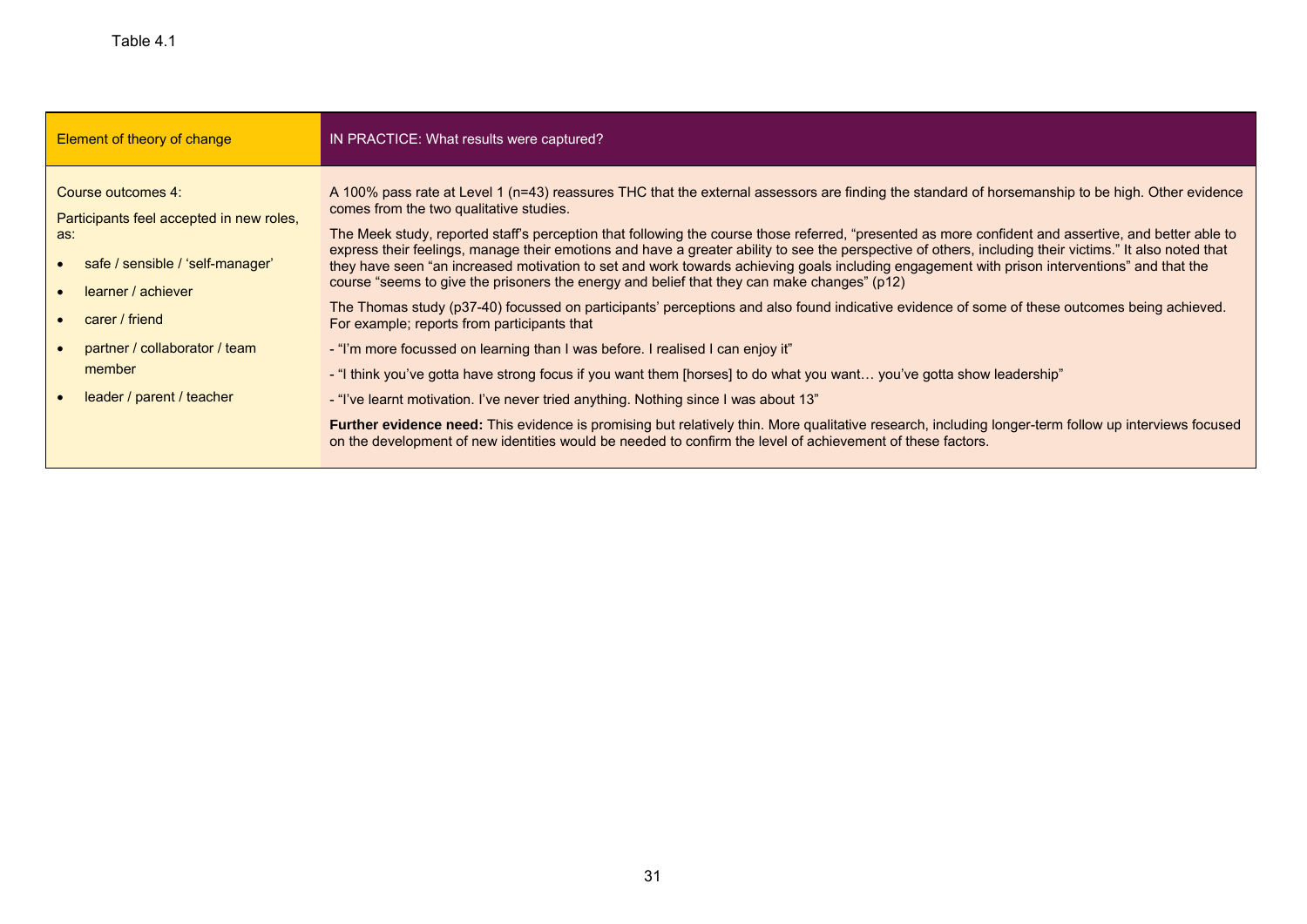| Element of theory of change                                                                                                                                                                                               | IN PRACTICE: What results were captured?                                                                                                                                                                                                                                                                                                                                                                                                                                                                                                                                                                                                                                                                                                                                                                                                                                                                                                                                                                                                                                                                                                                                                                                                                                                                                                                                                                                                                                                                                             |
|---------------------------------------------------------------------------------------------------------------------------------------------------------------------------------------------------------------------------|--------------------------------------------------------------------------------------------------------------------------------------------------------------------------------------------------------------------------------------------------------------------------------------------------------------------------------------------------------------------------------------------------------------------------------------------------------------------------------------------------------------------------------------------------------------------------------------------------------------------------------------------------------------------------------------------------------------------------------------------------------------------------------------------------------------------------------------------------------------------------------------------------------------------------------------------------------------------------------------------------------------------------------------------------------------------------------------------------------------------------------------------------------------------------------------------------------------------------------------------------------------------------------------------------------------------------------------------------------------------------------------------------------------------------------------------------------------------------------------------------------------------------------------|
| Course outcomes 4:<br>Participants feel accepted in new roles,<br>as:<br>safe / sensible / 'self-manager'<br>learner / achiever<br>carer / friend<br>partner / collaborator / team<br>member<br>leader / parent / teacher | A 100% pass rate at Level 1 (n=43) reassures THC that the external assessors are finding the standard of horsemanship to be high. Other evidence<br>comes from the two qualitative studies.<br>The Meek study, reported staff's perception that following the course those referred, "presented as more confident and assertive, and better able to<br>express their feelings, manage their emotions and have a greater ability to see the perspective of others, including their victims." It also noted that<br>they have seen "an increased motivation to set and work towards achieving goals including engagement with prison interventions" and that the<br>course "seems to give the prisoners the energy and belief that they can make changes" (p12)<br>The Thomas study (p37-40) focussed on participants' perceptions and also found indicative evidence of some of these outcomes being achieved.<br>For example: reports from participants that<br>- "I'm more focussed on learning than I was before. I realised I can enjoy it"<br>- "I think you've gotta have strong focus if you want them [horses] to do what you want you've gotta show leadership"<br>- "I've learnt motivation. I've never tried anything. Nothing since I was about 13"<br>Further evidence need: This evidence is promising but relatively thin. More qualitative research, including longer-term follow up interviews focused<br>on the development of new identities would be needed to confirm the level of achievement of these factors. |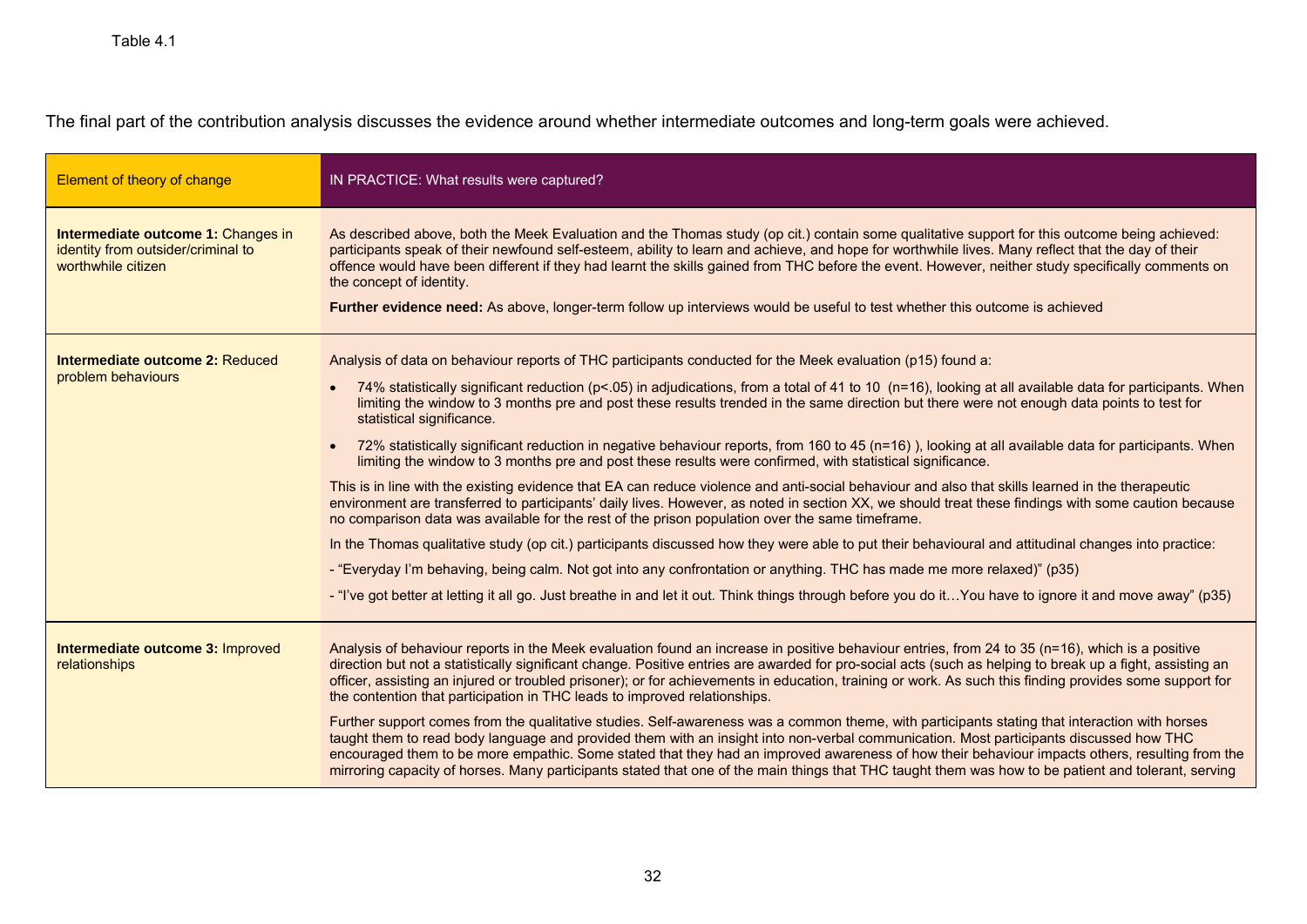The final part of the contribution analysis discusses the evidence around whether intermediate outcomes and long-term goals were achieved.

| Element of theory of change                                                                    | IN PRACTICE: What results were captured?                                                                                                                                                                                                                                                                                                                                                                                                                                                                                                                                                                                                                                                                                                                                                                                                                                                                                                                                                                                                                                                                                                                                                                                                                                                                                                                                                                                                                                                                                                                                        |
|------------------------------------------------------------------------------------------------|---------------------------------------------------------------------------------------------------------------------------------------------------------------------------------------------------------------------------------------------------------------------------------------------------------------------------------------------------------------------------------------------------------------------------------------------------------------------------------------------------------------------------------------------------------------------------------------------------------------------------------------------------------------------------------------------------------------------------------------------------------------------------------------------------------------------------------------------------------------------------------------------------------------------------------------------------------------------------------------------------------------------------------------------------------------------------------------------------------------------------------------------------------------------------------------------------------------------------------------------------------------------------------------------------------------------------------------------------------------------------------------------------------------------------------------------------------------------------------------------------------------------------------------------------------------------------------|
| Intermediate outcome 1: Changes in<br>identity from outsider/criminal to<br>worthwhile citizen | As described above, both the Meek Evaluation and the Thomas study (op cit.) contain some qualitative support for this outcome being achieved:<br>participants speak of their newfound self-esteem, ability to learn and achieve, and hope for worthwhile lives. Many reflect that the day of their<br>offence would have been different if they had learnt the skills gained from THC before the event. However, neither study specifically comments on<br>the concept of identity.<br>Further evidence need: As above, longer-term follow up interviews would be useful to test whether this outcome is achieved                                                                                                                                                                                                                                                                                                                                                                                                                                                                                                                                                                                                                                                                                                                                                                                                                                                                                                                                                               |
| Intermediate outcome 2: Reduced<br>problem behaviours                                          | Analysis of data on behaviour reports of THC participants conducted for the Meek evaluation (p15) found a:<br>74% statistically significant reduction (p<.05) in adjudications, from a total of 41 to 10 (n=16), looking at all available data for participants. When<br>limiting the window to 3 months pre and post these results trended in the same direction but there were not enough data points to test for<br>statistical significance.<br>72% statistically significant reduction in negative behaviour reports, from 160 to 45 (n=16)), looking at all available data for participants. When<br>limiting the window to 3 months pre and post these results were confirmed, with statistical significance.<br>This is in line with the existing evidence that EA can reduce violence and anti-social behaviour and also that skills learned in the therapeutic<br>environment are transferred to participants' daily lives. However, as noted in section XX, we should treat these findings with some caution because<br>no comparison data was available for the rest of the prison population over the same timeframe.<br>In the Thomas qualitative study (op cit.) participants discussed how they were able to put their behavioural and attitudinal changes into practice:<br>- "Everyday I'm behaving, being calm. Not got into any confrontation or anything. THC has made me more relaxed)" (p35)<br>- "I've got better at letting it all go. Just breathe in and let it out. Think things through before you do itYou have to ignore it and move away" (p35) |
| Intermediate outcome 3: Improved<br>relationships                                              | Analysis of behaviour reports in the Meek evaluation found an increase in positive behaviour entries, from 24 to 35 (n=16), which is a positive<br>direction but not a statistically significant change. Positive entries are awarded for pro-social acts (such as helping to break up a fight, assisting an<br>officer, assisting an injured or troubled prisoner); or for achievements in education, training or work. As such this finding provides some support for<br>the contention that participation in THC leads to improved relationships.<br>Further support comes from the qualitative studies. Self-awareness was a common theme, with participants stating that interaction with horses<br>taught them to read body language and provided them with an insight into non-verbal communication. Most participants discussed how THC<br>encouraged them to be more empathic. Some stated that they had an improved awareness of how their behaviour impacts others, resulting from the<br>mirroring capacity of horses. Many participants stated that one of the main things that THC taught them was how to be patient and tolerant, serving                                                                                                                                                                                                                                                                                                                                                                                                                        |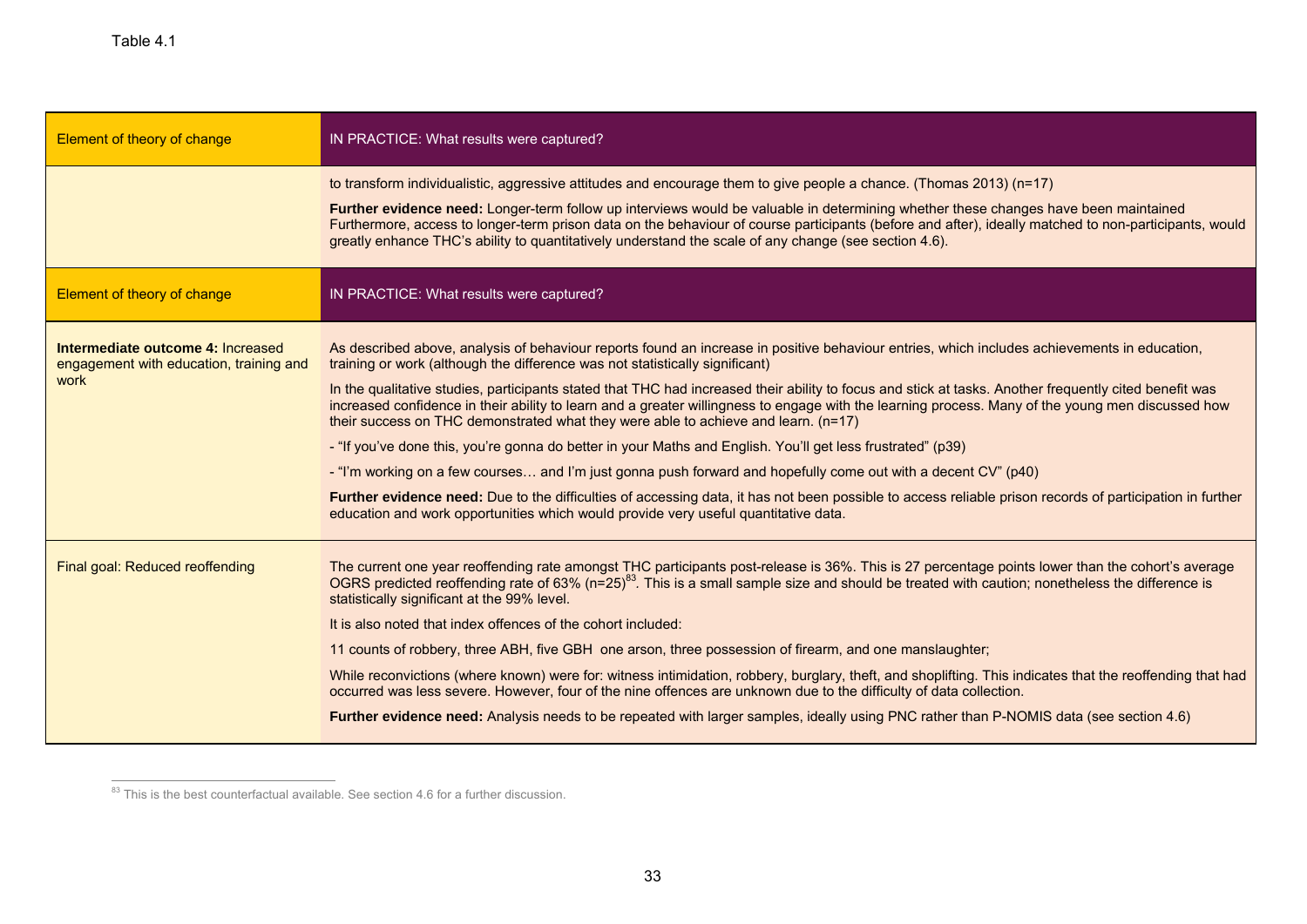| Element of theory of change                                                          | IN PRACTICE: What results were captured?                                                                                                                                                                                                                                                                                                                                                                                                                                                                                                                                                                                                                                                                                                                                                                                                                                                                                                                                                                                                                                                                              |  |  |  |
|--------------------------------------------------------------------------------------|-----------------------------------------------------------------------------------------------------------------------------------------------------------------------------------------------------------------------------------------------------------------------------------------------------------------------------------------------------------------------------------------------------------------------------------------------------------------------------------------------------------------------------------------------------------------------------------------------------------------------------------------------------------------------------------------------------------------------------------------------------------------------------------------------------------------------------------------------------------------------------------------------------------------------------------------------------------------------------------------------------------------------------------------------------------------------------------------------------------------------|--|--|--|
|                                                                                      | to transform individualistic, aggressive attitudes and encourage them to give people a chance. (Thomas 2013) (n=17)<br>Further evidence need: Longer-term follow up interviews would be valuable in determining whether these changes have been maintained<br>Furthermore, access to longer-term prison data on the behaviour of course participants (before and after), ideally matched to non-participants, would<br>greatly enhance THC's ability to quantitatively understand the scale of any change (see section 4.6).                                                                                                                                                                                                                                                                                                                                                                                                                                                                                                                                                                                          |  |  |  |
| Element of theory of change                                                          | IN PRACTICE: What results were captured?                                                                                                                                                                                                                                                                                                                                                                                                                                                                                                                                                                                                                                                                                                                                                                                                                                                                                                                                                                                                                                                                              |  |  |  |
| Intermediate outcome 4: Increased<br>engagement with education, training and<br>work | As described above, analysis of behaviour reports found an increase in positive behaviour entries, which includes achievements in education,<br>training or work (although the difference was not statistically significant)<br>In the qualitative studies, participants stated that THC had increased their ability to focus and stick at tasks. Another frequently cited benefit was<br>increased confidence in their ability to learn and a greater willingness to engage with the learning process. Many of the young men discussed how<br>their success on THC demonstrated what they were able to achieve and learn. (n=17)<br>- "If you've done this, you're gonna do better in your Maths and English. You'll get less frustrated" (p39)<br>- "I'm working on a few courses and I'm just gonna push forward and hopefully come out with a decent CV" (p40)<br>Further evidence need: Due to the difficulties of accessing data, it has not been possible to access reliable prison records of participation in further<br>education and work opportunities which would provide very useful quantitative data. |  |  |  |
| Final goal: Reduced reoffending                                                      | The current one year reoffending rate amongst THC participants post-release is 36%. This is 27 percentage points lower than the cohort's average<br>OGRS predicted reoffending rate of 63% (n=25) <sup>83</sup> . This is a small sample size and should be treated with caution; nonetheless the difference is<br>statistically significant at the 99% level.<br>It is also noted that index offences of the cohort included:<br>11 counts of robbery, three ABH, five GBH one arson, three possession of firearm, and one manslaughter;<br>While reconvictions (where known) were for: witness intimidation, robbery, burglary, theft, and shoplifting. This indicates that the reoffending that had<br>occurred was less severe. However, four of the nine offences are unknown due to the difficulty of data collection.<br>Further evidence need: Analysis needs to be repeated with larger samples, ideally using PNC rather than P-NOMIS data (see section 4.6)                                                                                                                                                |  |  |  |

 $\frac{83}{100}$  This is the best counterfactual available. See section 4.6 for a further discussion.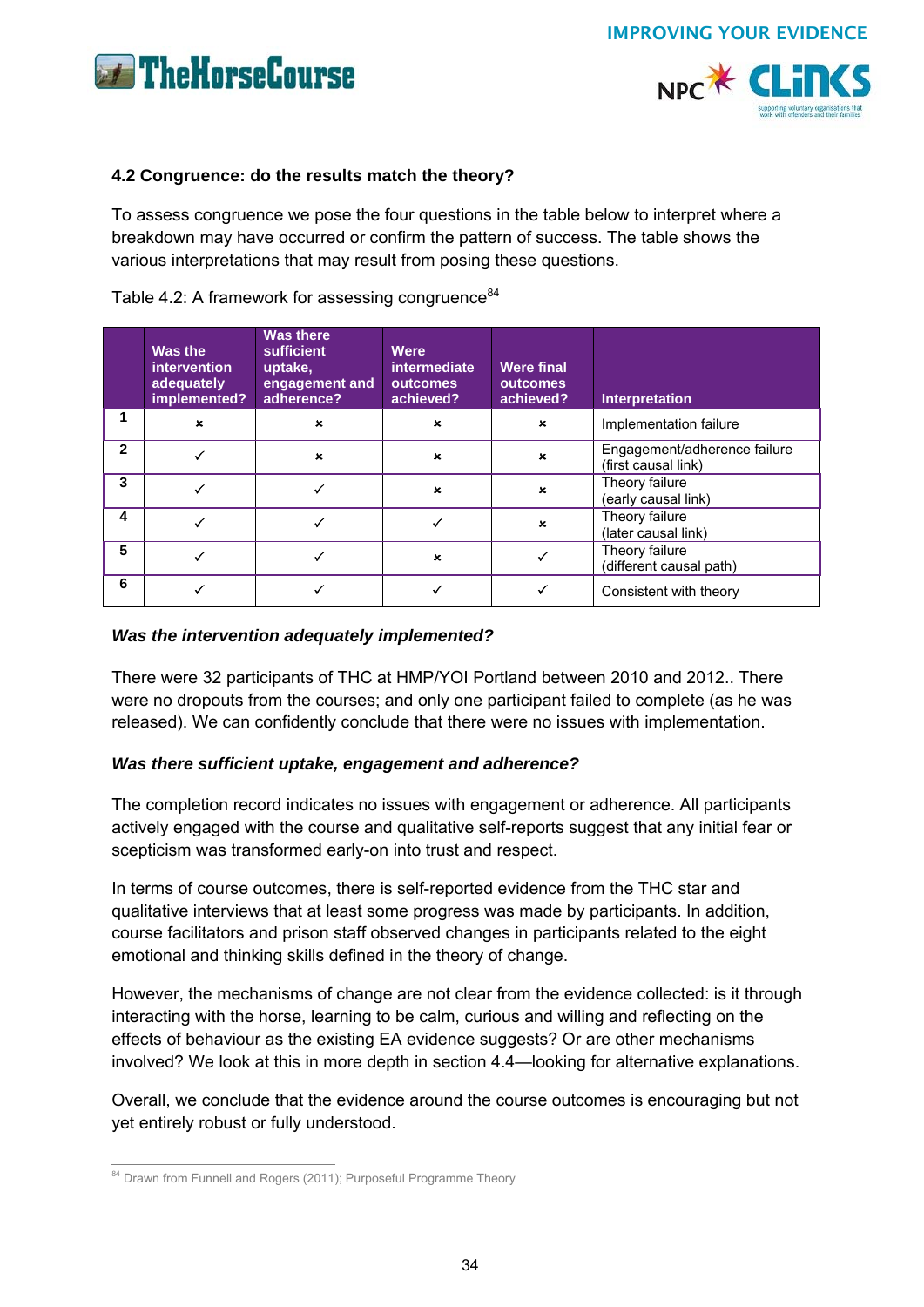





## **4.2 Congruence: do the results match the theory?**

To assess congruence we pose the four questions in the table below to interpret where a breakdown may have occurred or confirm the pattern of success. The table shows the various interpretations that may result from posing these questions.

## Table 4.2: A framework for assessing congruence $84$

|              | Was the<br><i>intervention</i><br>adequately<br>implemented? | <b>Was there</b><br>sufficient<br>uptake,<br>engagement and<br>adherence? | Were<br><i>intermediate</i><br>outcomes<br>achieved? | <b>Were final</b><br>outcomes<br>achieved? | <b>Interpretation</b>                               |
|--------------|--------------------------------------------------------------|---------------------------------------------------------------------------|------------------------------------------------------|--------------------------------------------|-----------------------------------------------------|
| 1            | $\mathbf x$                                                  | $\pmb{\times}$                                                            | $\mathbf x$                                          | $\mathbf{x}$                               | Implementation failure                              |
| $\mathbf{2}$ |                                                              | $\pmb{\times}$                                                            | $\mathbf{x}$                                         | $\mathbf{x}$                               | Engagement/adherence failure<br>(first causal link) |
| 3            |                                                              |                                                                           | $\pmb{\times}$                                       | $\mathbf x$                                | Theory failure<br>(early causal link)               |
| 4            |                                                              |                                                                           |                                                      | $\mathbf x$                                | Theory failure<br>(later causal link)               |
| 5            |                                                              |                                                                           | $\boldsymbol{\mathsf{x}}$                            |                                            | Theory failure<br>(different causal path)           |
| 6            |                                                              |                                                                           |                                                      |                                            | Consistent with theory                              |

## *Was the intervention adequately implemented?*

There were 32 participants of THC at HMP/YOI Portland between 2010 and 2012.. There were no dropouts from the courses; and only one participant failed to complete (as he was released). We can confidently conclude that there were no issues with implementation.

## *Was there sufficient uptake, engagement and adherence?*

The completion record indicates no issues with engagement or adherence. All participants actively engaged with the course and qualitative self-reports suggest that any initial fear or scepticism was transformed early-on into trust and respect.

In terms of course outcomes, there is self-reported evidence from the THC star and qualitative interviews that at least some progress was made by participants. In addition, course facilitators and prison staff observed changes in participants related to the eight emotional and thinking skills defined in the theory of change.

However, the mechanisms of change are not clear from the evidence collected: is it through interacting with the horse, learning to be calm, curious and willing and reflecting on the effects of behaviour as the existing EA evidence suggests? Or are other mechanisms involved? We look at this in more depth in section 4.4—looking for alternative explanations.

Overall, we conclude that the evidence around the course outcomes is encouraging but not yet entirely robust or fully understood.

 $\overline{a}$ <sup>84</sup> Drawn from Funnell and Rogers (2011); Purposeful Programme Theory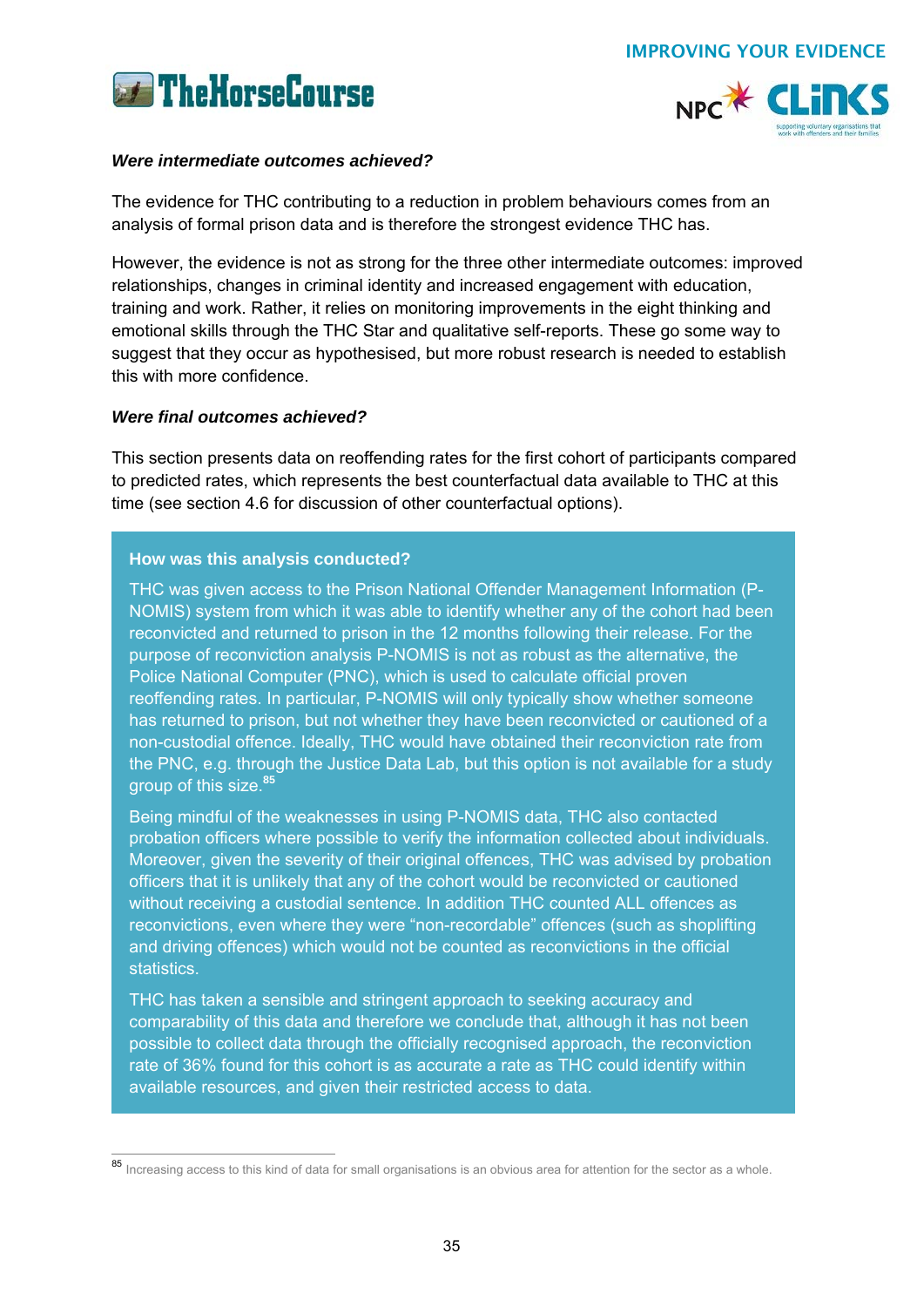



## *Were intermediate outcomes achieved?*

The evidence for THC contributing to a reduction in problem behaviours comes from an analysis of formal prison data and is therefore the strongest evidence THC has.

However, the evidence is not as strong for the three other intermediate outcomes: improved relationships, changes in criminal identity and increased engagement with education, training and work. Rather, it relies on monitoring improvements in the eight thinking and emotional skills through the THC Star and qualitative self-reports. These go some way to suggest that they occur as hypothesised, but more robust research is needed to establish this with more confidence.

## *Were final outcomes achieved?*

This section presents data on reoffending rates for the first cohort of participants compared to predicted rates, which represents the best counterfactual data available to THC at this time (see section 4.6 for discussion of other counterfactual options).

## **How was this analysis conducted?**

THC was given access to the Prison National Offender Management Information (P-NOMIS) system from which it was able to identify whether any of the cohort had been reconvicted and returned to prison in the 12 months following their release. For the purpose of reconviction analysis P-NOMIS is not as robust as the alternative, the Police National Computer (PNC), which is used to calculate official proven reoffending rates. In particular, P-NOMIS will only typically show whether someone has returned to prison, but not whether they have been reconvicted or cautioned of a non-custodial offence. Ideally, THC would have obtained their reconviction rate from the PNC, e.g. through the Justice Data Lab, but this option is not available for a study group of this size.**<sup>85</sup>**

Being mindful of the weaknesses in using P-NOMIS data, THC also contacted probation officers where possible to verify the information collected about individuals. Moreover, given the severity of their original offences, THC was advised by probation officers that it is unlikely that any of the cohort would be reconvicted or cautioned without receiving a custodial sentence. In addition THC counted ALL offences as reconvictions, even where they were "non-recordable" offences (such as shoplifting and driving offences) which would not be counted as reconvictions in the official statistics.

THC has taken a sensible and stringent approach to seeking accuracy and comparability of this data and therefore we conclude that, although it has not been possible to collect data through the officially recognised approach, the reconviction rate of 36% found for this cohort is as accurate a rate as THC could identify within available resources, and given their restricted access to data.

 $\overline{a}$ 85 Increasing access to this kind of data for small organisations is an obvious area for attention for the sector as a whole.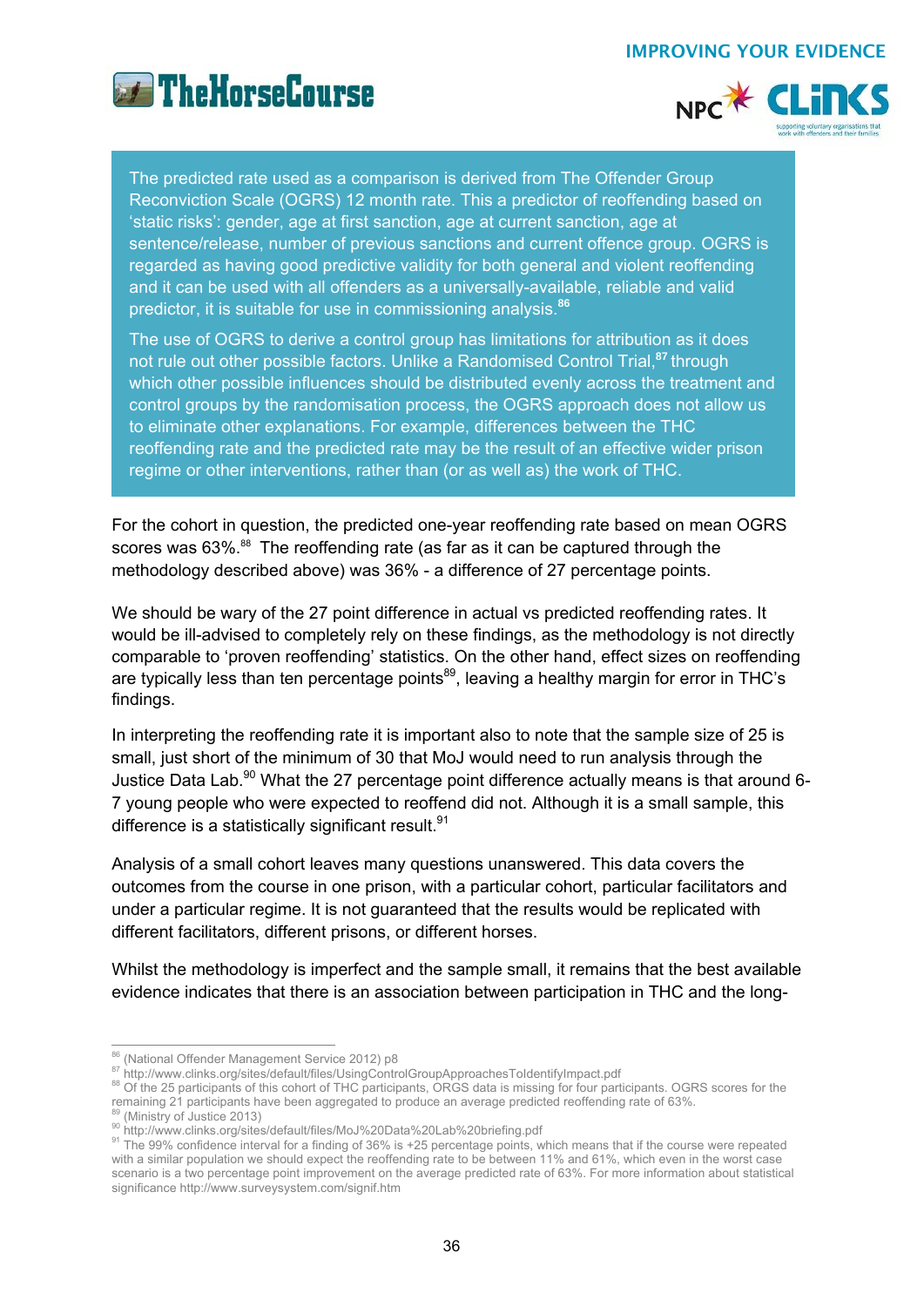



The predicted rate used as a comparison is derived from The Offender Group Reconviction Scale (OGRS) 12 month rate. This a predictor of reoffending based on 'static risks': gender, age at first sanction, age at current sanction, age at sentence/release, number of previous sanctions and current offence group. OGRS is regarded as having good predictive validity for both general and violent reoffending and it can be used with all offenders as a universally-available, reliable and valid predictor, it is suitable for use in commissioning analysis.**<sup>86</sup>**

The use of OGRS to derive a control group has limitations for attribution as it does not rule out other possible factors. Unlike a Randomised Control Trial,**<sup>87</sup>**through which other possible influences should be distributed evenly across the treatment and control groups by the randomisation process, the OGRS approach does not allow us to eliminate other explanations. For example, differences between the THC reoffending rate and the predicted rate may be the result of an effective wider prison regime or other interventions, rather than (or as well as) the work of THC.

For the cohort in question, the predicted one-year reoffending rate based on mean OGRS scores was 63%.<sup>88</sup> The reoffending rate (as far as it can be captured through the methodology described above) was 36% - a difference of 27 percentage points.

We should be wary of the 27 point difference in actual vs predicted reoffending rates. It would be ill-advised to completely rely on these findings, as the methodology is not directly comparable to 'proven reoffending' statistics. On the other hand, effect sizes on reoffending are typically less than ten percentage points<sup>89</sup>, leaving a healthy margin for error in THC's findings.

In interpreting the reoffending rate it is important also to note that the sample size of 25 is small, just short of the minimum of 30 that MoJ would need to run analysis through the Justice Data Lab.<sup>90</sup> What the 27 percentage point difference actually means is that around 6-7 young people who were expected to reoffend did not. Although it is a small sample, this difference is a statistically significant result.  $91$ 

Analysis of a small cohort leaves many questions unanswered. This data covers the outcomes from the course in one prison, with a particular cohort, particular facilitators and under a particular regime. It is not guaranteed that the results would be replicated with different facilitators, different prisons, or different horses.

Whilst the methodology is imperfect and the sample small, it remains that the best available evidence indicates that there is an association between participation in THC and the long-

<sup>86 (</sup>National Offender Management Service 2012) p8

<sup>&</sup>lt;sup>87</sup> http://www.clinks.org/sites/default/files/UsingControlGroupApproachesToldentifyImpact.pdf<br><sup>88</sup> Of the 25 participants of this cohort of THC participants, ORGS data is missing for four participants. OGRS scores for the

<sup>&</sup>lt;sup>89</sup> (Ministry of Justice 2013)<br><sup>90</sup> http://www.clinks.org/sites/default/files/MoJ%20Data%20Lab%20briefing.pdf<br><sup>91</sup> The 99% confidence interval for a finding of 36% is +25 percentage points, which means that if the course with a similar population we should expect the reoffending rate to be between 11% and 61%, which even in the worst case scenario is a two percentage point improvement on the average predicted rate of 63%. For more information about statistical significance http://www.surveysystem.com/signif.htm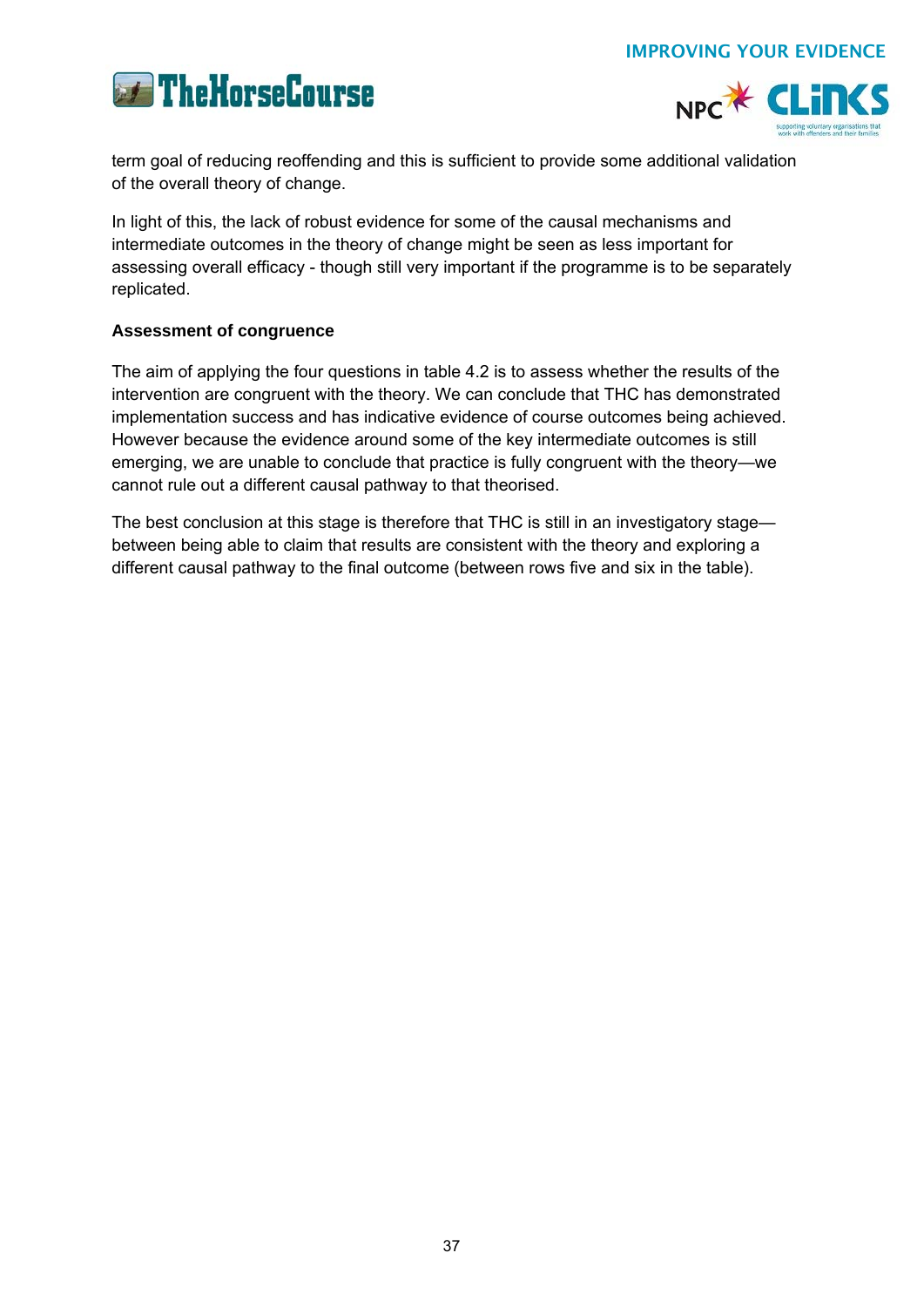



term goal of reducing reoffending and this is sufficient to provide some additional validation of the overall theory of change.

In light of this, the lack of robust evidence for some of the causal mechanisms and intermediate outcomes in the theory of change might be seen as less important for assessing overall efficacy - though still very important if the programme is to be separately replicated.

## **Assessment of congruence**

The aim of applying the four questions in table 4.2 is to assess whether the results of the intervention are congruent with the theory. We can conclude that THC has demonstrated implementation success and has indicative evidence of course outcomes being achieved. However because the evidence around some of the key intermediate outcomes is still emerging, we are unable to conclude that practice is fully congruent with the theory—we cannot rule out a different causal pathway to that theorised.

The best conclusion at this stage is therefore that THC is still in an investigatory stage between being able to claim that results are consistent with the theory and exploring a different causal pathway to the final outcome (between rows five and six in the table).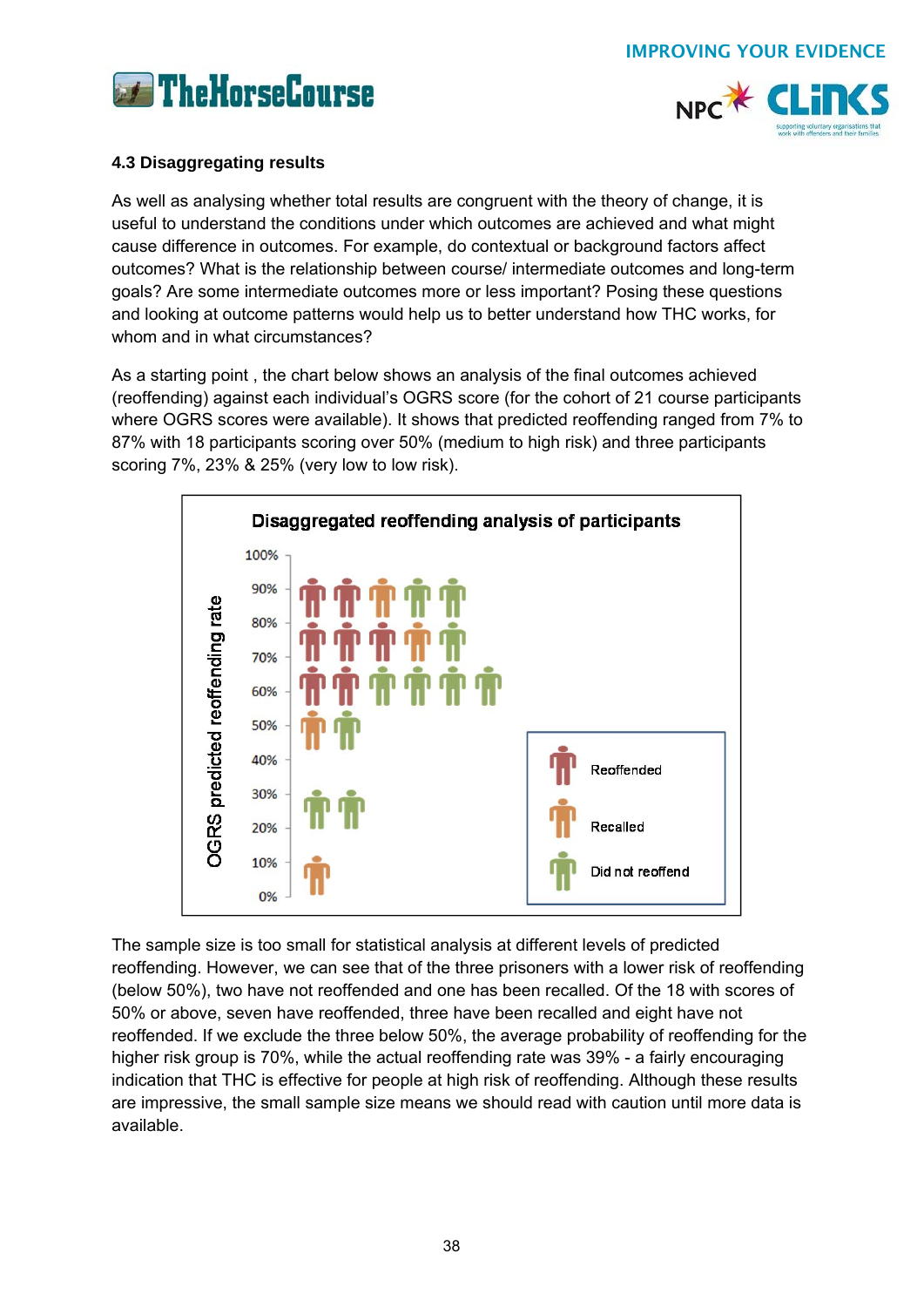



## **4.3 Disaggregating results**

As well as analysing whether total results are congruent with the theory of change, it is useful to understand the conditions under which outcomes are achieved and what might cause difference in outcomes. For example, do contextual or background factors affect outcomes? What is the relationship between course/ intermediate outcomes and long-term goals? Are some intermediate outcomes more or less important? Posing these questions and looking at outcome patterns would help us to better understand how THC works, for whom and in what circumstances?

As a starting point , the chart below shows an analysis of the final outcomes achieved (reoffending) against each individual's OGRS score (for the cohort of 21 course participants where OGRS scores were available). It shows that predicted reoffending ranged from 7% to 87% with 18 participants scoring over 50% (medium to high risk) and three participants scoring 7%, 23% & 25% (very low to low risk).



The sample size is too small for statistical analysis at different levels of predicted reoffending. However, we can see that of the three prisoners with a lower risk of reoffending (below 50%), two have not reoffended and one has been recalled. Of the 18 with scores of 50% or above, seven have reoffended, three have been recalled and eight have not reoffended. If we exclude the three below 50%, the average probability of reoffending for the higher risk group is 70%, while the actual reoffending rate was 39% - a fairly encouraging indication that THC is effective for people at high risk of reoffending. Although these results are impressive, the small sample size means we should read with caution until more data is available.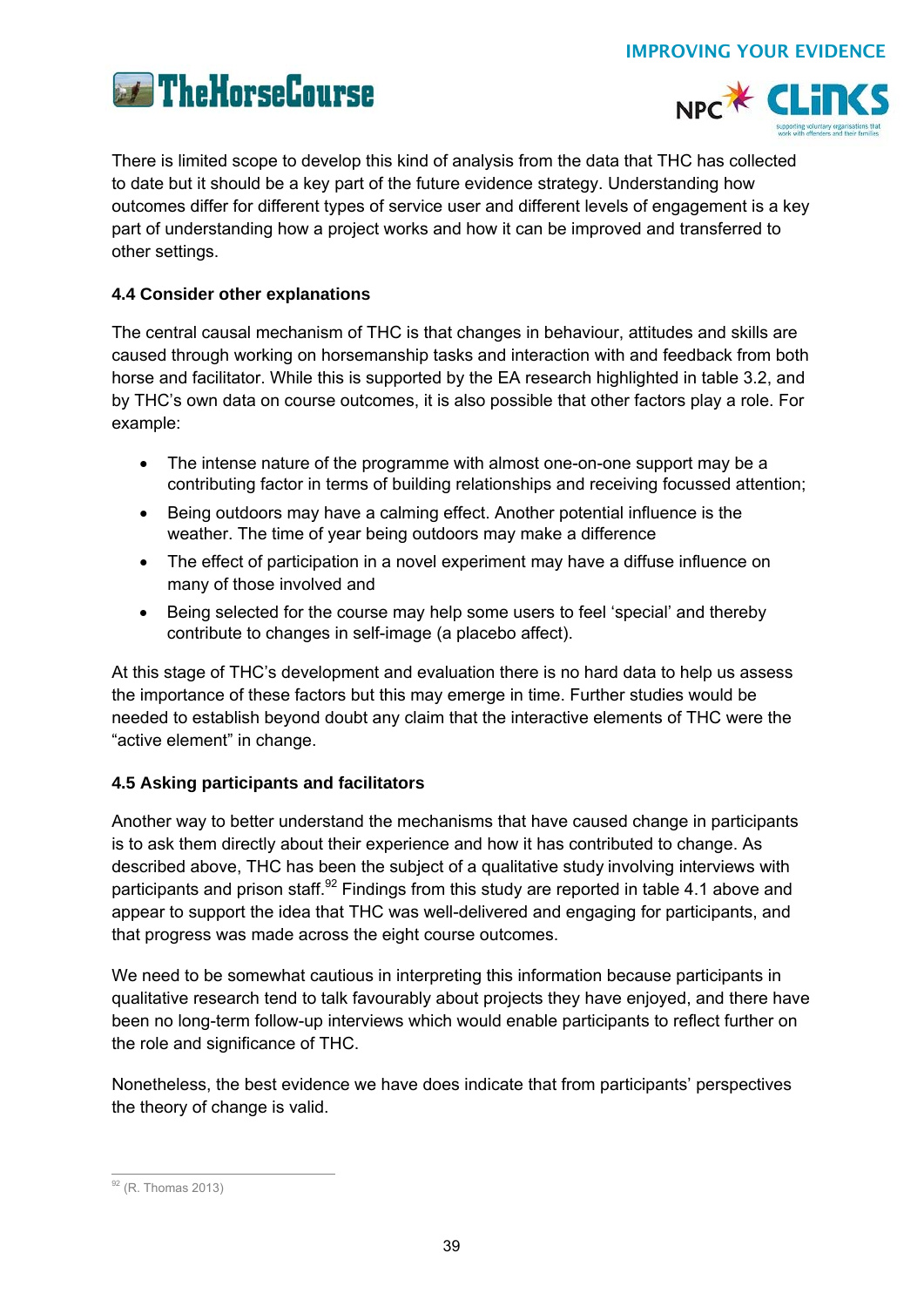



There is limited scope to develop this kind of analysis from the data that THC has collected to date but it should be a key part of the future evidence strategy. Understanding how outcomes differ for different types of service user and different levels of engagement is a key part of understanding how a project works and how it can be improved and transferred to other settings.

## **4.4 Consider other explanations**

The central causal mechanism of THC is that changes in behaviour, attitudes and skills are caused through working on horsemanship tasks and interaction with and feedback from both horse and facilitator. While this is supported by the EA research highlighted in table 3.2, and by THC's own data on course outcomes, it is also possible that other factors play a role. For example:

- The intense nature of the programme with almost one-on-one support may be a contributing factor in terms of building relationships and receiving focussed attention;
- Being outdoors may have a calming effect. Another potential influence is the weather. The time of year being outdoors may make a difference
- The effect of participation in a novel experiment may have a diffuse influence on many of those involved and
- Being selected for the course may help some users to feel 'special' and thereby contribute to changes in self-image (a placebo affect).

At this stage of THC's development and evaluation there is no hard data to help us assess the importance of these factors but this may emerge in time. Further studies would be needed to establish beyond doubt any claim that the interactive elements of THC were the "active element" in change.

## **4.5 Asking participants and facilitators**

Another way to better understand the mechanisms that have caused change in participants is to ask them directly about their experience and how it has contributed to change. As described above, THC has been the subject of a qualitative study involving interviews with participants and prison staff.<sup>92</sup> Findings from this study are reported in table 4.1 above and appear to support the idea that THC was well-delivered and engaging for participants, and that progress was made across the eight course outcomes.

We need to be somewhat cautious in interpreting this information because participants in qualitative research tend to talk favourably about projects they have enjoyed, and there have been no long-term follow-up interviews which would enable participants to reflect further on the role and significance of THC.

Nonetheless, the best evidence we have does indicate that from participants' perspectives the theory of change is valid.

 $\overline{a}$  $92$  (R. Thomas 2013)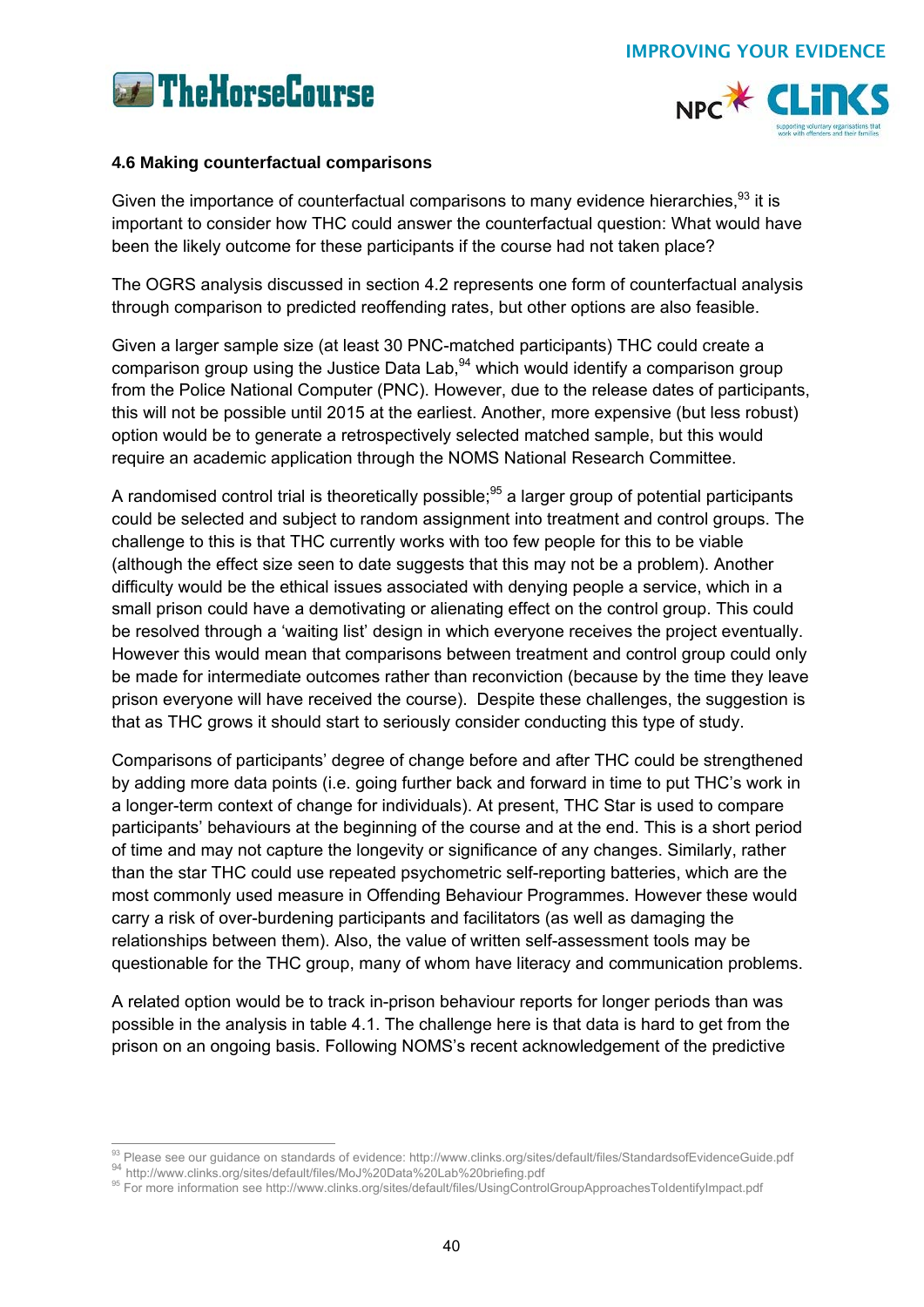



## **4.6 Making counterfactual comparisons**

Given the importance of counterfactual comparisons to many evidence hierarchies.<sup>93</sup> it is important to consider how THC could answer the counterfactual question: What would have been the likely outcome for these participants if the course had not taken place?

The OGRS analysis discussed in section 4.2 represents one form of counterfactual analysis through comparison to predicted reoffending rates, but other options are also feasible.

Given a larger sample size (at least 30 PNC-matched participants) THC could create a comparison group using the Justice Data Lab,  $94$  which would identify a comparison group from the Police National Computer (PNC). However, due to the release dates of participants, this will not be possible until 2015 at the earliest. Another, more expensive (but less robust) option would be to generate a retrospectively selected matched sample, but this would require an academic application through the NOMS National Research Committee.

A randomised control trial is theoretically possible;<sup>95</sup> a larger group of potential participants could be selected and subject to random assignment into treatment and control groups. The challenge to this is that THC currently works with too few people for this to be viable (although the effect size seen to date suggests that this may not be a problem). Another difficulty would be the ethical issues associated with denying people a service, which in a small prison could have a demotivating or alienating effect on the control group. This could be resolved through a 'waiting list' design in which everyone receives the project eventually. However this would mean that comparisons between treatment and control group could only be made for intermediate outcomes rather than reconviction (because by the time they leave prison everyone will have received the course). Despite these challenges, the suggestion is that as THC grows it should start to seriously consider conducting this type of study.

Comparisons of participants' degree of change before and after THC could be strengthened by adding more data points (i.e. going further back and forward in time to put THC's work in a longer-term context of change for individuals). At present, THC Star is used to compare participants' behaviours at the beginning of the course and at the end. This is a short period of time and may not capture the longevity or significance of any changes. Similarly, rather than the star THC could use repeated psychometric self-reporting batteries, which are the most commonly used measure in Offending Behaviour Programmes. However these would carry a risk of over-burdening participants and facilitators (as well as damaging the relationships between them). Also, the value of written self-assessment tools may be questionable for the THC group, many of whom have literacy and communication problems.

A related option would be to track in-prison behaviour reports for longer periods than was possible in the analysis in table 4.1. The challenge here is that data is hard to get from the prison on an ongoing basis. Following NOMS's recent acknowledgement of the predictive

<sup>93</sup> Please see our guidance on standards of evidence: http://www.clinks.org/sites/default/files/StandardsofEvidenceGuide.pdf

<sup>%</sup> http://www.clinks.org/sites/default/files/MoJ%20Data%20Lab%20briefing.pdf<br>% For more information see http://www.clinks.org/sites/default/files/UsingControlGroupApproachesToldentifyImpact.pdf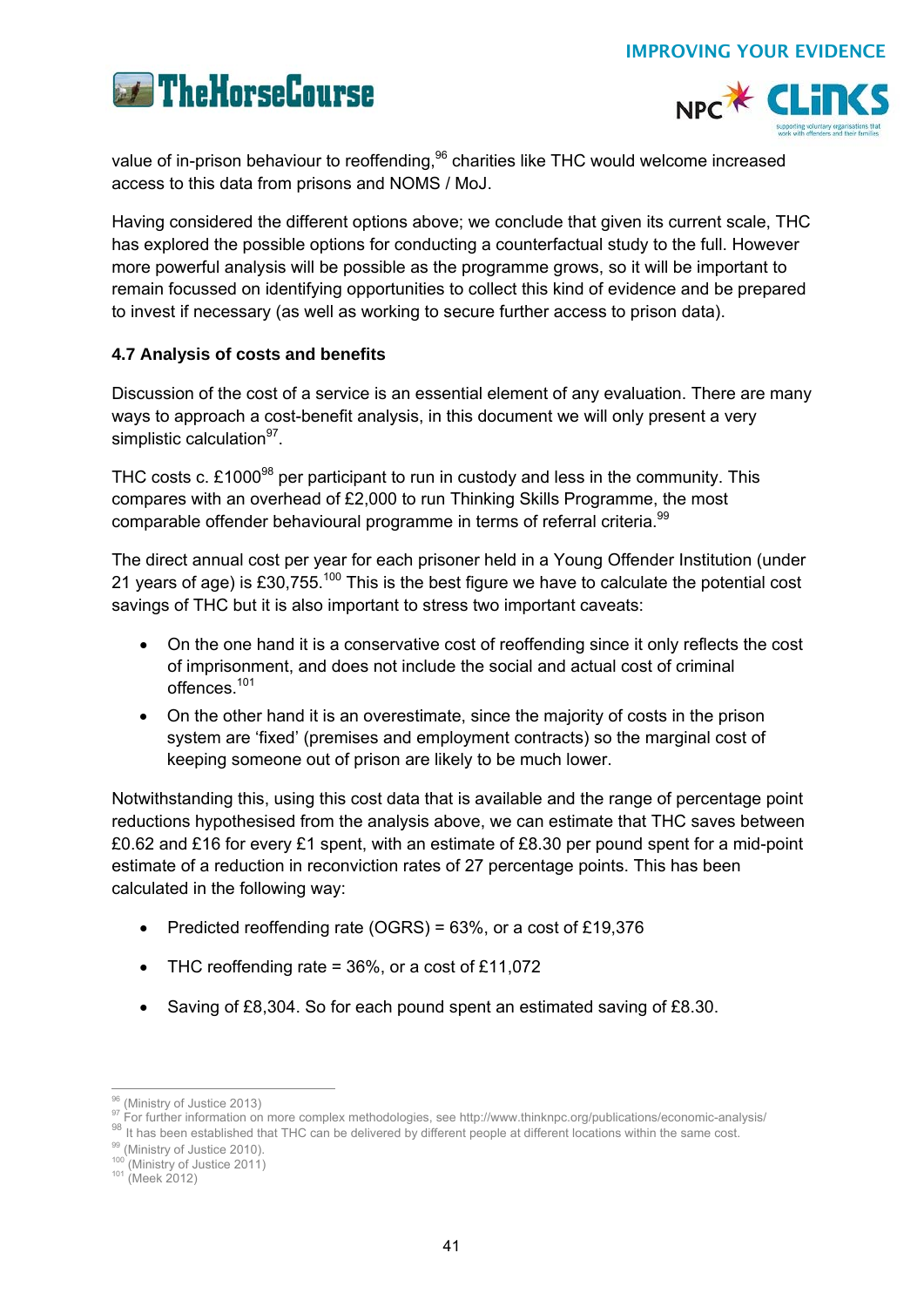



value of in-prison behaviour to reoffending,<sup>96</sup> charities like THC would welcome increased access to this data from prisons and NOMS / MoJ.

Having considered the different options above; we conclude that given its current scale, THC has explored the possible options for conducting a counterfactual study to the full. However more powerful analysis will be possible as the programme grows, so it will be important to remain focussed on identifying opportunities to collect this kind of evidence and be prepared to invest if necessary (as well as working to secure further access to prison data).

## **4.7 Analysis of costs and benefits**

Discussion of the cost of a service is an essential element of any evaluation. There are many ways to approach a cost-benefit analysis, in this document we will only present a very simplistic calculation $97$ .

THC costs c.  $£1000<sup>98</sup>$  per participant to run in custody and less in the community. This compares with an overhead of £2,000 to run Thinking Skills Programme, the most comparable offender behavioural programme in terms of referral criteria.<sup>99</sup>

The direct annual cost per year for each prisoner held in a Young Offender Institution (under 21 years of age) is £30,755.<sup>100</sup> This is the best figure we have to calculate the potential cost savings of THC but it is also important to stress two important caveats:

- On the one hand it is a conservative cost of reoffending since it only reflects the cost of imprisonment, and does not include the social and actual cost of criminal offences.101
- On the other hand it is an overestimate, since the majority of costs in the prison system are 'fixed' (premises and employment contracts) so the marginal cost of keeping someone out of prison are likely to be much lower.

Notwithstanding this, using this cost data that is available and the range of percentage point reductions hypothesised from the analysis above, we can estimate that THC saves between £0.62 and £16 for every £1 spent, with an estimate of £8.30 per pound spent for a mid-point estimate of a reduction in reconviction rates of 27 percentage points. This has been calculated in the following way:

- Predicted reoffending rate (OGRS) =  $63\%$ , or a cost of £19,376
- THC reoffending rate  $= 36\%$ , or a cost of £11,072
- Saving of £8,304. So for each pound spent an estimated saving of £8.30.

<sup>&</sup>lt;sup>96</sup> (Ministry of Justice 2013)

<sup>&</sup>lt;sup>97</sup> For further information on more complex methodologies, see http://www.thinknpc.org/publications/economic-analysis/<br><sup>98</sup> It has been established that THC can be delivered by different people at different locations with

<sup>100 (</sup>Ministry of Justice 2011)<br><sup>101</sup> (Meek 2012)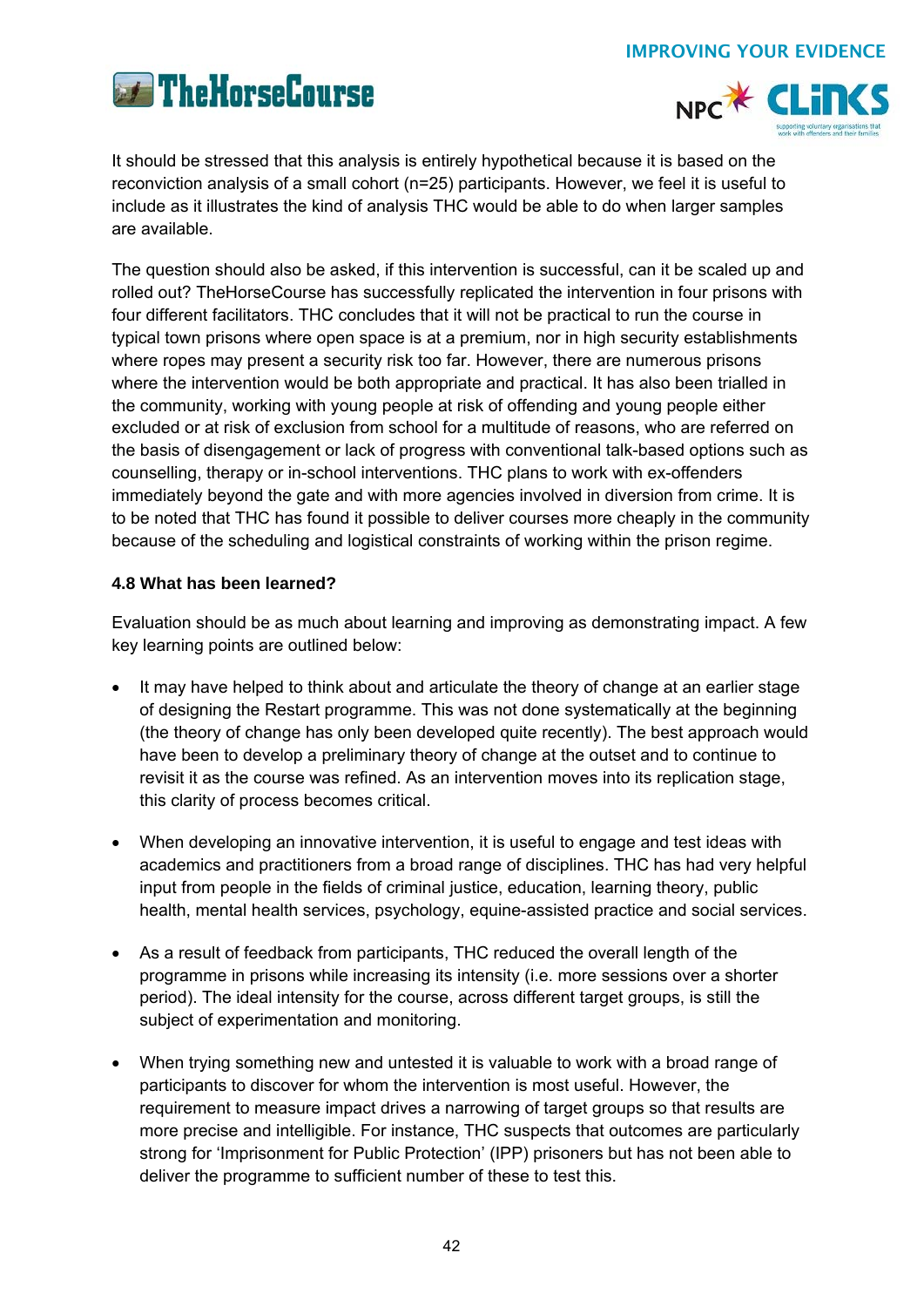



It should be stressed that this analysis is entirely hypothetical because it is based on the reconviction analysis of a small cohort (n=25) participants. However, we feel it is useful to include as it illustrates the kind of analysis THC would be able to do when larger samples are available.

The question should also be asked, if this intervention is successful, can it be scaled up and rolled out? TheHorseCourse has successfully replicated the intervention in four prisons with four different facilitators. THC concludes that it will not be practical to run the course in typical town prisons where open space is at a premium, nor in high security establishments where ropes may present a security risk too far. However, there are numerous prisons where the intervention would be both appropriate and practical. It has also been trialled in the community, working with young people at risk of offending and young people either excluded or at risk of exclusion from school for a multitude of reasons, who are referred on the basis of disengagement or lack of progress with conventional talk-based options such as counselling, therapy or in-school interventions. THC plans to work with ex-offenders immediately beyond the gate and with more agencies involved in diversion from crime. It is to be noted that THC has found it possible to deliver courses more cheaply in the community because of the scheduling and logistical constraints of working within the prison regime.

## **4.8 What has been learned?**

Evaluation should be as much about learning and improving as demonstrating impact. A few key learning points are outlined below:

- It may have helped to think about and articulate the theory of change at an earlier stage of designing the Restart programme. This was not done systematically at the beginning (the theory of change has only been developed quite recently). The best approach would have been to develop a preliminary theory of change at the outset and to continue to revisit it as the course was refined. As an intervention moves into its replication stage, this clarity of process becomes critical.
- When developing an innovative intervention, it is useful to engage and test ideas with academics and practitioners from a broad range of disciplines. THC has had very helpful input from people in the fields of criminal justice, education, learning theory, public health, mental health services, psychology, equine-assisted practice and social services.
- As a result of feedback from participants, THC reduced the overall length of the programme in prisons while increasing its intensity (i.e. more sessions over a shorter period). The ideal intensity for the course, across different target groups, is still the subject of experimentation and monitoring.
- When trying something new and untested it is valuable to work with a broad range of participants to discover for whom the intervention is most useful. However, the requirement to measure impact drives a narrowing of target groups so that results are more precise and intelligible. For instance, THC suspects that outcomes are particularly strong for 'Imprisonment for Public Protection' (IPP) prisoners but has not been able to deliver the programme to sufficient number of these to test this.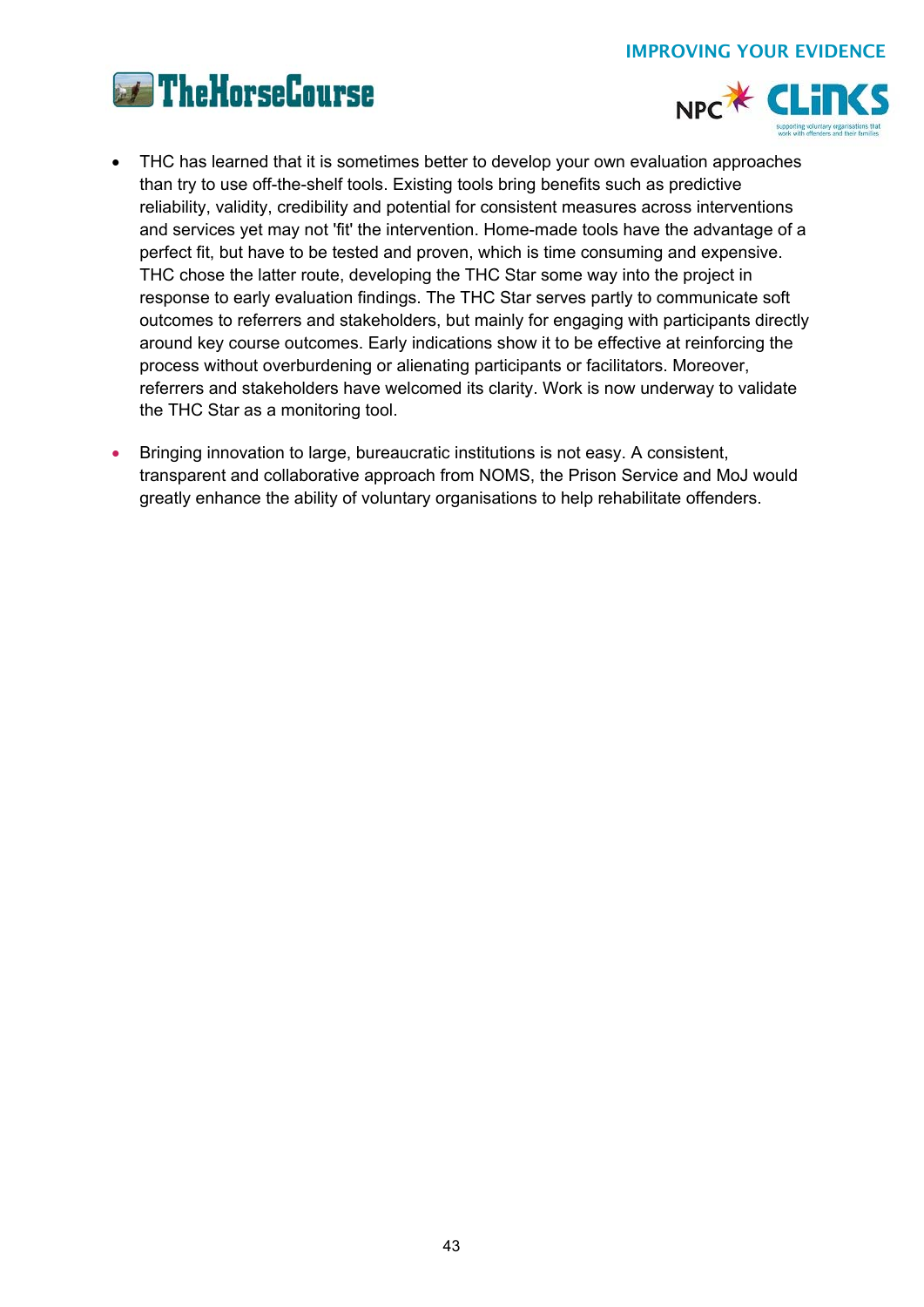



- THC has learned that it is sometimes better to develop your own evaluation approaches than try to use off-the-shelf tools. Existing tools bring benefits such as predictive reliability, validity, credibility and potential for consistent measures across interventions and services yet may not 'fit' the intervention. Home-made tools have the advantage of a perfect fit, but have to be tested and proven, which is time consuming and expensive. THC chose the latter route, developing the THC Star some way into the project in response to early evaluation findings. The THC Star serves partly to communicate soft outcomes to referrers and stakeholders, but mainly for engaging with participants directly around key course outcomes. Early indications show it to be effective at reinforcing the process without overburdening or alienating participants or facilitators. Moreover, referrers and stakeholders have welcomed its clarity. Work is now underway to validate the THC Star as a monitoring tool.
- Bringing innovation to large, bureaucratic institutions is not easy. A consistent, transparent and collaborative approach from NOMS, the Prison Service and MoJ would greatly enhance the ability of voluntary organisations to help rehabilitate offenders.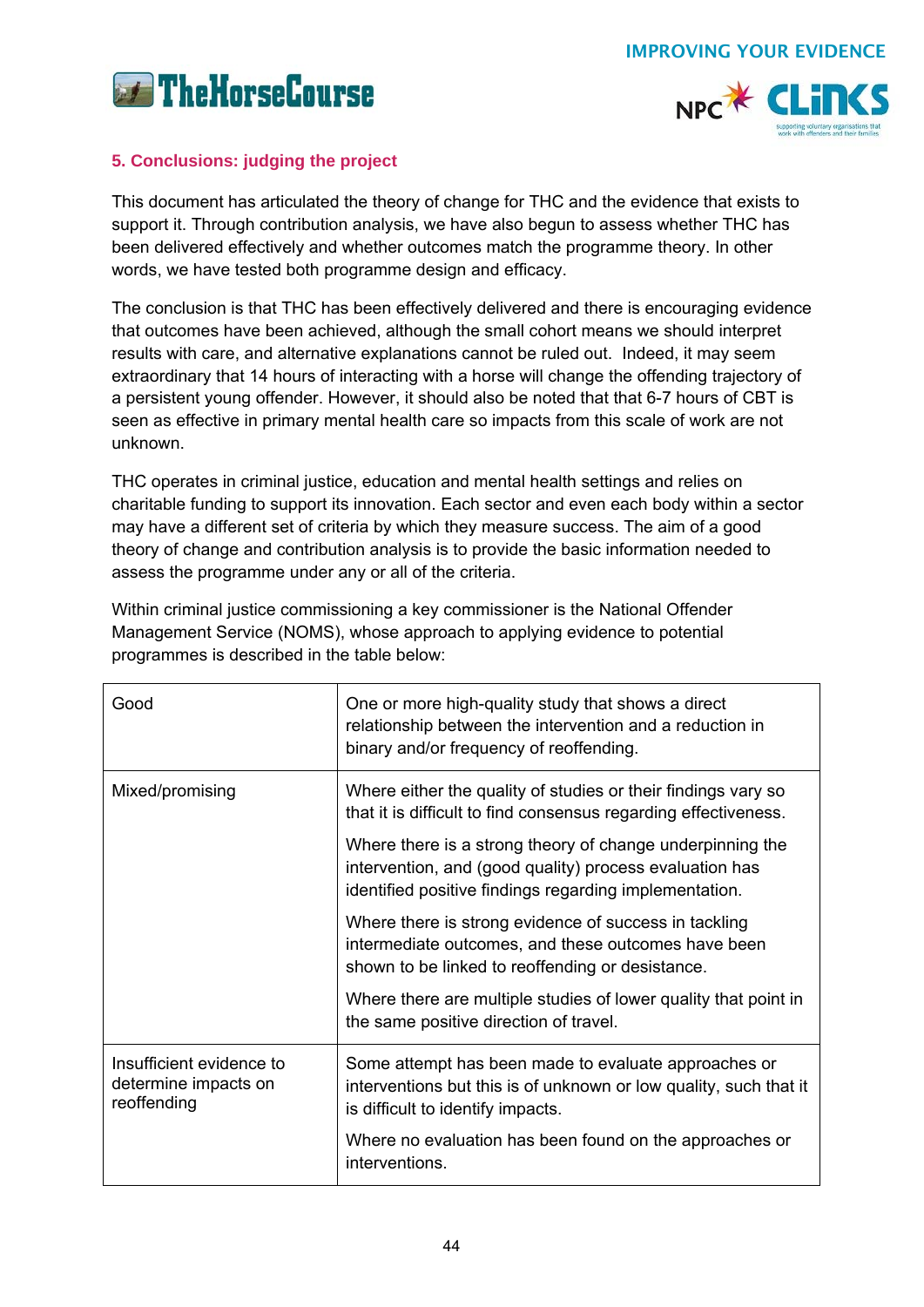



## **5. Conclusions: judging the project**

This document has articulated the theory of change for THC and the evidence that exists to support it. Through contribution analysis, we have also begun to assess whether THC has been delivered effectively and whether outcomes match the programme theory. In other words, we have tested both programme design and efficacy.

The conclusion is that THC has been effectively delivered and there is encouraging evidence that outcomes have been achieved, although the small cohort means we should interpret results with care, and alternative explanations cannot be ruled out. Indeed, it may seem extraordinary that 14 hours of interacting with a horse will change the offending trajectory of a persistent young offender. However, it should also be noted that that 6-7 hours of CBT is seen as effective in primary mental health care so impacts from this scale of work are not unknown.

THC operates in criminal justice, education and mental health settings and relies on charitable funding to support its innovation. Each sector and even each body within a sector may have a different set of criteria by which they measure success. The aim of a good theory of change and contribution analysis is to provide the basic information needed to assess the programme under any or all of the criteria.

Within criminal justice commissioning a key commissioner is the National Offender Management Service (NOMS), whose approach to applying evidence to potential programmes is described in the table below:

| Good                                                            | One or more high-quality study that shows a direct<br>relationship between the intervention and a reduction in<br>binary and/or frequency of reoffending.                      |  |
|-----------------------------------------------------------------|--------------------------------------------------------------------------------------------------------------------------------------------------------------------------------|--|
| Mixed/promising                                                 | Where either the quality of studies or their findings vary so<br>that it is difficult to find consensus regarding effectiveness.                                               |  |
|                                                                 | Where there is a strong theory of change underpinning the<br>intervention, and (good quality) process evaluation has<br>identified positive findings regarding implementation. |  |
|                                                                 | Where there is strong evidence of success in tackling<br>intermediate outcomes, and these outcomes have been<br>shown to be linked to reoffending or desistance.               |  |
|                                                                 | Where there are multiple studies of lower quality that point in<br>the same positive direction of travel.                                                                      |  |
| Insufficient evidence to<br>determine impacts on<br>reoffending | Some attempt has been made to evaluate approaches or<br>interventions but this is of unknown or low quality, such that it<br>is difficult to identify impacts.                 |  |
|                                                                 | Where no evaluation has been found on the approaches or<br>interventions.                                                                                                      |  |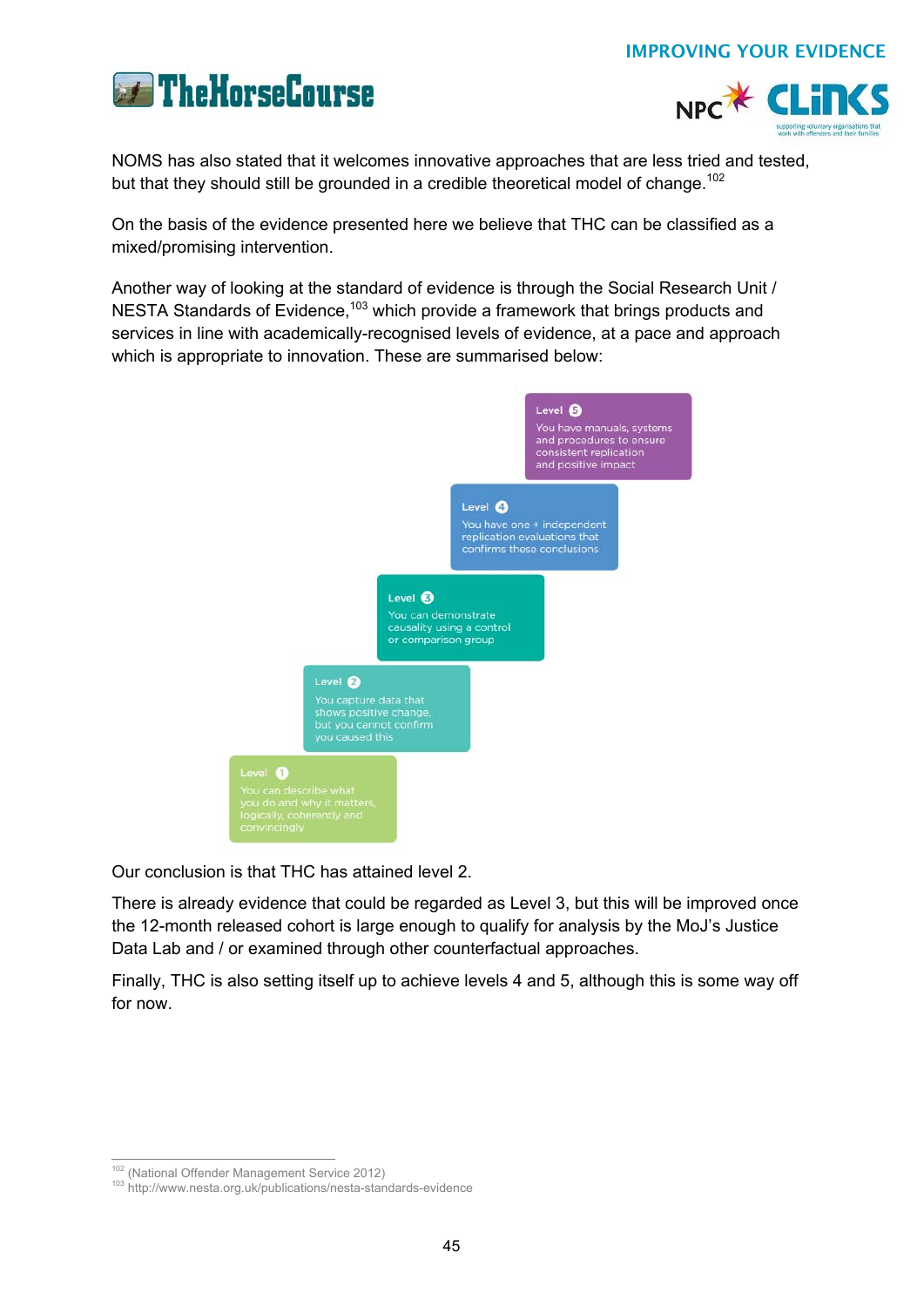



NOMS has also stated that it welcomes innovative approaches that are less tried and tested, but that they should still be grounded in a credible theoretical model of change.<sup>102</sup>

On the basis of the evidence presented here we believe that THC can be classified as a mixed/promising intervention.

Another way of looking at the standard of evidence is through the Social Research Unit / NESTA Standards of Evidence,<sup>103</sup> which provide a framework that brings products and services in line with academically-recognised levels of evidence, at a pace and approach which is appropriate to innovation. These are summarised below:



Our conclusion is that THC has attained level 2.

There is already evidence that could be regarded as Level 3, but this will be improved once the 12-month released cohort is large enough to qualify for analysis by the MoJ's Justice Data Lab and / or examined through other counterfactual approaches.

Finally, THC is also setting itself up to achieve levels 4 and 5, although this is some way off for now.

<sup>&</sup>lt;sup>102</sup> (National Offender Management Service 2012)

<sup>103</sup> http://www.nesta.org.uk/publications/nesta-standards-evidence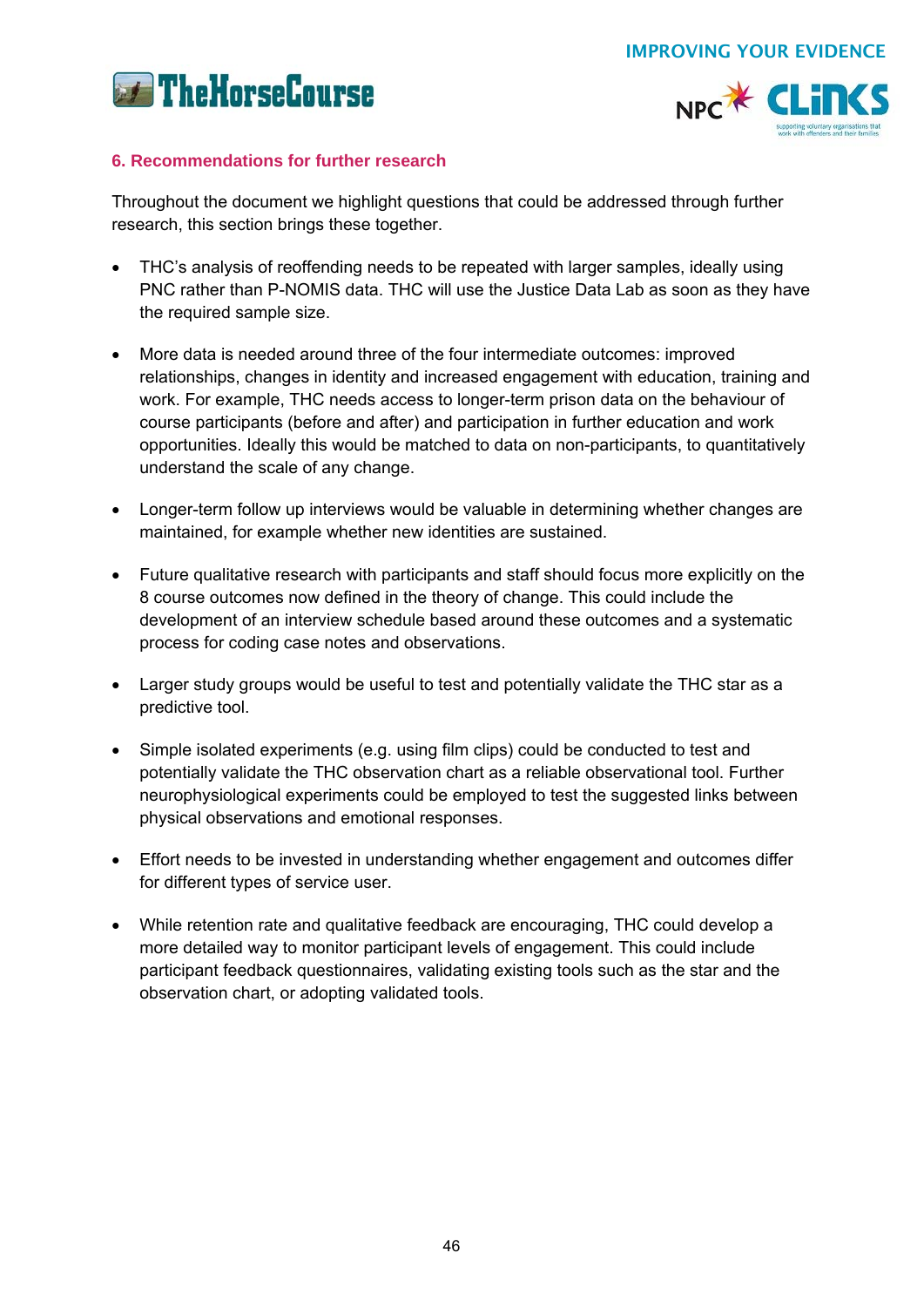



## **6. Recommendations for further research**

Throughout the document we highlight questions that could be addressed through further research, this section brings these together.

- THC's analysis of reoffending needs to be repeated with larger samples, ideally using PNC rather than P-NOMIS data. THC will use the Justice Data Lab as soon as they have the required sample size.
- More data is needed around three of the four intermediate outcomes: improved relationships, changes in identity and increased engagement with education, training and work. For example, THC needs access to longer-term prison data on the behaviour of course participants (before and after) and participation in further education and work opportunities. Ideally this would be matched to data on non-participants, to quantitatively understand the scale of any change.
- Longer-term follow up interviews would be valuable in determining whether changes are maintained, for example whether new identities are sustained.
- Future qualitative research with participants and staff should focus more explicitly on the 8 course outcomes now defined in the theory of change. This could include the development of an interview schedule based around these outcomes and a systematic process for coding case notes and observations.
- Larger study groups would be useful to test and potentially validate the THC star as a predictive tool.
- Simple isolated experiments (e.g. using film clips) could be conducted to test and potentially validate the THC observation chart as a reliable observational tool. Further neurophysiological experiments could be employed to test the suggested links between physical observations and emotional responses.
- Effort needs to be invested in understanding whether engagement and outcomes differ for different types of service user.
- While retention rate and qualitative feedback are encouraging, THC could develop a more detailed way to monitor participant levels of engagement. This could include participant feedback questionnaires, validating existing tools such as the star and the observation chart, or adopting validated tools.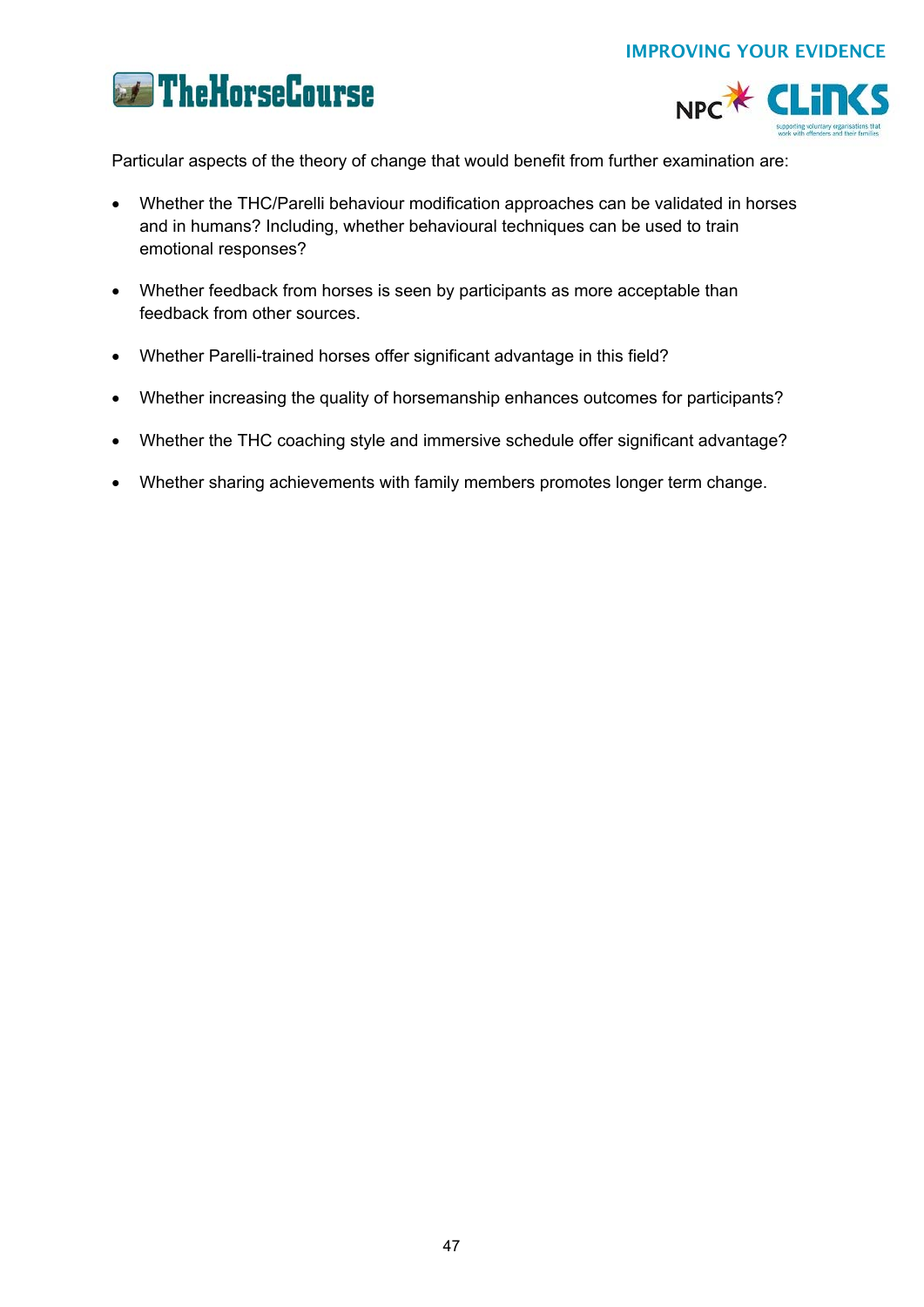



Particular aspects of the theory of change that would benefit from further examination are:

- Whether the THC/Parelli behaviour modification approaches can be validated in horses and in humans? Including, whether behavioural techniques can be used to train emotional responses?
- Whether feedback from horses is seen by participants as more acceptable than feedback from other sources.
- Whether Parelli-trained horses offer significant advantage in this field?
- Whether increasing the quality of horsemanship enhances outcomes for participants?
- Whether the THC coaching style and immersive schedule offer significant advantage?
- Whether sharing achievements with family members promotes longer term change.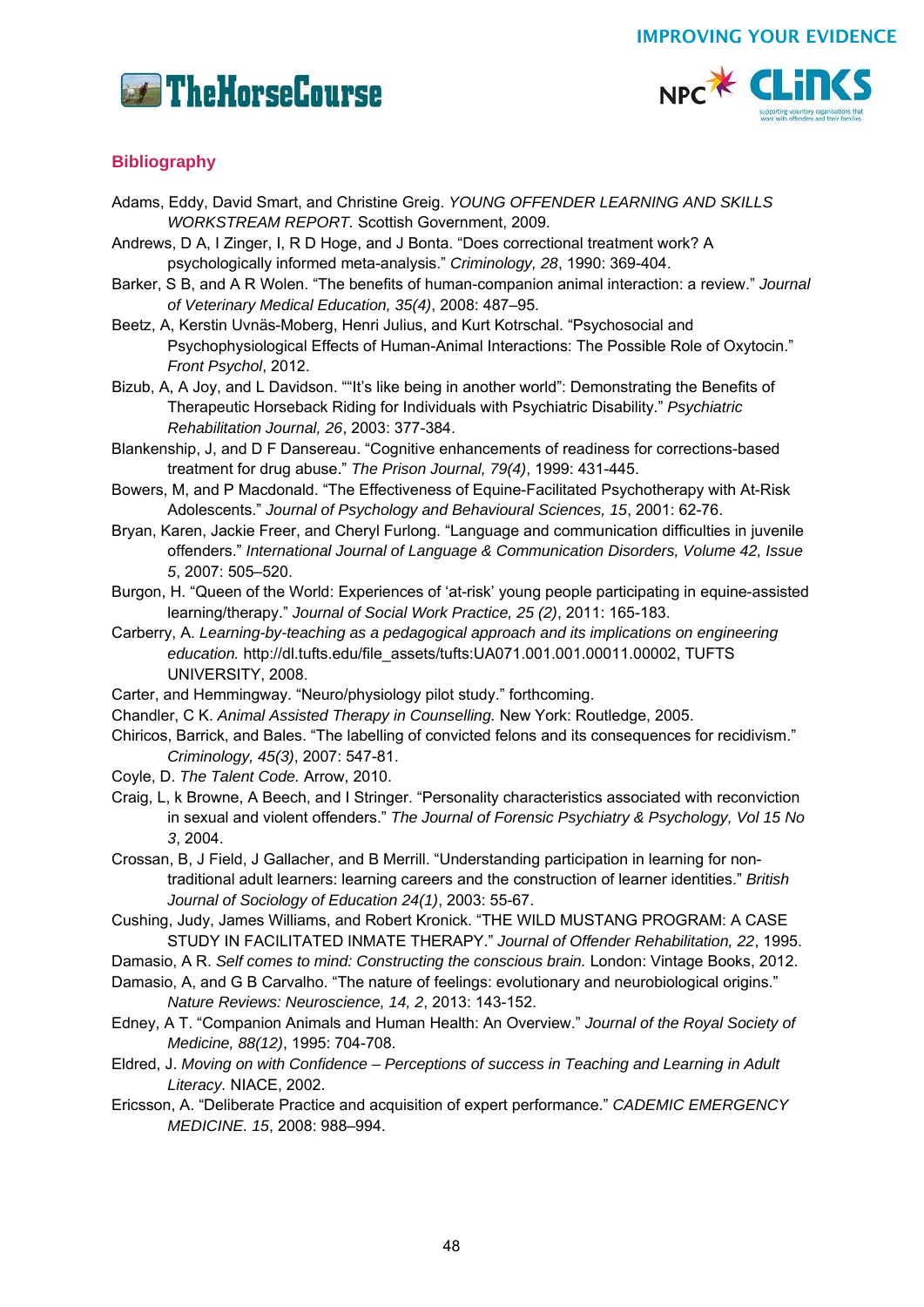



## **Bibliography**

- Adams, Eddy, David Smart, and Christine Greig. *YOUNG OFFENDER LEARNING AND SKILLS WORKSTREAM REPORT.* Scottish Government, 2009.
- Andrews, D A, I Zinger, I, R D Hoge, and J Bonta. "Does correctional treatment work? A psychologically informed meta-analysis." *Criminology, 28*, 1990: 369-404.
- Barker, S B, and A R Wolen. "The benefits of human-companion animal interaction: a review." *Journal of Veterinary Medical Education, 35(4)*, 2008: 487–95.
- Beetz, A, Kerstin Uvnäs-Moberg, Henri Julius, and Kurt Kotrschal. "Psychosocial and Psychophysiological Effects of Human-Animal Interactions: The Possible Role of Oxytocin." *Front Psychol*, 2012.
- Bizub, A, A Joy, and L Davidson. ""It's like being in another world": Demonstrating the Benefits of Therapeutic Horseback Riding for Individuals with Psychiatric Disability." *Psychiatric Rehabilitation Journal, 26*, 2003: 377-384.
- Blankenship, J, and D F Dansereau. "Cognitive enhancements of readiness for corrections-based treatment for drug abuse." *The Prison Journal, 79(4)*, 1999: 431-445.
- Bowers, M, and P Macdonald. "The Effectiveness of Equine-Facilitated Psychotherapy with At-Risk Adolescents." *Journal of Psychology and Behavioural Sciences, 15*, 2001: 62-76.
- Bryan, Karen, Jackie Freer, and Cheryl Furlong. "Language and communication difficulties in juvenile offenders." *International Journal of Language & Communication Disorders, Volume 42, Issue 5*, 2007: 505–520.
- Burgon, H. "Queen of the World: Experiences of 'at-risk' young people participating in equine-assisted learning/therapy." *Journal of Social Work Practice, 25 (2)*, 2011: 165-183.
- Carberry, A. *Learning-by-teaching as a pedagogical approach and its implications on engineering education.* http://dl.tufts.edu/file\_assets/tufts:UA071.001.001.00011.00002, TUFTS UNIVERSITY, 2008.
- Carter, and Hemmingway. "Neuro/physiology pilot study." forthcoming.
- Chandler, C K. *Animal Assisted Therapy in Counselling.* New York: Routledge, 2005.
- Chiricos, Barrick, and Bales. "The labelling of convicted felons and its consequences for recidivism." *Criminology, 45(3)*, 2007: 547-81.
- Coyle, D. *The Talent Code.* Arrow, 2010.
- Craig, L, k Browne, A Beech, and I Stringer. "Personality characteristics associated with reconviction in sexual and violent offenders." *The Journal of Forensic Psychiatry & Psychology, Vol 15 No 3*, 2004.

Crossan, B, J Field, J Gallacher, and B Merrill. "Understanding participation in learning for nontraditional adult learners: learning careers and the construction of learner identities." *British Journal of Sociology of Education 24(1)*, 2003: 55-67.

Cushing, Judy, James Williams, and Robert Kronick. "THE WILD MUSTANG PROGRAM: A CASE STUDY IN FACILITATED INMATE THERAPY." *Journal of Offender Rehabilitation, 22*, 1995.

Damasio, A R. *Self comes to mind: Constructing the conscious brain.* London: Vintage Books, 2012.

- Damasio, A, and G B Carvalho. "The nature of feelings: evolutionary and neurobiological origins." *Nature Reviews: Neuroscience, 14, 2*, 2013: 143-152.
- Edney, A T. "Companion Animals and Human Health: An Overview." *Journal of the Royal Society of Medicine, 88(12)*, 1995: 704-708.
- Eldred, J. *Moving on with Confidence Perceptions of success in Teaching and Learning in Adult Literacy.* NIACE, 2002.
- Ericsson, A. "Deliberate Practice and acquisition of expert performance." *CADEMIC EMERGENCY MEDICINE. 15*, 2008: 988–994.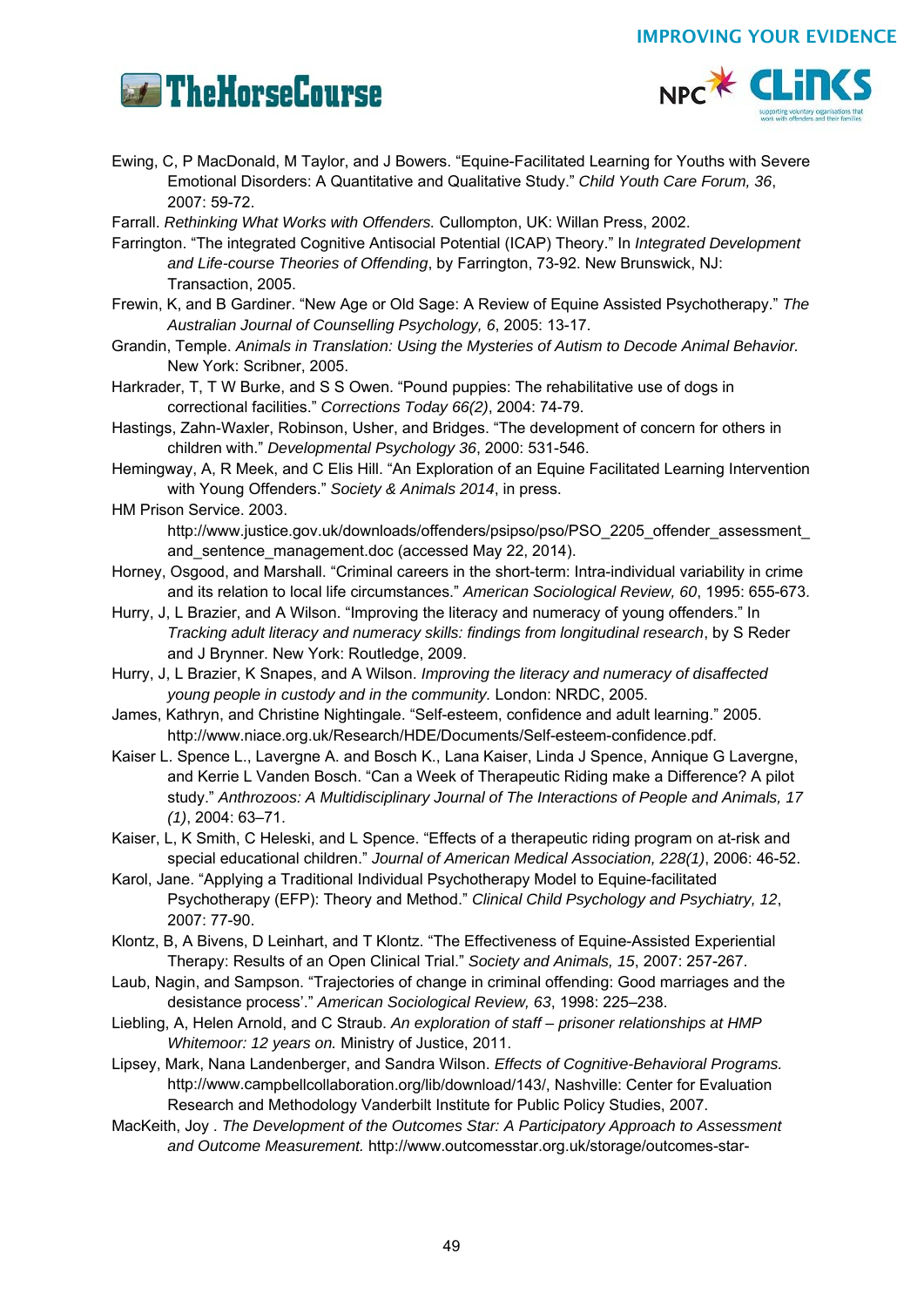



- Ewing, C, P MacDonald, M Taylor, and J Bowers. "Equine-Facilitated Learning for Youths with Severe Emotional Disorders: A Quantitative and Qualitative Study." *Child Youth Care Forum, 36*, 2007: 59-72.
- Farrall. *Rethinking What Works with Offenders.* Cullompton, UK: Willan Press, 2002.
- Farrington. "The integrated Cognitive Antisocial Potential (ICAP) Theory." In *Integrated Development and Life-course Theories of Offending*, by Farrington, 73-92. New Brunswick, NJ: Transaction, 2005.
- Frewin, K, and B Gardiner. "New Age or Old Sage: A Review of Equine Assisted Psychotherapy." *The Australian Journal of Counselling Psychology, 6*, 2005: 13-17.
- Grandin, Temple. *Animals in Translation: Using the Mysteries of Autism to Decode Animal Behavior.* New York: Scribner, 2005.
- Harkrader, T, T W Burke, and S S Owen. "Pound puppies: The rehabilitative use of dogs in correctional facilities." *Corrections Today 66(2)*, 2004: 74-79.
- Hastings, Zahn-Waxler, Robinson, Usher, and Bridges. "The development of concern for others in children with." *Developmental Psychology 36*, 2000: 531-546.
- Hemingway, A, R Meek, and C Elis Hill. "An Exploration of an Equine Facilitated Learning Intervention with Young Offenders." *Society & Animals 2014*, in press.
- HM Prison Service. 2003. http://www.justice.gov.uk/downloads/offenders/psipso/pso/PSO\_2205\_offender\_assessment and sentence management.doc (accessed May 22, 2014).
- Horney, Osgood, and Marshall. "Criminal careers in the short-term: Intra-individual variability in crime and its relation to local life circumstances." *American Sociological Review, 60*, 1995: 655-673.
- Hurry, J, L Brazier, and A Wilson. "Improving the literacy and numeracy of young offenders." In *Tracking adult literacy and numeracy skills: findings from longitudinal research*, by S Reder and J Brynner. New York: Routledge, 2009.
- Hurry, J, L Brazier, K Snapes, and A Wilson. *Improving the literacy and numeracy of disaffected young people in custody and in the community.* London: NRDC, 2005.
- James, Kathryn, and Christine Nightingale. "Self-esteem, confidence and adult learning." 2005. http://www.niace.org.uk/Research/HDE/Documents/Self-esteem-confidence.pdf.
- Kaiser L. Spence L., Lavergne A. and Bosch K., Lana Kaiser, Linda J Spence, Annique G Lavergne, and Kerrie L Vanden Bosch. "Can a Week of Therapeutic Riding make a Difference? A pilot study." *Anthrozoos: A Multidisciplinary Journal of The Interactions of People and Animals, 17 (1)*, 2004: 63–71.
- Kaiser, L, K Smith, C Heleski, and L Spence. "Effects of a therapeutic riding program on at-risk and special educational children." *Journal of American Medical Association, 228(1)*, 2006: 46-52.
- Karol, Jane. "Applying a Traditional Individual Psychotherapy Model to Equine-facilitated Psychotherapy (EFP): Theory and Method." *Clinical Child Psychology and Psychiatry, 12*, 2007: 77-90.
- Klontz, B, A Bivens, D Leinhart, and T Klontz. "The Effectiveness of Equine-Assisted Experiential Therapy: Results of an Open Clinical Trial." *Society and Animals, 15*, 2007: 257-267.
- Laub, Nagin, and Sampson. "Trajectories of change in criminal offending: Good marriages and the desistance process'." *American Sociological Review, 63*, 1998: 225–238.
- Liebling, A, Helen Arnold, and C Straub. *An exploration of staff prisoner relationships at HMP Whitemoor: 12 years on.* Ministry of Justice, 2011.
- Lipsey, Mark, Nana Landenberger, and Sandra Wilson. *Effects of Cognitive-Behavioral Programs.* http://www.campbellcollaboration.org/lib/download/143/, Nashville: Center for Evaluation Research and Methodology Vanderbilt Institute for Public Policy Studies, 2007.
- MacKeith, Joy . *The Development of the Outcomes Star: A Participatory Approach to Assessment and Outcome Measurement.* http://www.outcomesstar.org.uk/storage/outcomes-star-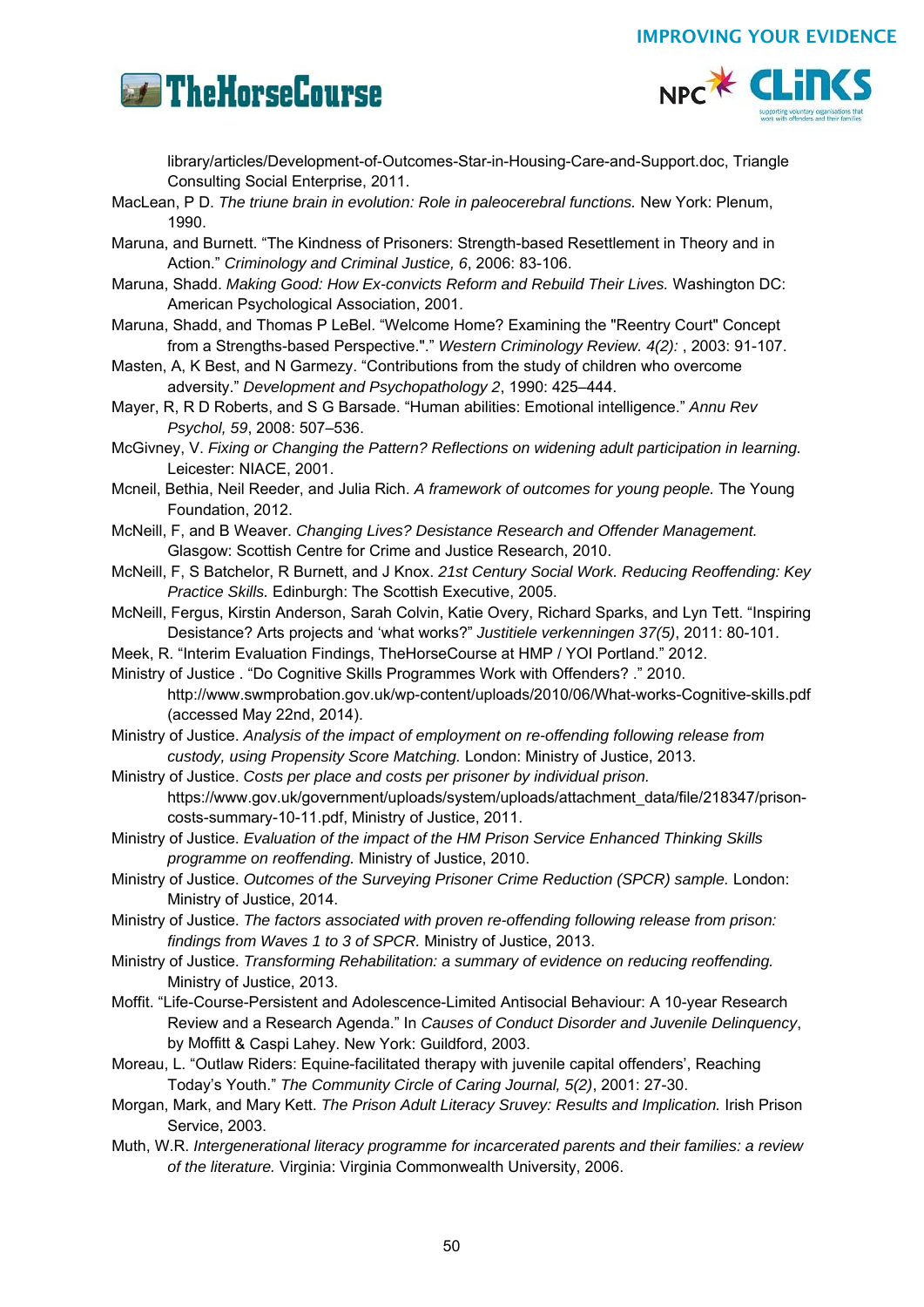



library/articles/Development-of-Outcomes-Star-in-Housing-Care-and-Support.doc, Triangle Consulting Social Enterprise, 2011.

- MacLean, P D. *The triune brain in evolution: Role in paleocerebral functions.* New York: Plenum, 1990.
- Maruna, and Burnett. "The Kindness of Prisoners: Strength-based Resettlement in Theory and in Action." *Criminology and Criminal Justice, 6*, 2006: 83-106.
- Maruna, Shadd. *Making Good: How Ex-convicts Reform and Rebuild Their Lives.* Washington DC: American Psychological Association, 2001.
- Maruna, Shadd, and Thomas P LeBel. "Welcome Home? Examining the "Reentry Court" Concept from a Strengths-based Perspective."." *Western Criminology Review. 4(2):* , 2003: 91-107.
- Masten, A, K Best, and N Garmezy. "Contributions from the study of children who overcome adversity." *Development and Psychopathology 2*, 1990: 425–444.
- Mayer, R, R D Roberts, and S G Barsade. "Human abilities: Emotional intelligence." *Annu Rev Psychol, 59*, 2008: 507–536.
- McGivney, V. *Fixing or Changing the Pattern? Reflections on widening adult participation in learning.* Leicester: NIACE, 2001.
- Mcneil, Bethia, Neil Reeder, and Julia Rich. *A framework of outcomes for young people.* The Young Foundation, 2012.
- McNeill, F, and B Weaver. *Changing Lives? Desistance Research and Offender Management.* Glasgow: Scottish Centre for Crime and Justice Research, 2010.
- McNeill, F, S Batchelor, R Burnett, and J Knox. *21st Century Social Work. Reducing Reoffending: Key Practice Skills.* Edinburgh: The Scottish Executive, 2005.
- McNeill, Fergus, Kirstin Anderson, Sarah Colvin, Katie Overy, Richard Sparks, and Lyn Tett. "Inspiring Desistance? Arts projects and 'what works?" *Justitiele verkenningen 37(5)*, 2011: 80-101.
- Meek, R. "Interim Evaluation Findings, TheHorseCourse at HMP / YOI Portland." 2012.
- Ministry of Justice . "Do Cognitive Skills Programmes Work with Offenders? ." 2010. http://www.swmprobation.gov.uk/wp-content/uploads/2010/06/What-works-Cognitive-skills.pdf (accessed May 22nd, 2014).

Ministry of Justice. *Analysis of the impact of employment on re-offending following release from custody, using Propensity Score Matching.* London: Ministry of Justice, 2013.

- Ministry of Justice. *Costs per place and costs per prisoner by individual prison.* https://www.gov.uk/government/uploads/system/uploads/attachment\_data/file/218347/prisoncosts-summary-10-11.pdf, Ministry of Justice, 2011.
- Ministry of Justice. *Evaluation of the impact of the HM Prison Service Enhanced Thinking Skills programme on reoffending.* Ministry of Justice, 2010.

Ministry of Justice. *Outcomes of the Surveying Prisoner Crime Reduction (SPCR) sample.* London: Ministry of Justice, 2014.

Ministry of Justice. *The factors associated with proven re-offending following release from prison: findings from Waves 1 to 3 of SPCR.* Ministry of Justice, 2013.

- Ministry of Justice. *Transforming Rehabilitation: a summary of evidence on reducing reoffending.* Ministry of Justice, 2013.
- Moffit. "Life-Course-Persistent and Adolescence-Limited Antisocial Behaviour: A 10-year Research Review and a Research Agenda." In *Causes of Conduct Disorder and Juvenile Delinquency*, by Moffitt & Caspi Lahey. New York: Guildford, 2003.
- Moreau, L. "Outlaw Riders: Equine-facilitated therapy with juvenile capital offenders', Reaching Today's Youth." *The Community Circle of Caring Journal, 5(2)*, 2001: 27-30.
- Morgan, Mark, and Mary Kett. *The Prison Adult Literacy Sruvey: Results and Implication.* Irish Prison Service, 2003.
- Muth, W.R. *Intergenerational literacy programme for incarcerated parents and their families: a review of the literature.* Virginia: Virginia Commonwealth University, 2006.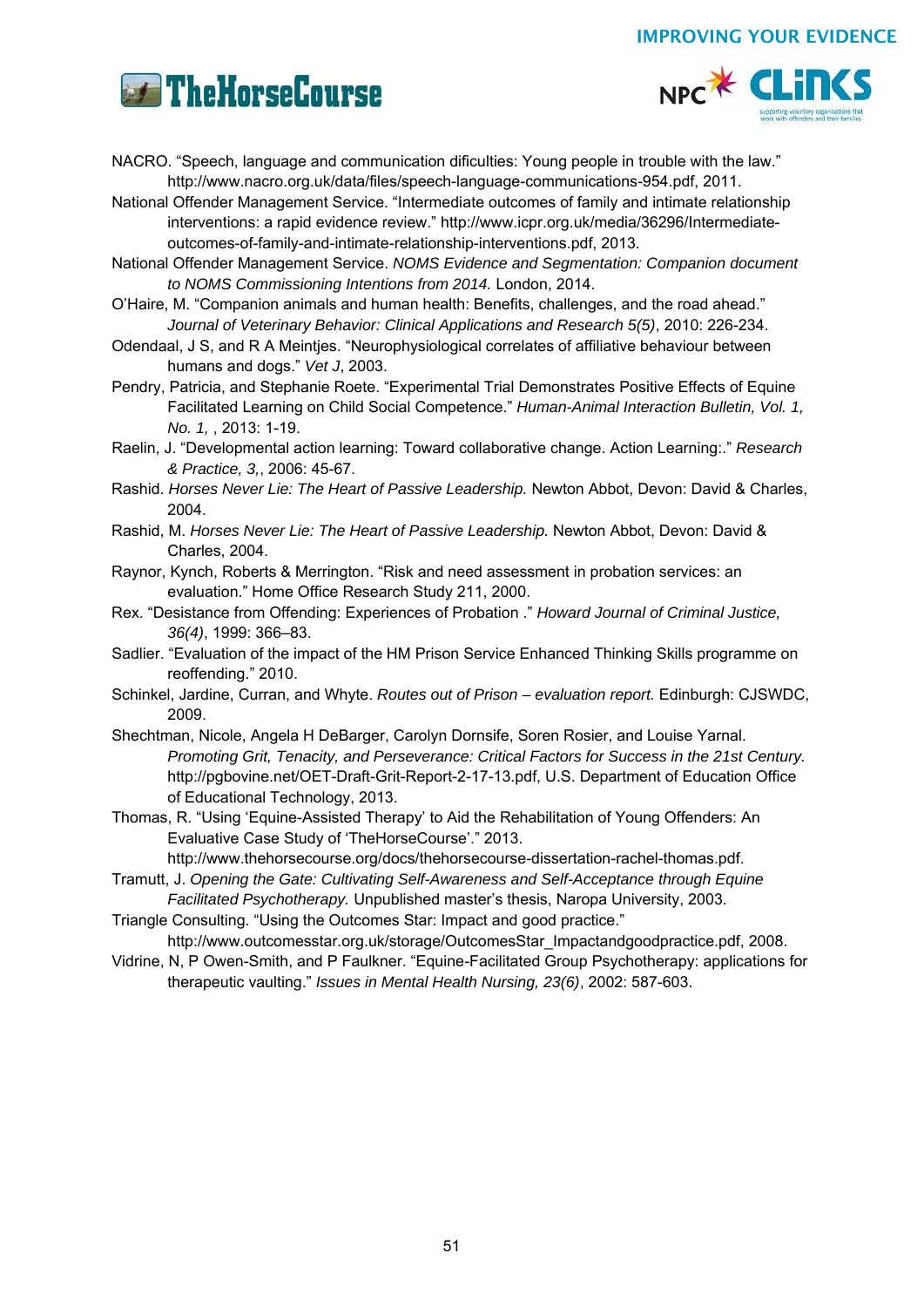



NACRO. "Speech, language and communication dificulties: Young people in trouble with the law." http://www.nacro.org.uk/data/files/speech-language-communications-954.pdf, 2011.

National Offender Management Service. "Intermediate outcomes of family and intimate relationship interventions: a rapid evidence review." http://www.icpr.org.uk/media/36296/Intermediateoutcomes-of-family-and-intimate-relationship-interventions.pdf, 2013.

National Offender Management Service. *NOMS Evidence and Segmentation: Companion document to NOMS Commissioning Intentions from 2014.* London, 2014.

O'Haire, M. "Companion animals and human health: Benefits, challenges, and the road ahead." *Journal of Veterinary Behavior: Clinical Applications and Research 5(5)*, 2010: 226-234.

- Odendaal, J S, and R A Meintjes. "Neurophysiological correlates of affiliative behaviour between humans and dogs." *Vet J*, 2003.
- Pendry, Patricia, and Stephanie Roete. "Experimental Trial Demonstrates Positive Effects of Equine Facilitated Learning on Child Social Competence." *Human-Animal Interaction Bulletin, Vol. 1, No. 1,* , 2013: 1-19.

Raelin, J. "Developmental action learning: Toward collaborative change. Action Learning:." *Research & Practice, 3,*, 2006: 45-67.

- Rashid. *Horses Never Lie: The Heart of Passive Leadership.* Newton Abbot, Devon: David & Charles, 2004.
- Rashid, M. *Horses Never Lie: The Heart of Passive Leadership.* Newton Abbot, Devon: David & Charles, 2004.
- Raynor, Kynch, Roberts & Merrington. "Risk and need assessment in probation services: an evaluation." Home Office Research Study 211, 2000.
- Rex. "Desistance from Offending: Experiences of Probation ." *Howard Journal of Criminal Justice, 36(4)*, 1999: 366–83.
- Sadlier. "Evaluation of the impact of the HM Prison Service Enhanced Thinking Skills programme on reoffending." 2010.
- Schinkel, Jardine, Curran, and Whyte. *Routes out of Prison evaluation report.* Edinburgh: CJSWDC, 2009.
- Shechtman, Nicole, Angela H DeBarger, Carolyn Dornsife, Soren Rosier, and Louise Yarnal. *Promoting Grit, Tenacity, and Perseverance: Critical Factors for Success in the 21st Century.* http://pgbovine.net/OET-Draft-Grit-Report-2-17-13.pdf, U.S. Department of Education Office of Educational Technology, 2013.
- Thomas, R. "Using 'Equine-Assisted Therapy' to Aid the Rehabilitation of Young Offenders: An Evaluative Case Study of 'TheHorseCourse'." 2013.

http://www.thehorsecourse.org/docs/thehorsecourse-dissertation-rachel-thomas.pdf.

Tramutt, J. *Opening the Gate: Cultivating Self-Awareness and Self-Acceptance through Equine Facilitated Psychotherapy.* Unpublished master's thesis, Naropa University, 2003.

Triangle Consulting. "Using the Outcomes Star: Impact and good practice." http://www.outcomesstar.org.uk/storage/OutcomesStar\_Impactandgoodpractice.pdf, 2008.

Vidrine, N, P Owen-Smith, and P Faulkner. "Equine-Facilitated Group Psychotherapy: applications for therapeutic vaulting." *Issues in Mental Health Nursing, 23(6)*, 2002: 587-603.